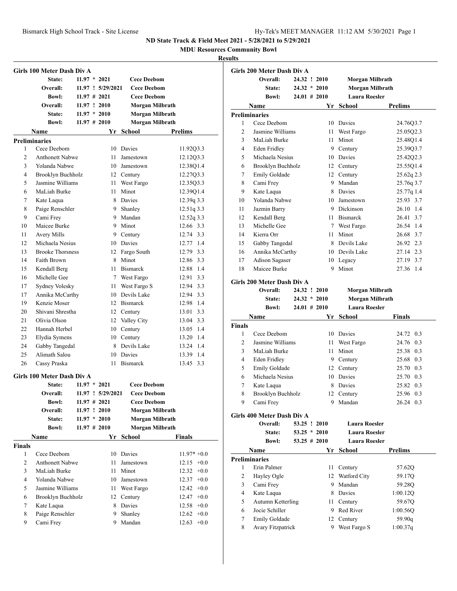**MDU Resources Community Bowl**

|                | Girls 100 Meter Dash Div A            |                 |                   |                        |                          |
|----------------|---------------------------------------|-----------------|-------------------|------------------------|--------------------------|
|                | State:                                | $11.97 * 2021$  |                   | <b>Cece Deebom</b>     |                          |
|                | Overall:                              |                 | 11.97 ! 5/29/2021 | <b>Cece Deebom</b>     |                          |
|                | <b>Bowl:</b>                          | $11.97 \# 2021$ |                   | <b>Cece Deebom</b>     |                          |
|                | Overall:                              | 11.97 ! 2010    |                   | Morgan Milbrath        |                          |
|                | State:                                | $11.97 * 2010$  |                   | Morgan Milbrath        |                          |
|                | <b>Bowl:</b>                          |                 | $11.97 \# 2010$   | Morgan Milbrath        |                          |
|                | Name                                  |                 |                   | Yr School              | Prelims                  |
|                | <b>Preliminaries</b>                  |                 |                   |                        |                          |
| 1              | Cece Deebom                           |                 |                   | 10 Davies              | 11.92Q3.3                |
| 2              | <b>Anthonett Nabwe</b>                |                 | 11                | Jamestown              | 12.12Q3.3                |
| 3              | Yolanda Nabwe                         |                 |                   | 10 Jamestown           | 12.38Q1.4                |
| 4              | Brooklyn Buchholz                     |                 |                   | 12 Century             | 12.27Q3.3                |
| 5              | Jasmine Williams                      |                 |                   | 11 West Fargo          | 12.35Q3.3                |
| 6              | MaLiah Burke                          |                 | 11                | Minot                  | 12.39Q1.4                |
| 7              | Kate Laqua                            |                 |                   | 8 Davies               | 12.39q 3.3               |
| 8              |                                       |                 |                   |                        |                          |
| 9              | Paige Renschler<br>Cami Frey          |                 |                   | 9 Shanley<br>9 Mandan  | 12.51q 3.3<br>12.52q 3.3 |
| 10             | Maicee Burke                          |                 |                   | 9 Minot                | 12.66 3.3                |
|                |                                       |                 |                   |                        | 12.74 3.3                |
| 11<br>12       | <b>Avery Mills</b><br>Michaela Nesius |                 |                   | 9 Century<br>10 Davies | 12.77 1.4                |
|                | <b>Brooke Thorsness</b>               |                 |                   |                        |                          |
| 13             |                                       |                 |                   | 12 Fargo South         | 12.79 3.3                |
| 14             | Faith Brown                           |                 |                   | 8 Minot                | 12.86 3.3                |
| 15             | Kendall Berg                          |                 |                   | 11 Bismarck            | 12.88 1.4                |
| 16             | Michelle Gee                          |                 |                   | 7 West Fargo           | 12.91 3.3                |
| 17             | Sydney Volesky                        |                 |                   | 11 West Fargo S        | 12.94 3.3                |
| 17             | Annika McCarthy                       |                 |                   | 10 Devils Lake         | 12.94 3.3                |
| 19             | Kenzie Moser                          |                 |                   | 12 Bismarck            | 12.98 1.4                |
| 20             | Shivani Shrestha                      |                 |                   | 12 Century             | 13.01 3.3                |
| 21             | Olivia Olson                          |                 |                   | 12 Valley City         | 13.04 3.3                |
| 22             | Hannah Herbel                         |                 |                   | 10 Century             | 13.05 1.4                |
| 23             | Elydia Symens                         |                 |                   | 10 Century             | 13.20 1.4                |
| 24             | Gabby Tangedal                        |                 |                   | 8 Devils Lake          | 13.24 1.4                |
| 25             | Alimath Salou                         |                 |                   | 10 Davies              | 13.39 1.4                |
| 26             | Cassy Praska                          |                 | 11                | <b>Bismarck</b>        | 13.45 3.3                |
|                | Girls 100 Meter Dash Div A            |                 |                   |                        |                          |
|                | State:                                | $11.97 * 2021$  |                   | <b>Cece Deebom</b>     |                          |
|                | Overall:                              |                 | 11.97 ! 5/29/2021 | <b>Cece Deebom</b>     |                          |
|                | <b>Bowl:</b>                          |                 | $11.97$ # 2021    | <b>Cece Deebom</b>     |                          |
|                | Overall:                              |                 | 11.97 ! 2010      | Morgan Milbrath        |                          |
|                | State:                                |                 | $11.97 * 2010$    | <b>Morgan Milbrath</b> |                          |
|                | <b>Bowl:</b>                          |                 | $11.97 \# 2010$   | Morgan Milbrath        |                          |
|                | Name                                  |                 | Yr                | School                 | <b>Finals</b>            |
| <b>Finals</b>  |                                       |                 |                   |                        |                          |
| 1              | Cece Deebom                           |                 |                   | 10 Davies              | $11.97* +0.0$            |
| 2              | <b>Anthonett Nabwe</b>                |                 | 11                | Jamestown              | $12.15 +0.0$             |
| 3              | MaLiah Burke                          |                 | 11                | Minot                  | 12.32<br>$+0.0$          |
| $\overline{4}$ | Yolanda Nabwe                         |                 |                   | 10 Jamestown           | 12.37<br>$+0.0$          |
| 5              | Jasmine Williams                      |                 |                   | 11 West Fargo          | $12.42 +0.0$             |
| 6              | Brooklyn Buchholz                     |                 | 12                | Century                | $12.47 +0.0$             |
| 7              | Kate Laqua                            |                 | 8                 | Davies                 | $12.58 + 0.0$            |
| 8              | Paige Renschler                       |                 | 9.                | Shanley                | $12.62 +0.0$             |
| 9              | Cami Frey                             |                 |                   | 9 Mandan               | $12.63 +0.0$             |

|                | Girls 200 Meter Dash Div A             |                 |                 |                      |                |
|----------------|----------------------------------------|-----------------|-----------------|----------------------|----------------|
|                | Overall:                               | 24.32 ! 2010    |                 | Morgan Milbrath      |                |
|                | State:                                 | $24.32 * 2010$  |                 | Morgan Milbrath      |                |
|                | <b>Bowl:</b>                           | $24.01 \# 2010$ |                 | <b>Laura Roesler</b> |                |
|                | Name                                   |                 | Yr              | School               | <b>Prelims</b> |
|                | <b>Preliminaries</b>                   |                 |                 |                      |                |
| 1              | Cece Deebom                            |                 | 10              | Davies               | 24.76Q3.7      |
| $\overline{c}$ | Jasmine Williams                       |                 | 11              | West Fargo           | 25.05Q2.3      |
| 3              | MaLiah Burke                           |                 | 11 -            | Minot                | 25.48Q1.4      |
| 4              | <b>Eden Fridley</b>                    |                 |                 | 9 Century            | 25.39Q3.7      |
| 5              | Michaela Nesius                        |                 |                 | 10 Davies            | 25.4202.3      |
| 6              | Brooklyn Buchholz                      |                 |                 | 12 Century           | 25.55Q1.4      |
| 7              | Emily Goldade                          |                 |                 | 12 Century           | 25.62q 2.3     |
| 8              | Cami Frey                              |                 |                 | 9 Mandan             | 25.76q 3.7     |
| 9              | Kate Laqua                             |                 |                 | 8 Davies             | 25.77q 1.4     |
| 10             | Yolanda Nabwe                          |                 |                 | 10 Jamestown         | 25.93 3.7      |
| 11             | Jazmin Barry                           |                 |                 | 9 Dickinson          | 1.4<br>26.10   |
| 12             | Kendall Berg                           |                 |                 | 11 Bismarck          | 26.41<br>3.7   |
| 13             | Michelle Gee                           |                 | $7\overline{ }$ | West Fargo           | 26.54 1.4      |
| 14             | Kierra Orr                             |                 | 11              | Minot                | 26.68 3.7      |
| 15             | Gabby Tangedal                         |                 |                 | 8 Devils Lake        | 26.92 2.3      |
| 16             | Annika McCarthy                        |                 |                 | 10 Devils Lake       | 27.14 2.3      |
| 17             | Adison Sagaser                         |                 | 10              | Legacy               | 27.19 3.7      |
| 18             | Maicee Burke                           |                 | 9               | Minot                | 27.36<br>1.4   |
|                |                                        |                 |                 |                      |                |
|                | Girls 200 Meter Dash Div A<br>Overall: | 24.32 ! 2010    |                 | Morgan Milbrath      |                |
|                | State:                                 | $24.32 * 2010$  |                 | Morgan Milbrath      |                |
|                | <b>Bowl:</b>                           | $24.01 \# 2010$ |                 | <b>Laura Roesler</b> |                |
|                | Name                                   |                 | Yr              | School               | Finals         |
| Finals         |                                        |                 |                 |                      |                |
| 1              | Cece Deebom                            |                 | 10              | Davies               | 24.72 0.3      |
| 2              | Jasmine Williams                       |                 | 11              | West Fargo           | 24.76<br>0.3   |
| 3              | MaLiah Burke                           |                 | 11              | Minot                | 0.3<br>25.38   |
| 4              | Eden Fridley                           |                 | 9               | Century              | 0.3<br>25.68   |
| 5              | Emily Goldade                          |                 |                 | 12 Century           | 25.70<br>0.3   |
| 6              | Michaela Nesius                        |                 |                 | 10 Davies            | 0.3<br>25.70   |
| 7              | Kate Laqua                             |                 | 8               | Davies               | 0.3<br>25.82   |
| 8              | Brooklyn Buchholz                      |                 |                 | 12 Century           | 25.96 0.3      |
| 9              | Cami Frey                              |                 |                 | 9 Mandan             | 26.24 0.3      |
|                |                                        |                 |                 |                      |                |
|                | Girls 400 Meter Dash Div A             |                 |                 |                      |                |
|                | Overall:                               | 53.25 ! 2010    |                 | <b>Laura Roesler</b> |                |
|                | State:                                 | $53.25 * 2010$  |                 | <b>Laura Roesler</b> |                |
|                | <b>Bowl:</b>                           | $53.25 \# 2010$ |                 | <b>Laura Roesler</b> |                |
|                | Name                                   |                 | Yr              | School               | <b>Prelims</b> |
|                | <b>Preliminaries</b>                   |                 |                 |                      |                |
| 1              | Erin Palmer                            |                 | 11              | Century              | 57.62Q         |
| $\mathfrak{2}$ | Hayley Ogle                            |                 | 12              | Watford City         | 59.17Q         |
| 3              | Cami Frey                              |                 |                 | 9 Mandan             | 59.28Q         |
| 4              | Kate Laqua                             |                 |                 | 8 Davies             | 1:00.12Q       |
| 5              | <b>Autumn Ketterling</b>               |                 |                 | 11 Century           | 59.67Q         |
| 6              | Jocie Schiller                         |                 |                 | 9 Red River          | 1:00.56Q       |
| $\tau$         | Emily Goldade                          |                 | 12              | Century              | 59.90q         |
| 8              | Avary Fitzpatrick                      |                 | 9               | West Fargo S         | 1:00.37q       |
|                |                                        |                 |                 |                      |                |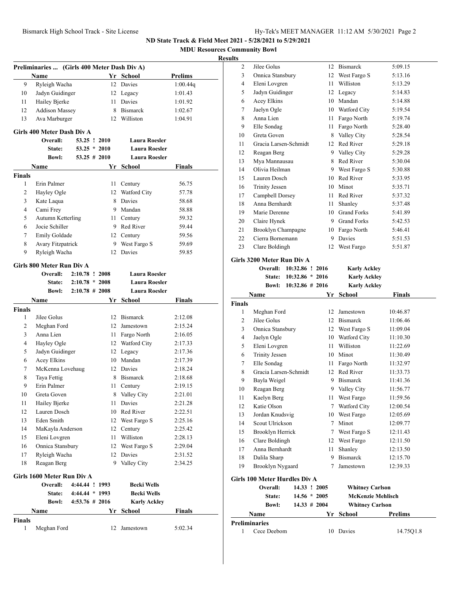**MDU Resources Community Bowl Results Preliminaries ... (Girls 400 Meter Dash Div A) Name Yr School Prelims** 9 Ryleigh Wacha 12 Davies 1:00.44q 10 Jadyn Guidinger 12 Legacy 1:01.43 11 Hailey Bjerke 11 Davies 1:01.92 12 Addison Massey 8 Bismarck 1:02.67 13 Ava Marburger 12 Williston 1:04.91 **Girls 400 Meter Dash Div A Overall: 53.25 ! 2010 Laura Roesler State: 53.25 \* 2010 Laura Roesler Bowl: 53.25 # 2010 Laura Roesler Name Yr School Finals Finals** 1 Erin Palmer 11 Century 56.75 2 Hayley Ogle 12 Watford City 57.78 3 Kate Laqua 8 Davies 58.68 4 Cami Frey 9 Mandan 58.88 5 Autumn Ketterling 11 Century 59.32 6 Jocie Schiller 9 Red River 59.44 7 Emily Goldade 12 Century 59.56 8 Avary Fitzpatrick 9 West Fargo S 59.69 9 Ryleigh Wacha 12 Davies 59.85 **Girls 800 Meter Run Div A Overall: 2:10.78 ! 2008 Laura Roesler State: 2:10.78 \* 2008 Laura Roesler Bowl: 2:10.78 # 2008 Laura Roesler Name Yr School Finals Finals** 1 Jilee Golus 12 Bismarck 2:12.08 2 Meghan Ford 12 Jamestown 2:15.24 3 Anna Lien 11 Fargo North 2:16.05 4 Hayley Ogle 12 Watford City 2:17.33 5 Jadyn Guidinger 12 Legacy 2:17.36 6 Acey Elkins 10 Mandan 2:17.39 7 McKenna Lovehaug 12 Davies 2:18.24 8 Taya Fettig 8 Bismarck 2:18.68 9 Erin Palmer 11 Century 2:19.15 10 Greta Goven 8 Valley City 2:21.01 11 Hailey Bjerke 11 Davies 2:21.28 12 Lauren Dosch 10 Red River 2:22.51 13 Eden Smith 12 West Fargo S 2:25.16 14 MaKayla Anderson 12 Century 2:25.42 15 Eleni Lovgren 11 Williston 2:28.13 16 Onnica Stansbury 12 West Fargo S 2:29.04 17 Ryleigh Wacha 12 Davies 2:31.52 18 Reagan Berg 9 Valley City 2:34.25 **Girls 1600 Meter Run Div A Overall: 4:44.44 ! 1993 Becki Wells State: 4:44.44 \* 1993 Becki Wells Bowl: 4:53.76 # 2016 Karly Ackley Name Yr School Finals Finals** 1 Meghan Ford 12 Jamestown 5:02.34 **Finals**

| .              |                            |                    |    |                     |               |  |
|----------------|----------------------------|--------------------|----|---------------------|---------------|--|
| $\overline{c}$ | Jilee Golus                |                    |    | 12 Bismarck         | 5:09.15       |  |
| 3              | Onnica Stansbury           |                    | 12 | West Fargo S        | 5:13.16       |  |
| 4              | Eleni Lovgren              |                    | 11 | Williston           | 5:13.29       |  |
| 5              | Jadyn Guidinger            |                    |    | 12 Legacy           | 5:14.83       |  |
| 6              | Acey Elkins                |                    |    | 10 Mandan           | 5:14.88       |  |
| 7              | Jaelyn Ogle                |                    |    | 10 Watford City     | 5:19.54       |  |
| 8              | Anna Lien                  |                    |    | 11 Fargo North      | 5:19.74       |  |
| 9              | Elle Sondag                |                    |    | 11 Fargo North      | 5:28.40       |  |
| 10             | Greta Goven                |                    |    | 8 Valley City       | 5:28.54       |  |
| 11             | Gracia Larsen-Schmidt      |                    |    | 12 Red River        | 5:29.18       |  |
| 12             | Reagan Berg                |                    |    | 9 Valley City       | 5:29.28       |  |
| 13             | Mya Mannausau              |                    |    | 8 Red River         | 5:30.04       |  |
| 14             | Olivia Heilman             |                    |    | 9 West Fargo S      | 5:30.88       |  |
| 15             | Lauren Dosch               |                    | 10 | Red River           | 5:33.95       |  |
| 16             | <b>Trinity Jessen</b>      |                    | 10 | Minot               | 5:35.71       |  |
| 17             | Campbell Dorsey            |                    |    | 11 Red River        | 5:37.32       |  |
| 18             | Anna Bernhardt             |                    | 11 | Shanley             | 5:37.48       |  |
| 19             | Marie Derenne              |                    | 10 | <b>Grand Forks</b>  | 5:41.89       |  |
| 20             | Claire Hynek               |                    |    | 9 Grand Forks       | 5:42.53       |  |
| 21             | Brooklyn Champagne         |                    |    | 10 Fargo North      | 5:46.41       |  |
| 22             | Cierra Bornemann           |                    | 9  | Davies              | 5:51.53       |  |
| 23             | Clare Boldingh             |                    | 12 | West Fargo          | 5:51.87       |  |
|                | Girls 3200 Meter Run Div A |                    |    |                     |               |  |
|                | <b>Overall:</b>            | 10:32.86 ! 2016    |    | <b>Karly Ackley</b> |               |  |
|                | <b>State:</b>              | $10:32.86 * 2016$  |    | <b>Karly Ackley</b> |               |  |
|                | Bowl:                      | $10:32.86 \# 2016$ |    | <b>Karly Ackley</b> |               |  |
|                | Name                       |                    | Yr | <b>School</b>       | <b>Finals</b> |  |
| Finals         |                            |                    |    |                     |               |  |
| 1              | Meghan Ford                |                    | 12 | Jamestown           | 10:46.87      |  |
| $\overline{c}$ | Jilee Golus                |                    |    | 12 Bismarck         | 11:06.46      |  |
| 3              | Onnica Stansbury           |                    |    | 12 West Fargo S     | 11:09.04      |  |
|                |                            |                    |    |                     |               |  |

| Reagan Berg<br>Kaelyn Berg<br>Katie Olson<br>Jordan Knudsvig<br>Scout Ulrickson<br>Brooklyn Herrick<br>Clare Boldingh<br>Anna Bernhardt<br>Dalila Sharp<br>Brooklyn Nygaard<br><b>Girls 100 Meter Hurdles Div A</b><br>Overall:<br>State:<br><b>Bowl:</b> | 14.33 ! 2005<br>$14.56 * 2005$<br>$14.33 \# 2004$ | 9<br>11<br>7<br>10<br>7<br>7<br>12<br>11<br>9<br>7 | <b>Bismarck</b><br>Valley City<br>West Fargo<br>Watford City<br>West Fargo<br>Minot<br>West Fargo S<br>West Fargo<br>Shanley<br><b>Bismarck</b><br>Jamestown<br><b>Whitney Carlson</b><br><b>McKenzie Mehlisch</b><br><b>Whitney Carlson</b> | 11:33.73<br>11:41.36<br>11:56.77<br>11:59.56<br>12:00.54<br>12:05.69<br>12:09.77<br>12:11.43<br>12:11.50<br>12:13.50<br>12:15.70<br>12:39.33 |
|-----------------------------------------------------------------------------------------------------------------------------------------------------------------------------------------------------------------------------------------------------------|---------------------------------------------------|----------------------------------------------------|----------------------------------------------------------------------------------------------------------------------------------------------------------------------------------------------------------------------------------------------|----------------------------------------------------------------------------------------------------------------------------------------------|
|                                                                                                                                                                                                                                                           |                                                   |                                                    |                                                                                                                                                                                                                                              |                                                                                                                                              |
|                                                                                                                                                                                                                                                           |                                                   |                                                    |                                                                                                                                                                                                                                              |                                                                                                                                              |
|                                                                                                                                                                                                                                                           |                                                   |                                                    |                                                                                                                                                                                                                                              |                                                                                                                                              |
|                                                                                                                                                                                                                                                           |                                                   |                                                    |                                                                                                                                                                                                                                              |                                                                                                                                              |
|                                                                                                                                                                                                                                                           |                                                   |                                                    |                                                                                                                                                                                                                                              |                                                                                                                                              |
|                                                                                                                                                                                                                                                           |                                                   |                                                    |                                                                                                                                                                                                                                              |                                                                                                                                              |
|                                                                                                                                                                                                                                                           |                                                   |                                                    |                                                                                                                                                                                                                                              |                                                                                                                                              |
|                                                                                                                                                                                                                                                           |                                                   |                                                    |                                                                                                                                                                                                                                              |                                                                                                                                              |
|                                                                                                                                                                                                                                                           |                                                   |                                                    |                                                                                                                                                                                                                                              |                                                                                                                                              |
|                                                                                                                                                                                                                                                           |                                                   |                                                    |                                                                                                                                                                                                                                              |                                                                                                                                              |
|                                                                                                                                                                                                                                                           |                                                   |                                                    |                                                                                                                                                                                                                                              |                                                                                                                                              |
|                                                                                                                                                                                                                                                           |                                                   |                                                    |                                                                                                                                                                                                                                              |                                                                                                                                              |
|                                                                                                                                                                                                                                                           |                                                   |                                                    |                                                                                                                                                                                                                                              |                                                                                                                                              |
|                                                                                                                                                                                                                                                           |                                                   |                                                    |                                                                                                                                                                                                                                              |                                                                                                                                              |
| Bayla Weigel                                                                                                                                                                                                                                              |                                                   | 9                                                  |                                                                                                                                                                                                                                              |                                                                                                                                              |
| Gracia Larsen-Schmidt                                                                                                                                                                                                                                     |                                                   | 12                                                 | Red River                                                                                                                                                                                                                                    |                                                                                                                                              |
| Elle Sondag                                                                                                                                                                                                                                               |                                                   | 11                                                 | Fargo North                                                                                                                                                                                                                                  | 11:32.97                                                                                                                                     |
| <b>Trinity Jessen</b>                                                                                                                                                                                                                                     |                                                   | 10                                                 | Minot                                                                                                                                                                                                                                        | 11:30.49                                                                                                                                     |
| Eleni Lovgren                                                                                                                                                                                                                                             |                                                   | 11                                                 | Williston                                                                                                                                                                                                                                    | 11:22.69                                                                                                                                     |
| Jaelyn Ogle                                                                                                                                                                                                                                               |                                                   | 10                                                 | Watford City                                                                                                                                                                                                                                 | 11:10.30                                                                                                                                     |
| Onnica Stansbury                                                                                                                                                                                                                                          |                                                   | 12 West Fargo S                                    |                                                                                                                                                                                                                                              |                                                                                                                                              |
|                                                                                                                                                                                                                                                           |                                                   |                                                    |                                                                                                                                                                                                                                              |                                                                                                                                              |

# **Preliminaries** 1 Cece Deebom 10 Davies 14.75Q1.8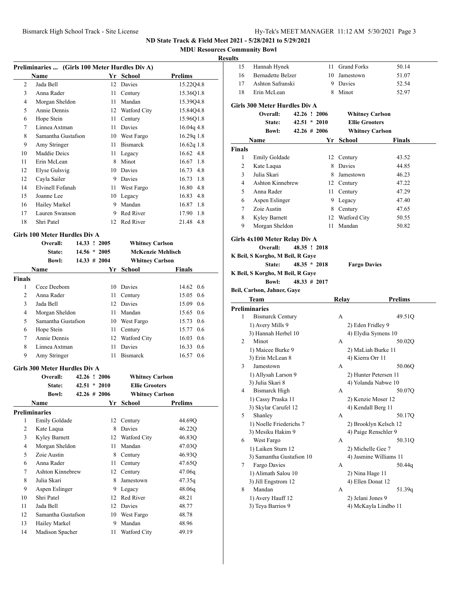**MDU Resources Community Bowl**

### **Results**

| Preliminaries  (Girls 100 Meter Hurdles Div A) |                               |                |     |                          |                   |  |  |
|------------------------------------------------|-------------------------------|----------------|-----|--------------------------|-------------------|--|--|
|                                                | <b>Name</b>                   |                | Yr  | School                   | Prelims           |  |  |
| $\overline{2}$                                 | Jada Bell                     |                | 12  | Davies                   | 15.22Q4.8         |  |  |
| 3                                              | Anna Rader                    |                | 11  | Century                  | 15.36Q1.8         |  |  |
| 4                                              | Morgan Sheldon                |                | 11  | Mandan                   | 15.39Q4.8         |  |  |
| 5                                              | Annie Dennis                  |                | 12  | Watford City             | 15.84Q4.8         |  |  |
| 6                                              | Hope Stein                    |                | 11  | Century                  | 15.96Q1.8         |  |  |
| 7                                              | Linnea Axtman                 |                | 11  | Davies                   | $16.04q$ 4.8      |  |  |
| 8                                              | Samantha Gustafson            |                | 10  | West Fargo               | $16.29q$ 1.8      |  |  |
| 9                                              | Amy Stringer                  |                | 11  | <b>Bismarck</b>          | $16.62q$ 1.8      |  |  |
| 10                                             | Maddie Deics                  |                | 11  | Legacy                   | $16.62 \quad 4.8$ |  |  |
| 11                                             | Erin McLean                   |                | 8   | Minot                    | $16.67$ 1.8       |  |  |
| 12                                             | Elyse Gulsvig                 |                | 10  | Davies                   | 16.73 4.8         |  |  |
| 12                                             | Cayla Sailer                  |                | 9   | Davies                   | $16.73 \quad 1.8$ |  |  |
| 14                                             | Elvinell Fofanah              |                | 11  | West Fargo               | 16.80 4.8         |  |  |
| 15                                             | Joanne Lee                    |                | 10  | Legacy                   | 16.83 4.8         |  |  |
| 16                                             | Hailey Markel                 |                | 9   | Mandan                   | 16.87 1.8         |  |  |
| 17                                             | Lauren Swanson                |                | 9   | Red River                | 17.90 1.8         |  |  |
| 18                                             | Shri Patel                    |                | 12. | Red River                | 21.48 4.8         |  |  |
|                                                | Girls 100 Meter Hurdles Div A |                |     |                          |                   |  |  |
|                                                | Overall:                      | 14.33 ! 2005   |     | <b>Whitney Carlson</b>   |                   |  |  |
|                                                | State:                        | $14.56 * 2005$ |     | <b>McKenzie Mehlisch</b> |                   |  |  |

|               | <b>Bowl:</b>       | $14.33 \# 2004$ | <b>Whitney Carlson</b> |                   |
|---------------|--------------------|-----------------|------------------------|-------------------|
|               | <b>Name</b>        | Yr              | School                 | <b>Finals</b>     |
| <b>Finals</b> |                    |                 |                        |                   |
| 1             | Cece Deebom        |                 | 10 Davies              | 14.62 0.6         |
| 2             | Anna Rader         |                 | 11 Century             | $15.05 \quad 0.6$ |
| 3             | Jada Bell          |                 | 12 Davies              | 15.09 0.6         |
| 4             | Morgan Sheldon     |                 | 11 Mandan              | 15.65 0.6         |
| 5             | Samantha Gustafson |                 | 10 West Fargo          | 15.73 0.6         |
| 6             | Hope Stein         |                 | 11 Century             | 15.77 0.6         |
| 7             | Annie Dennis       |                 | 12 Watford City        | $16.03 \quad 0.6$ |
| 8             | Linnea Axtman      | 11              | Davies                 | 16.33 0.6         |
| 9             | Amy Stringer       |                 | 11 Bismarck            | 16.57 0.6         |

#### **Girls 300 Meter Hurdles Div A**

|    | Overall:             | 42.26 ! 2006    |    | <b>Whitney Carlson</b> |         |
|----|----------------------|-----------------|----|------------------------|---------|
|    | State:               | $42.51 * 2010$  |    | <b>Ellie Grooters</b>  |         |
|    | <b>Bowl:</b>         | $42.26 \# 2006$ |    | <b>Whitney Carlson</b> |         |
|    | Name                 |                 | Yr | School                 | Prelims |
|    | <b>Preliminaries</b> |                 |    |                        |         |
| 1  | Emily Goldade        |                 | 12 | Century                | 44.69O  |
| 2  | Kate Laqua           |                 | 8  | Davies                 | 46.22Q  |
| 3  | Kyley Barnett        |                 | 12 | Watford City           | 46.83Q  |
| 4  | Morgan Sheldon       |                 | 11 | Mandan                 | 47.03Q  |
| 5  | Zoie Austin          |                 | 8  | Century                | 46.93Q  |
| 6  | Anna Rader           |                 | 11 | Century                | 47.65O  |
| 7  | Ashton Kinnebrew     |                 | 12 | Century                | 47.06q  |
| 8  | Julia Skari          |                 | 8  | Jamestown              | 47.35q  |
| 9  | Aspen Eslinger       |                 | 9  | Legacy                 | 48.06q  |
| 10 | Shri Patel           |                 | 12 | Red River              | 48.21   |
| 11 | Jada Bell            |                 | 12 | Davies                 | 48.77   |
| 12 | Samantha Gustafson   |                 | 10 | West Fargo             | 48.78   |
| 13 | Hailey Markel        |                 | 9  | Mandan                 | 48.96   |
| 14 | Madison Spacher      |                 | 11 | Watford City           | 49.19   |

| uns                  |                                         |              |                  |                                          |                        |
|----------------------|-----------------------------------------|--------------|------------------|------------------------------------------|------------------------|
| 15                   | Hannah Hynek                            |              |                  | 11 Grand Forks                           | 50.14                  |
| 16                   | <b>Bernadette Belzer</b>                |              |                  | 10 Jamestown                             | 51.07                  |
| 17                   | Ashton Safranski                        |              |                  | 9 Davies                                 | 52.54                  |
| 18                   | Erin McLean                             |              |                  | 8 Minot                                  | 52.97                  |
|                      |                                         |              |                  |                                          |                        |
|                      | <b>Girls 300 Meter Hurdles Div A</b>    |              |                  |                                          |                        |
|                      | Overall:                                |              | 42.26 ! 2006     | <b>Whitney Carlson</b>                   |                        |
|                      | <b>State:</b>                           |              | $42.51 * 2010$   | <b>Ellie Grooters</b>                    |                        |
|                      | <b>Bowl:</b>                            |              | $42.26 \pm 2006$ | <b>Whitney Carlson</b>                   |                        |
|                      | Name                                    |              | Yr               | School                                   | <b>Finals</b>          |
| <b>Finals</b>        |                                         |              |                  |                                          |                        |
| 1                    | Emily Goldade                           |              |                  | 12 Century                               | 43.52                  |
| 2                    | Kate Laqua                              |              |                  | 8 Davies                                 | 44.85                  |
| 3                    | Julia Skari                             |              |                  | 8 Jamestown                              | 46.23                  |
| 4                    | <b>Ashton Kinnebrew</b>                 |              |                  | 12 Century                               | 47.22                  |
| 5                    | Anna Rader                              |              |                  | 11 Century                               | 47.29                  |
| 6                    | Aspen Eslinger                          |              |                  | 9 Legacy                                 | 47.40                  |
| 7                    | Zoie Austin                             |              |                  | 8 Century                                | 47.65                  |
| 8                    | Kyley Barnett                           |              |                  | 12 Watford City                          | 50.55                  |
| 9                    | Morgan Sheldon                          |              | 11               | Mandan                                   | 50.82                  |
|                      | Girls 4x100 Meter Relay Div A           |              |                  |                                          |                        |
|                      | Overall:                                |              | 48.35 ! 2018     |                                          |                        |
|                      | K Beil, S Korgho, M Beil, R Gaye        |              |                  |                                          |                        |
|                      | State:                                  |              | $48.35 * 2018$   | <b>Fargo Davies</b>                      |                        |
|                      | K Beil, S Korgho, M Beil, R Gaye        |              |                  |                                          |                        |
|                      | <b>Bowl:</b>                            | 48.33 # 2017 |                  |                                          |                        |
|                      |                                         |              |                  |                                          |                        |
|                      |                                         |              |                  |                                          |                        |
|                      | Beil, Carlson, Jahner, Gaye<br>Team     |              |                  |                                          | Prelims                |
| <b>Preliminaries</b> |                                         |              |                  | Relay                                    |                        |
| 1                    | <b>Bismarck Century</b>                 |              |                  | A                                        | 49.51Q                 |
|                      |                                         |              |                  |                                          |                        |
|                      | 1) Avery Mills 9<br>3) Hannah Herbel 10 |              |                  | 2) Eden Fridley 9<br>4) Elydia Symens 10 |                        |
| 2                    | Minot                                   |              |                  | А                                        | 50.02Q                 |
|                      | 1) Maicee Burke 9                       |              |                  | 2) MaLiah Burke 11                       |                        |
|                      | 3) Erin McLean 8                        |              |                  | 4) Kierra Orr 11                         |                        |
| 3                    | Jamestown                               |              |                  | А                                        | 50.06Q                 |
|                      | 1) Allysah Larson 9                     |              |                  | 2) Hunter Petersen 11                    |                        |
|                      | 3) Julia Skari 8                        |              |                  | 4) Yolanda Nabwe 10                      |                        |
| 4                    | Bismarck High                           |              |                  | A                                        | 50.07Q                 |
|                      | 1) Cassy Praska 11                      |              |                  | 2) Kenzie Moser 12                       |                        |
|                      | 3) Skylar Carufel 12                    |              |                  | 4) Kendall Berg 11                       |                        |
| 5                    | Shanley                                 |              |                  | А                                        | 50.17Q                 |
|                      | 1) Noelle Friederichs 7                 |              |                  |                                          | 2) Brooklyn Kelsch 12  |
|                      | 3) Mesiku Hakim 9                       |              |                  | 4) Paige Renschler 9                     |                        |
| 6                    | West Fargo                              |              |                  | А                                        | 50.31Q                 |
|                      | 1) Laiken Sturn 12                      |              |                  | 2) Michelle Gee 7                        |                        |
|                      | 3) Samantha Gustafson 10                |              |                  |                                          | 4) Jasmine Williams 11 |
| 7                    | Fargo Davies                            |              |                  | А                                        | 50.44q                 |
|                      | 1) Alimath Salou 10                     |              |                  | 2) Nina Hage 11                          |                        |
|                      | 3) Jill Engstrom 12                     |              |                  | 4) Ellen Donat 12                        |                        |
| 8                    | Mandan                                  |              |                  | А                                        | 51.39q                 |
|                      | 1) Avery Hauff 12<br>3) Teya Barrios 9  |              |                  | 2) Jelani Jones 9                        | 4) McKayla Lindbo 11   |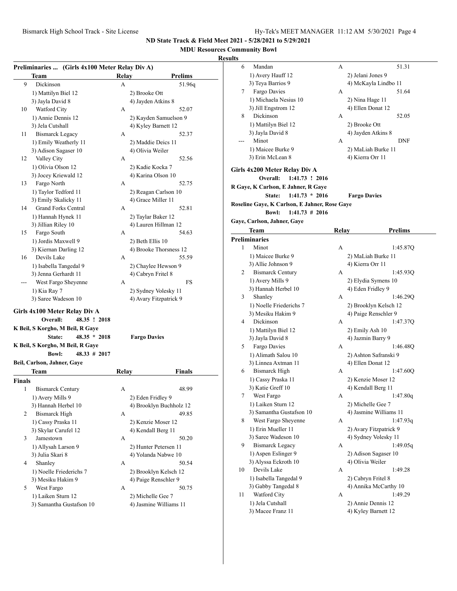### **MDU Resources Community Bowl**

| Preliminaries  (Girls 4x100 Meter Relay Div A) |                 |                                  |
|------------------------------------------------|-----------------|----------------------------------|
| Team                                           | Relay           | <b>Prelims</b>                   |
| 9<br>Dickinson                                 | А               | 51.96q                           |
| 1) Mattilyn Biel 12                            |                 | 2) Brooke Ott                    |
| 3) Jayla David 8                               |                 | 4) Jayden Atkins 8               |
| Watford City<br>10                             | А               | 52.07                            |
| 1) Annie Dennis 12                             |                 | 2) Kayden Samuelson 9            |
| 3) Jela Cutshall                               |                 | 4) Kyley Barnett 12              |
| <b>Bismarck Legacy</b><br>11                   | A               | 52.37                            |
| 1) Emily Weatherly 11                          |                 | 2) Maddie Deics 11               |
| 3) Adison Sagaser 10                           |                 | 4) Olivia Weiler                 |
| Valley City<br>12                              | А               | 52.56                            |
| 1) Olivia Olson 12                             |                 | 2) Kadie Kocka 7                 |
| 3) Jocey Kriewald 12                           |                 | 4) Karina Olson 10               |
| Fargo North<br>13                              | А               | 52.75                            |
| 1) Taylor Tedford 11                           |                 | 2) Reagan Carlson 10             |
| 3) Emily Skalicky 11                           |                 | 4) Grace Miller 11               |
| <b>Grand Forks Central</b><br>14               | А               | 52.81                            |
| 1) Hannah Hynek 11                             |                 | 2) Taylar Baker 12               |
| 3) Jillian Riley 10                            |                 | 4) Lauren Hillman 12             |
| Fargo South<br>15                              | А               | 54.63                            |
| 1) Jordis Maxwell 9                            |                 | 2) Beth Ellis 10                 |
| 3) Kiernan Darling 12                          |                 | 4) Brooke Thorsness 12           |
| 16<br>Devils Lake                              | А               | 55.59                            |
| 1) Isabella Tangedal 9                         |                 | 2) Chaylee Hewson 9              |
| 3) Jenna Gerhardt 11                           |                 | 4) Cabryn Fritel 8               |
| West Fargo Sheyenne                            | А               | FS                               |
| 1) Kia Ray 7                                   |                 | 2) Sydney Volesky 11             |
| 3) Saree Wadeson 10                            |                 | 4) Avary Fitzpatrick 9           |
| Girls 4x100 Meter Relay Div A                  |                 |                                  |
| Overall:                                       | 48.35 ! 2018    |                                  |
| K Beil, S Korgho, M Beil, R Gaye               |                 |                                  |
| State:                                         | $48.35 * 2018$  | <b>Fargo Davies</b>              |
| K Beil, S Korgho, M Beil, R Gaye               |                 |                                  |
| <b>Bowl:</b>                                   | $48.33 \# 2017$ |                                  |
| Beil, Carlson, Jahner, Gaye                    |                 |                                  |
| Team                                           | Relay           | Finals                           |
|                                                |                 |                                  |
| Finals<br>1                                    |                 |                                  |
| <b>Bismarck Century</b>                        | Α               | 48.99                            |
| 1) Avery Mills 9                               |                 | 2) Eden Fridley 9                |
| 3) Hannah Herbel 10<br>2                       |                 | 4) Brooklyn Buchholz 12<br>49.85 |
| <b>Bismarck High</b>                           | А               |                                  |
| 1) Cassy Praska 11                             |                 | 2) Kenzie Moser 12               |
| 3) Skylar Carufel 12                           |                 | 4) Kendall Berg 11               |
| Jamestown<br>3                                 | А               | 50.20                            |
| 1) Allysah Larson 9                            |                 | 2) Hunter Petersen 11            |
| 3) Julia Skari 8                               |                 | 4) Yolanda Nabwe 10              |
| 4<br>Shanley                                   | А               | 50.54                            |
| 1) Noelle Friederichs 7                        |                 | 2) Brooklyn Kelsch 12            |
| 3) Mesiku Hakim 9                              |                 | 4) Paige Renschler 9             |
| West Fargo<br>5                                | A               | 50.75                            |
| 1) Laiken Sturn 12                             |                 | 2) Michelle Gee 7                |
| 3) Samantha Gustafson 10                       |                 | 4) Jasmine Williams 11           |

| ults |                                               |       |                                                |
|------|-----------------------------------------------|-------|------------------------------------------------|
| 6    | Mandan                                        | А     | 51.31                                          |
|      | 1) Avery Hauff 12                             |       | 2) Jelani Jones 9                              |
|      | 3) Teya Barrios 9                             |       | 4) McKayla Lindbo 11                           |
| 7    | Fargo Davies                                  | А     | 51.64                                          |
|      | 1) Michaela Nesius 10                         |       | 2) Nina Hage 11                                |
|      | 3) Jill Engstrom 12                           |       | 4) Ellen Donat 12                              |
| 8    | Dickinson                                     | А     | 52.05                                          |
|      | 1) Mattilyn Biel 12                           |       | 2) Brooke Ott                                  |
|      | 3) Jayla David 8                              |       | 4) Jayden Atkins 8                             |
|      | Minot                                         | А     | DNF                                            |
|      |                                               |       |                                                |
|      | 1) Maicee Burke 9                             |       | 2) MaLiah Burke 11                             |
|      | 3) Erin McLean 8                              |       | 4) Kierra Orr 11                               |
|      | Girls 4x200 Meter Relay Div A                 |       |                                                |
|      | Overall:<br>1:41.73 ! 2016                    |       |                                                |
|      | R Gaye, K Carlson, E Jahner, R Gaye           |       |                                                |
|      | State:<br>$1:41.73 * 2016$                    |       | <b>Fargo Davies</b>                            |
|      | Roseline Gaye, K Carlson, E Jahner, Rose Gaye |       |                                                |
|      | $1:41.73 \# 2016$<br><b>Bowl:</b>             |       |                                                |
|      | Gaye, Carlson, Jahner, Gaye                   |       |                                                |
|      |                                               |       |                                                |
|      | Team                                          | Relay | <b>Prelims</b>                                 |
|      | <b>Preliminaries</b>                          |       |                                                |
| 1    | Minot                                         | А     | 1:45.87Q                                       |
|      | 1) Maicee Burke 9                             |       | 2) MaLiah Burke 11                             |
|      | 3) Allie Johnson 9                            |       | 4) Kierra Orr 11                               |
| 2    | <b>Bismarck Century</b>                       | А     | 1:45.93Q                                       |
|      | 1) Avery Mills 9                              |       | 2) Elydia Symens 10                            |
|      | 3) Hannah Herbel 10                           |       | 4) Eden Fridley 9                              |
| 3    | Shanley                                       | A     | 1:46.29Q                                       |
|      | 1) Noelle Friederichs 7                       |       | 2) Brooklyn Kelsch 12                          |
|      | 3) Mesiku Hakim 9                             |       | 4) Paige Renschler 9                           |
| 4    | Dickinson                                     | А     | 1:47.37Q                                       |
|      | 1) Mattilyn Biel 12                           |       | 2) Emily Ash 10                                |
|      | 3) Jayla David 8                              |       | 4) Jazmin Barry 9                              |
| 5    | Fargo Davies                                  | А     | 1:46.48Q                                       |
|      | 1) Alimath Salou 10                           |       | 2) Ashton Safranski 9                          |
|      | 3) Linnea Axtman 11                           |       | 4) Ellen Donat 12                              |
| 6    | <b>Bismarck High</b>                          | A     | 1:47.60Q                                       |
|      | 1) Cassy Praska 11                            |       | 2) Kenzie Moser 12                             |
|      | 3) Katie Greff 10                             |       | 4) Kendall Berg 11                             |
| 7    | West Fargo                                    | А     | 1:47.80q                                       |
|      | 1) Laiken Sturn 12                            |       | 2) Michelle Gee 7                              |
|      | 3) Samantha Gustafson 10                      |       | 4) Jasmine Williams 11                         |
| 8    | West Fargo Sheyenne                           | А     | 1:47.93q                                       |
|      |                                               |       |                                                |
|      | 1) Erin Mueller 11<br>3) Saree Wadeson 10     |       | 2) Avary Fitzpatrick 9<br>4) Sydney Volesky 11 |
|      |                                               |       |                                                |
| 9    | <b>Bismarck Legacy</b>                        | А     | 1:49.05q                                       |
|      | 1) Aspen Eslinger 9                           |       | 2) Adison Sagaser 10                           |
|      | 3) Alyssa Eckroth 10                          |       | 4) Olivia Weiler                               |
| 10   | Devils Lake                                   | А     | 1:49.28                                        |
|      | 1) Isabella Tangedal 9                        |       | 2) Cabryn Fritel 8                             |
|      | 3) Gabby Tangedal 8                           |       | 4) Annika McCarthy 10                          |
| 11   | Watford City                                  | А     | 1:49.29                                        |
|      | 1) Jela Cutshall                              |       | 2) Annie Dennis 12                             |
|      | 3) Macee Franz 11                             |       | 4) Kyley Barnett 12                            |
|      |                                               |       |                                                |
|      |                                               |       |                                                |
|      |                                               |       |                                                |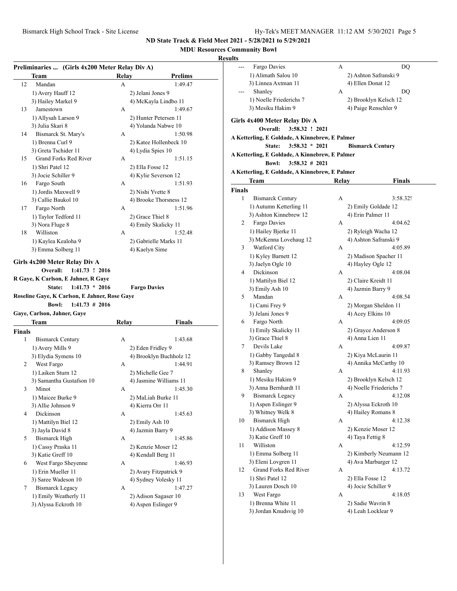# **MDU Resources Community Bowl**

|                    | Team                                                                                                                                               | Relay | <b>Prelims</b>                              |
|--------------------|----------------------------------------------------------------------------------------------------------------------------------------------------|-------|---------------------------------------------|
| 12                 | Mandan                                                                                                                                             | A     | 1:49.47                                     |
|                    | 1) Avery Hauff 12                                                                                                                                  |       | 2) Jelani Jones 9                           |
|                    | 3) Hailey Markel 9                                                                                                                                 |       | 4) McKayla Lindbo 11                        |
| 13                 | Jamestown                                                                                                                                          | А     | 1:49.67                                     |
|                    | 1) Allysah Larson 9                                                                                                                                |       | 2) Hunter Petersen 11                       |
|                    | 3) Julia Skari 8                                                                                                                                   |       | 4) Yolanda Nabwe 10                         |
| 14                 | Bismarck St. Mary's                                                                                                                                | A     | 1:50.98                                     |
|                    | 1) Brenna Curl 9                                                                                                                                   |       | 2) Katee Hollenbeck 10                      |
|                    | 3) Greta Tschider 11                                                                                                                               |       | 4) Lydia Spies 10                           |
| 15                 | Grand Forks Red River                                                                                                                              | А     | 1:51.15                                     |
|                    | 1) Shri Patel 12                                                                                                                                   |       | 2) Ella Fosse 12                            |
|                    | 3) Jocie Schiller 9                                                                                                                                |       | 4) Kylie Severson 12                        |
| 16                 | Fargo South                                                                                                                                        | A     | 1:51.93                                     |
|                    | 1) Jordis Maxwell 9                                                                                                                                |       | 2) Nishi Yvette 8                           |
|                    | 3) Callie Baukol 10                                                                                                                                |       | 4) Brooke Thorsness 12                      |
| 17                 | Fargo North                                                                                                                                        | А     | 1:51.96                                     |
|                    | 1) Taylor Tedford 11                                                                                                                               |       | 2) Grace Thiel 8                            |
|                    | 3) Nora Fluge 8                                                                                                                                    |       | 4) Emily Skalicky 11                        |
| 18                 | Williston                                                                                                                                          | A     | 1:52.48                                     |
|                    | 1) Kaylea Kealoha 9                                                                                                                                |       | 2) Gabrielle Marks 11                       |
|                    | 3) Emma Solberg 11                                                                                                                                 |       | 4) Kaelyn Sime                              |
|                    | Overall:<br>$1:41.73$ ! 2016<br>R Gaye, K Carlson, E Jahner, R Gaye<br>$1:41.73 * 2016$<br>State:<br>Roseline Gaye, K Carlson, E Jahner, Rose Gaye |       | <b>Fargo Davies</b>                         |
|                    | $1:41.73 \# 2016$<br><b>Bowl:</b><br>Gaye, Carlson, Jahner, Gaye                                                                                   |       |                                             |
|                    | Team                                                                                                                                               | Relay | Finals                                      |
|                    |                                                                                                                                                    |       |                                             |
| <b>Finals</b><br>1 | <b>Bismarck Century</b>                                                                                                                            | А     | 1:43.68                                     |
|                    | 1) Avery Mills 9                                                                                                                                   |       | 2) Eden Fridley 9                           |
|                    | 3) Elydia Symens 10                                                                                                                                |       | 4) Brooklyn Buchholz 12                     |
| 2                  | West Fargo                                                                                                                                         | А     | 1:44.91                                     |
|                    | 1) Laiken Sturn 12                                                                                                                                 |       | 2) Michelle Gee 7                           |
|                    | 3) Samantha Gustafson 10                                                                                                                           |       | 4) Jasmine Williams 11                      |
| 3                  | Minot                                                                                                                                              | А     | 1:45.30                                     |
|                    | 1) Maicee Burke 9                                                                                                                                  |       | 2) MaLiah Burke 11                          |
|                    | 3) Allie Johnson 9                                                                                                                                 |       | 4) Kierra Orr 11                            |
| 4                  | Dickinson                                                                                                                                          | А     | 1:45.63                                     |
|                    | 1) Mattilyn Biel 12                                                                                                                                |       | 2) Emily Ash 10                             |
|                    | 3) Jayla David 8                                                                                                                                   |       | 4) Jazmin Barry 9                           |
| 5                  | <b>Bismarck High</b>                                                                                                                               | А     | 1:45.86                                     |
|                    | 1) Cassy Praska 11                                                                                                                                 |       | 2) Kenzie Moser 12                          |
|                    | 3) Katie Greff 10                                                                                                                                  |       | 4) Kendall Berg 11                          |
| 6                  | West Fargo Sheyenne                                                                                                                                | А     | 1:46.93                                     |
|                    | 1) Erin Mueller 11                                                                                                                                 |       | 2) Avary Fitzpatrick 9                      |
|                    | 3) Saree Wadeson 10                                                                                                                                |       | 4) Sydney Volesky 11                        |
| 7                  | <b>Bismarck Legacy</b>                                                                                                                             | А     | 1:47.27                                     |
|                    | 1) Emily Weatherly 11<br>3) Alyssa Eckroth 10                                                                                                      |       | 2) Adison Sagaser 10<br>4) Aspen Eslinger 9 |

| lts    |                                                |       |                                         |
|--------|------------------------------------------------|-------|-----------------------------------------|
|        | Fargo Davies                                   | A     | DQ                                      |
|        | 1) Alimath Salou 10                            |       | 2) Ashton Safranski 9                   |
|        | 3) Linnea Axtman 11                            |       | 4) Ellen Donat 12                       |
|        | Shanley                                        | A     | DQ                                      |
|        | 1) Noelle Friederichs 7                        |       | 2) Brooklyn Kelsch 12                   |
|        | 3) Mesiku Hakim 9                              |       | 4) Paige Renschler 9                    |
|        |                                                |       |                                         |
|        | Girls 4x400 Meter Relay Div A                  |       |                                         |
|        | Overall:<br>3:58.32 ! 2021                     |       |                                         |
|        | A Ketterling, E Goldade, A Kinnebrew, E Palmer |       |                                         |
|        | $3:58.32 * 2021$<br>State:                     |       | <b>Bismarck Century</b>                 |
|        | A Ketterling, E Goldade, A Kinnebrew, E Palmer |       |                                         |
|        | $3:58.32 \# 2021$<br><b>Bowl:</b>              |       |                                         |
|        | A Ketterling, E Goldade, A Kinnebrew, E Palmer |       |                                         |
|        | Team                                           | Relay | Finals                                  |
| Finals |                                                |       |                                         |
| 1      | <b>Bismarck Century</b>                        | А     | 3:58.32!                                |
|        | 1) Autumn Ketterling 11                        |       | 2) Emily Goldade 12                     |
|        | 3) Ashton Kinnebrew 12                         |       | 4) Erin Palmer 11                       |
| 2      | Fargo Davies                                   | А     | 4:04.62                                 |
|        | 1) Hailey Bjerke 11                            |       | 2) Ryleigh Wacha 12                     |
|        | 3) McKenna Lovehaug 12                         |       | 4) Ashton Safranski 9                   |
| 3      | Watford City                                   | А     | 4:05.89                                 |
|        | 1) Kyley Barnett 12                            |       | 2) Madison Spacher 11                   |
|        | 3) Jaelyn Ogle 10                              |       | 4) Hayley Ogle 12                       |
| 4      | Dickinson                                      | А     | 4:08.04                                 |
|        | 1) Mattilyn Biel 12                            |       | 2) Claire Kreidt 11                     |
|        | 3) Emily Ash 10                                |       | 4) Jazmin Barry 9                       |
| 5      | Mandan                                         | А     | 4:08.54                                 |
|        | 1) Cami Frey 9                                 |       | 2) Morgan Sheldon 11                    |
|        | 3) Jelani Jones 9                              |       | 4) Acey Elkins 10                       |
| 6      | Fargo North                                    | А     | 4:09.05                                 |
|        | 1) Emily Skalicky 11                           |       | 2) Grayce Anderson 8                    |
|        | 3) Grace Thiel 8                               |       | 4) Anna Lien 11                         |
| 7      | Devils Lake                                    | А     | 4:09.87                                 |
|        | 1) Gabby Tangedal 8                            |       | 2) Kiya McLaurin 11                     |
|        | 3) Ramsey Brown 12                             |       | 4) Annika McCarthy 10                   |
| 8      | Shanley                                        | А     | 4:11.93                                 |
|        | 1) Mesiku Hakim 9                              |       | 2) Brooklyn Kelsch 12                   |
|        | 3) Anna Bernhardt 11                           |       | 4) Noelle Friederichs 7                 |
| 9      | <b>Bismarck Legacy</b>                         | А     | 4:12.08                                 |
|        | 1) Aspen Eslinger 9                            |       | 2) Alyssa Eckroth 10                    |
|        | 3) Whitney Welk 8                              |       | 4) Hailey Romans 8                      |
| 10     | <b>Bismarck High</b>                           | A     | 4:12.38                                 |
|        | 1) Addison Massey 8                            |       | 2) Kenzie Moser 12                      |
| 11     | 3) Katie Greff 10<br>Williston                 |       | 4) Taya Fettig 8<br>4:12.59             |
|        | 1) Emma Solberg 11                             | А     | 2) Kimberly Neumann 12                  |
|        |                                                |       |                                         |
| 12     | 3) Eleni Lovgren 11<br>Grand Forks Red River   | А     | 4) Ava Marburger 12<br>4:13.72          |
|        | 1) Shri Patel 12                               |       |                                         |
|        | 3) Lauren Dosch 10                             |       | 2) Ella Fosse 12<br>4) Jocie Schiller 9 |
| 13     | West Fargo                                     | А     | 4:18.05                                 |
|        | 1) Brenna White 11                             |       | 2) Sadie Wavrin 8                       |
|        | 3) Jordan Knudsvig 10                          |       | 4) Leah Locklear 9                      |
|        |                                                |       |                                         |
|        |                                                |       |                                         |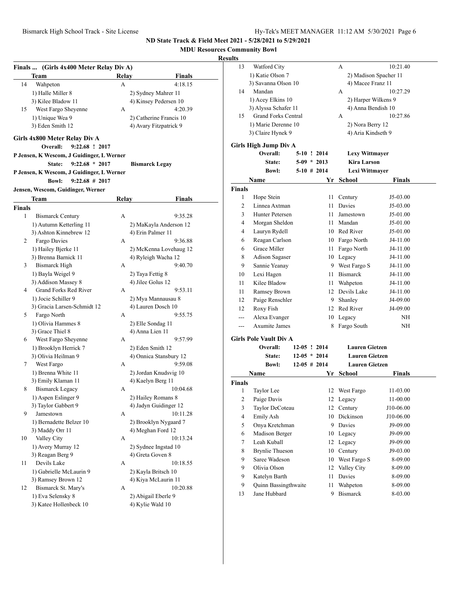**MDU Resources Community Bowl**

|               | Finals  (Girls 4x400 Meter Relay Div A)     |       |                                         |
|---------------|---------------------------------------------|-------|-----------------------------------------|
|               | Team                                        | Relay | <b>Finals</b>                           |
| 14            | Wahpeton                                    | А     | 4:18.15                                 |
|               | 1) Halle Miller 8                           |       | 2) Sydney Mahrer 11                     |
|               | 3) Kilee Bladow 11                          |       | 4) Kinsey Pedersen 10                   |
| 15            | West Fargo Sheyenne                         | A     | 4:20.39                                 |
|               | 1) Unique Wea 9                             |       | 2) Catherine Francis 10                 |
|               | 3) Eden Smith 12                            |       | 4) Avary Fitzpatrick 9                  |
|               | Girls 4x800 Meter Relay Div A               |       |                                         |
|               | 9:22.68 ! 2017<br>Overall:                  |       |                                         |
|               | P Jensen, K Wescom, J Guidinger, L Werner   |       |                                         |
|               | $9:22.68 * 2017$<br>State:                  |       | <b>Bismarck Legay</b>                   |
|               | P Jensen, K Wescom, J Guidinger, L Werner   |       |                                         |
|               | <b>Bowl:</b><br>$9:22.68 \# 2017$           |       |                                         |
|               | Jensen, Wescom, Guidinger, Werner           |       |                                         |
|               | Team                                        | Relay | Finals                                  |
| <b>Finals</b> |                                             |       |                                         |
| 1             | <b>Bismarck Century</b>                     | А     | 9:35.28                                 |
|               | 1) Autumn Ketterling 11                     |       | 2) MaKayla Anderson 12                  |
|               | 3) Ashton Kinnebrew 12                      |       | 4) Erin Palmer 11                       |
| 2             | Fargo Davies                                | А     | 9:36.88                                 |
|               | 1) Hailey Bjerke 11                         |       | 2) McKenna Lovehaug 12                  |
|               | 3) Brenna Barnick 11                        |       | 4) Ryleigh Wacha 12                     |
| 3             | <b>Bismarck High</b>                        | А     | 9:40.70                                 |
|               | 1) Bayla Weigel 9                           |       | 2) Taya Fettig 8                        |
|               | 3) Addison Massey 8                         |       | 4) Jilee Golus 12                       |
| 4             | Grand Forks Red River                       | А     | 9:53.11                                 |
|               | 1) Jocie Schiller 9                         |       | 2) Mya Mannausau 8                      |
|               | 3) Gracia Larsen-Schmidt 12                 |       | 4) Lauren Dosch 10                      |
| 5             | Fargo North                                 | А     | 9:55.75                                 |
|               | 1) Olivia Hammes 8                          |       | 2) Elle Sondag 11                       |
|               | 3) Grace Thiel 8                            |       | 4) Anna Lien 11                         |
| 6             | West Fargo Sheyenne                         | А     | 9:57.99                                 |
|               | 1) Brooklyn Herrick 7                       |       | 2) Eden Smith 12                        |
|               | 3) Olivia Heilman 9                         |       | 4) Onnica Stansbury 12                  |
| 7             | West Fargo                                  | A     | 9:59.08                                 |
|               | 1) Brenna White 11                          |       | 2) Jordan Knudsvig 10                   |
|               | 3) Emily Klaman 11                          |       | 4) Kaelyn Berg 11                       |
| 8             | <b>Bismarck Legacy</b>                      | А     | 10:04.68                                |
|               | 1) Aspen Eslinger 9                         |       | 2) Hailey Romans 8                      |
|               | 3) Taylor Gabbert 9                         |       | 4) Jadyn Guidinger 12                   |
| 9             | Jamestown                                   | А     | 10:11.28                                |
|               | 1) Bernadette Belzer 10                     |       | 2) Brooklyn Nygaard 7                   |
|               | 3) Maddy Orr 11                             |       | 4) Meghan Ford 12                       |
| 10            | Valley City                                 | А     | 10:13.24                                |
|               | 1) Avery Murray 12                          |       | 2) Sydnee Ingstad 10                    |
|               | 3) Reagan Berg 9<br>Devils Lake             |       | 4) Greta Goven 8                        |
| 11            |                                             | A     | 10:18.55                                |
|               | 1) Gabrielle McLaurin 9                     |       | 2) Kayla Britsch 10                     |
|               | 3) Ramsey Brown 12                          |       | 4) Kiya McLaurin 11                     |
| 12            | Bismarck St. Mary's                         | А     | 10:20.88                                |
|               | 1) Eva Selensky 8<br>3) Katee Hollenbeck 10 |       | 2) Abigail Eberle 9<br>4) Kylie Wald 10 |
|               |                                             |       |                                         |

| 13                      | Watford City                  |  |                | А                     | 10:21.40              |
|-------------------------|-------------------------------|--|----------------|-----------------------|-----------------------|
|                         | 1) Katie Olson 7              |  |                |                       | 2) Madison Spacher 11 |
|                         | 3) Savanna Olson 10           |  |                | 4) Macee Franz 11     |                       |
| 14                      | Mandan                        |  |                | А                     | 10:27.29              |
|                         | 1) Acey Elkins 10             |  |                | 2) Harper Wilkens 9   |                       |
|                         | 3) Alyssa Schafer 11          |  |                | 4) Anna Bendish 10    |                       |
| 15                      | <b>Grand Forks Central</b>    |  |                | А                     | 10:27.86              |
|                         | 1) Marie Derenne 10           |  |                | 2) Nora Berry 12      |                       |
|                         | 3) Claire Hynek 9             |  |                | 4) Aria Kindseth 9    |                       |
|                         | <b>Girls High Jump Div A</b>  |  |                |                       |                       |
|                         | Overall:                      |  | 5-10 ! 2014    | <b>Lexy Wittmayer</b> |                       |
|                         | <b>State:</b>                 |  | $5-09 * 2013$  | <b>Kira Larson</b>    |                       |
|                         | <b>Bowl:</b>                  |  | $5-10$ # 2014  | Lexi Wittmayer        |                       |
|                         | Name                          |  | Yr             | <b>School</b>         | Finals                |
| <b>Finals</b>           |                               |  |                |                       |                       |
| 1                       | Hope Stein                    |  | 11             | Century               | J5-03.00              |
| 2                       | Linnea Axtman                 |  | 11             | Davies                | J5-03.00              |
| 3                       | Hunter Petersen               |  | 11             | Jamestown             | J5-01.00              |
| 4                       | Morgan Sheldon                |  |                | 11 Mandan             | J5-01.00              |
| 4                       | Lauryn Rydell                 |  |                | 10 Red River          | J5-01.00              |
| 6                       | Reagan Carlson                |  |                | 10 Fargo North        | J4-11.00              |
| 6                       | Grace Miller                  |  | 11 -           | Fargo North           | J4-11.00              |
| 8                       | Adison Sagaser                |  |                | 10 Legacy             | J4-11.00              |
| 9                       | Sannie Yeanay                 |  |                | 9 West Fargo S        | J4-11.00              |
| 10                      | Lexi Hagen                    |  | 11             | <b>Bismarck</b>       | J4-11.00              |
| 11                      | Kilee Bladow                  |  | 11 -           | Wahpeton              | J4-11.00              |
| 11                      | Ramsey Brown                  |  | 12             | Devils Lake           | J4-11.00              |
| 12                      | Paige Renschler               |  | 9              | Shanley               | J4-09.00              |
| 12                      | Roxy Fish                     |  |                | 12 Red River          | J4-09.00              |
| $-$ --                  | Alexa Evanger                 |  | 10             | Legacy                | ΝH                    |
| $---$                   | <b>Axumite James</b>          |  | 8              | Fargo South           | ΝH                    |
|                         |                               |  |                |                       |                       |
|                         | <b>Girls Pole Vault Div A</b> |  |                |                       |                       |
|                         | <b>Overall:</b>               |  | 12-05 ! 2014   | <b>Lauren Gietzen</b> |                       |
|                         | <b>State:</b>                 |  | $12-05 * 2014$ | <b>Lauren Gietzen</b> |                       |
|                         | <b>Bowl:</b>                  |  | $12-05$ # 2014 | <b>Lauren Gietzen</b> |                       |
|                         | Name                          |  | Yr             | <b>School</b>         | Finals                |
| Finals                  |                               |  |                |                       |                       |
| 1                       | Taylor Lee                    |  | 12             | West Fargo            | 11-03.00              |
| $\overline{\mathbf{c}}$ | Paige Davis                   |  | 12             | Legacy                | 11-00.00              |
| 3                       | Taylor DeCoteau               |  | 12             | Century               | J10-06.00             |
| $\overline{4}$          | Emily Ash                     |  | 10             | Dickinson             | J10-06.00             |
| 5                       | Onya Kretchman                |  |                | 9 Davies              | J9-09.00              |
| 6                       | Madison Berger                |  | 10             | Legacy                | J9-09.00              |
| $\tau$                  | Leah Kuball                   |  | 12             | Legacy                | J9-09.00              |
| 8                       | <b>Brynlie Thueson</b>        |  | 10             | Century               | J9-03.00              |
| 9                       | Saree Wadeson                 |  | 10             | West Fargo S          | 8-09.00               |
| 9                       | Olivia Olson                  |  | 12             | Valley City           | 8-09.00               |
| 9                       | Katelyn Barth                 |  | 11             | Davies                | 8-09.00               |
| 9                       | Quinn Bassingthwaite          |  | 11             | Wahpeton              | 8-09.00               |
| 13                      | Jane Hubbard                  |  | 9              | <b>Bismarck</b>       | 8-03.00               |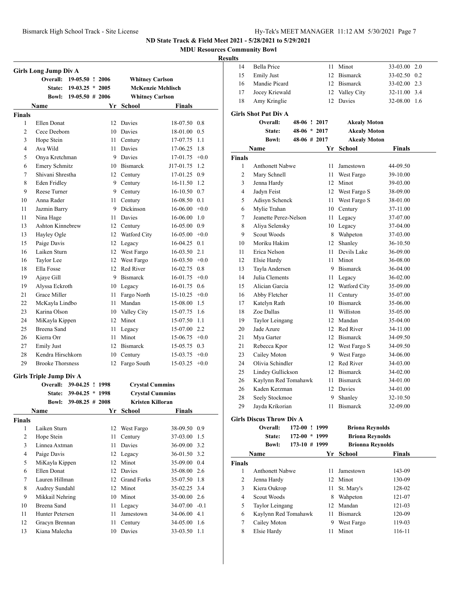**MDU Resources Community Bowl**

|                | <b>Girls Long Jump Div A</b>               |                    |      |                         |                          |        |
|----------------|--------------------------------------------|--------------------|------|-------------------------|--------------------------|--------|
|                | Overall:                                   | 19-05.50 ! 2006    |      | <b>Whitney Carlson</b>  |                          |        |
|                | <b>State:</b>                              | $19-03.25 * 2005$  |      |                         | <b>McKenzie Mehlisch</b> |        |
|                | <b>Bowl:</b>                               | $19-05.50 \# 2006$ |      | <b>Whitney Carlson</b>  |                          |        |
|                | Name                                       |                    |      | Yr School               | <b>Finals</b>            |        |
| <b>Finals</b>  |                                            |                    |      |                         |                          |        |
| 1              | Ellen Donat                                |                    |      | 12 Davies               | 18-07.50 0.8             |        |
| $\overline{2}$ | Cece Deebom                                |                    | 10   | Davies                  | 18-01.00                 | 0.5    |
| 3              | Hope Stein                                 |                    | 11 - | Century                 | 17-07.75                 | 1.1    |
| $\overline{4}$ | Ava Wild                                   |                    | 11.  | <b>Davies</b>           | 17-06.25                 | 1.8    |
| 5              | Onya Kretchman                             |                    |      | 9 Davies                | 17-01.75                 | $+0.0$ |
| 6              | <b>Emery Schmitz</b>                       |                    |      | 10 Bismarck             | J17-01.75                | 1.2    |
| 7              | Shivani Shrestha                           |                    |      | 12 Century              | 17-01.25 0.9             |        |
| 8              | <b>Eden Fridley</b>                        |                    |      | 9 Century               | 16-11.50 1.2             |        |
| 9              | Reese Turner                               |                    |      | 9 Century               | 16-10.50 0.7             |        |
| 10             | Anna Rader                                 |                    | 11 - | Century                 | $16-08.50$ 0.1           |        |
| 11             | Jazmin Barry                               |                    |      | 9 Dickinson             | $16-06.00 + 0.0$         |        |
| 11             | Nina Hage                                  |                    | 11   | Davies                  | 16-06.00 1.0             |        |
| 13             | <b>Ashton Kinnebrew</b>                    |                    |      | 12 Century              | 16-05.00 0.9             |        |
| 13             | Hayley Ogle                                |                    |      | 12 Watford City         | $16-05.00 +0.0$          |        |
| 15             | Paige Davis                                |                    |      | 12 Legacy               | 16-04.25                 | 0.1    |
| 16             | Laiken Sturn                               |                    |      | 12 West Fargo           | 16-03.50 2.1             |        |
| 16             | Taylor Lee                                 |                    |      | 12 West Fargo           | $16-03.50 +0.0$          |        |
| 18             | Ella Fosse                                 |                    |      | 12 Red River            | 16-02.75                 | 0.8    |
| 19             | Ajaye Gill                                 |                    |      | 9 Bismarck              | 16-01.75                 | $+0.0$ |
| 19             | Alyssa Eckroth                             |                    |      | 10 Legacy               | 16-01.75                 | 0.6    |
| 21             | Grace Miller                               |                    | 11 - | Fargo North             | $15-10.25$ +0.0          |        |
| 22             | McKayla Lindbo                             |                    | 11.  | Mandan                  | 15-08.00 1.5             |        |
| 23             | Karina Olson                               |                    |      | 10 Valley City          | 15-07.75 1.6             |        |
| 24             | MiKayla Kippen                             |                    |      | 12 Minot                | 15-07.50 1.1             |        |
| 25             | Breena Sand                                |                    | 11   | Legacy                  | 15-07.00 2.2             |        |
| 26             | Kierra Orr                                 |                    | 11   | Minot                   | $15-06.75$ +0.0          |        |
| 27             | <b>Emily Just</b>                          |                    |      | 12 Bismarck             | 15-05.75                 | 0.3    |
| 28             | Kendra Hirschkorn                          |                    | 10   | Century                 | 15-03.75                 | $+0.0$ |
| 29             | <b>Brooke Thorsness</b>                    |                    | 12   | Fargo South             | 15-03.25                 | $+0.0$ |
|                |                                            |                    |      |                         |                          |        |
|                | <b>Girls Triple Jump Div A</b><br>Overall: | 39-04.25 ! 1998    |      | <b>Crystal Cummins</b>  |                          |        |
|                | State:                                     | $39-04.25 * 1998$  |      | <b>Crystal Cummins</b>  |                          |        |
|                | <b>Bowl:</b>                               | $39-08.25$ # 2008  |      | <b>Kristen Killoran</b> |                          |        |
|                | Name                                       |                    | Yr   | School                  | <b>Finals</b>            |        |
| <b>Finals</b>  |                                            |                    |      |                         |                          |        |
| $\mathbf{1}$   | Laiken Sturn                               |                    |      | 12 West Fargo           | 38-09.50 0.9             |        |
| $\overline{c}$ | Hope Stein                                 |                    | 11   | Century                 | 37-03.00                 | 1.5    |
| 3              | Linnea Axtman                              |                    | 11   | Davies                  | 36-09.00 3.2             |        |
| $\overline{4}$ | Paige Davis                                |                    |      |                         | 36-01.50 3.2             |        |
|                |                                            |                    |      | 12 Legacy<br>12 Minot   | 35-09.00 0.4             |        |
| 5<br>6         | MiKayla Kippen<br>Ellen Donat              |                    | 12   | Davies                  | 35-08.00 2.6             |        |
|                | Lauren Hillman                             |                    |      |                         |                          |        |
| 7              |                                            |                    | 12   | <b>Grand Forks</b>      | 35-07.50 1.8             |        |
| 8              | Audrey Sundahl                             |                    | 12   | Minot                   | 35-02.25 3.4             |        |
| 9              | Mikkail Nehring                            |                    | 10   | Minot                   | 35-00.00 2.6             |        |
| 10             | Breena Sand                                |                    | 11   | Legacy                  | 34-07.00 -0.1            |        |
| 11             | Hunter Petersen                            |                    | 11   | Jamestown               | 34-06.00 4.1             |        |
| 12             | Gracyn Brennan                             |                    | 11   | Century                 | 34-05.00 1.6             |        |
| 13             | Kiana Malecha                              |                    | 10   | Davies                  | 33-03.50                 | 1.1    |

| suits          |                                 |      |                        |               |     |
|----------------|---------------------------------|------|------------------------|---------------|-----|
| 14             | <b>Bella Price</b>              | 11   | Minot                  | 33-03.00      | 2.0 |
| 15             | <b>Emily Just</b>               | 12   | <b>Bismarck</b>        | 33-02.50 0.2  |     |
| 16             | Mandie Picard                   |      | 12 Bismarck            | 33-02.00 2.3  |     |
| 17             | Jocey Kriewald                  |      | 12 Valley City         | 32-11.00      | 3.4 |
| 18             | Amy Kringlie                    | 12   | Davies                 | 32-08.00 1.6  |     |
|                | <b>Girls Shot Put Div A</b>     |      |                        |               |     |
|                | Overall:<br>48-06 ! 2017        |      | <b>Akealy Moton</b>    |               |     |
|                | 48-06 * 2017<br>State:          |      | <b>Akealy Moton</b>    |               |     |
|                | $48-06$ # 2017<br><b>Bowl:</b>  |      | <b>Akealy Moton</b>    |               |     |
|                | Name                            |      | Yr School              | <b>Finals</b> |     |
| <b>Finals</b>  |                                 |      |                        |               |     |
| 1              | <b>Anthonett Nabwe</b>          | 11   | Jamestown              | 44-09.50      |     |
| $\overline{c}$ | Mary Schnell                    | 11   | West Fargo             | 39-10.00      |     |
| 3              | Jenna Hardy                     | 12   | Minot                  | 39-03.00      |     |
| $\overline{4}$ | Jadyn Feist                     | 12   | West Fargo S           | 38-09.00      |     |
| 5              | Adisyn Schenck                  | 11   | West Fargo S           | 38-01.00      |     |
| 6              | Mylie Trahan                    |      | 10 Century             | 37-11.00      |     |
| $\tau$         | Jeanette Perez-Nelson           | 11 - | Legacy                 | 37-07.00      |     |
| 8              | Aliya Selensky                  |      | 10 Legacy              | 37-04.00      |     |
| 9              | Scout Woods                     |      | 8 Wahpeton             | 37-03.00      |     |
| 10             | Moriku Hakim                    | 12   | Shanley                | 36-10.50      |     |
| 11             | Erica Nelson                    | 11   | Devils Lake            | 36-09.00      |     |
| 12             | Elsie Hardy                     | 11   | Minot                  | 36-08.00      |     |
| 13             | Tayla Andersen                  |      | 9 Bismarck             | 36-04.00      |     |
| 14             | Julia Clements                  | 11   | Legacy                 | 36-02.00      |     |
| 15             | Alician Garcia                  |      | 12 Watford City        | 35-09.00      |     |
| 16             | Abby Fletcher                   | 11   | Century                | 35-07.00      |     |
| 17             | Katelyn Rath                    | 10   | <b>Bismarck</b>        | 35-06.00      |     |
| 18             | Zoe Dallas                      | 11   | Williston              | 35-05.00      |     |
| 19             | Taylor Leingang                 | 12   | Mandan                 | 35-04.00      |     |
| 20             | Jade Azure                      |      | 12 Red River           | 34-11.00      |     |
| 21             | Mya Garter                      |      | 12 Bismarck            | 34-09.50      |     |
| 21             | Rebecca Kpor                    | 12   | West Fargo S           | 34-09.50      |     |
| 23             | Cailey Moton                    |      | 9 West Fargo           | 34-06.00      |     |
| 24             | Olivia Schindler                |      | 12 Red River           | 34-03.00      |     |
| 25             | Lindey Gullickson               | 12   | <b>Bismarck</b>        | 34-02.00      |     |
| 26             | Kaylynn Red Tomahawk            | 11 - | <b>Bismarck</b>        | 34-01.00      |     |
| 26             | Kaden Kerzman                   | 12   | Davies                 | 34-01.00      |     |
| 28             | Seely Stockmoe                  | 9    | Shanley                | 32-10.50      |     |
| 29             | Jayda Krikorian                 | 11   | <b>Bismarck</b>        | 32-09.00      |     |
|                | <b>Girls Discus Throw Div A</b> |      |                        |               |     |
|                | Overall:<br>172-00 ! 1999       |      | <b>Briona Reynolds</b> |               |     |
|                | 172-00 * 1999<br>State:         |      | <b>Briona Reynolds</b> |               |     |
|                | Rowl.<br>$173-10 + 1999$        |      | Rrionna Roynolds       |               |     |

|               | DUWL.<br>$1/3$ -10 $\pi$ 1999 |    | вгюша кеупона   |        |  |
|---------------|-------------------------------|----|-----------------|--------|--|
|               | <b>Name</b>                   |    | Yr School       | Finals |  |
| <b>Finals</b> |                               |    |                 |        |  |
|               | <b>Anthonett Nabwe</b>        | 11 | Jamestown       | 143-09 |  |
| 2             | Jenna Hardy                   | 12 | Minot           | 130-09 |  |
| 3             | Kiera Oukrop                  | 11 | St. Mary's      | 128-02 |  |
| 4             | Scout Woods                   | 8  | Wahpeton        | 121-07 |  |
| 5             | Taylor Leingang               |    | 12 Mandan       | 121-03 |  |
| 6             | Kaylynn Red Tomahawk          | 11 | <b>Bismarck</b> | 120-09 |  |
| 7             | Cailey Moton                  | 9  | West Fargo      | 119-03 |  |
| 8             | Elsie Hardy                   | 11 | Minot           | 116-11 |  |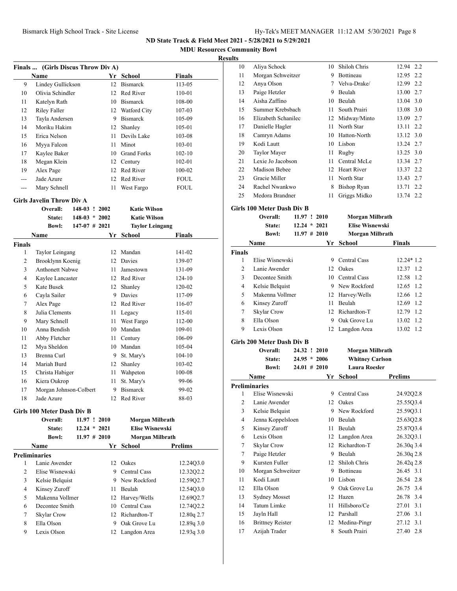**MDU Resources Community Bowl**

#### **Results**

|     | Finals  (Girls Discus Throw Div A) |    |                     |               |  |
|-----|------------------------------------|----|---------------------|---------------|--|
|     | Name                               | Yr | School              | <b>Finals</b> |  |
| 9   | Lindey Gullickson                  | 12 | <b>Bismarck</b>     | 113-05        |  |
| 10  | Olivia Schindler                   | 12 | Red River           | 110-01        |  |
| 11  | Katelyn Rath                       | 10 | <b>Bismarck</b>     | 108-00        |  |
| 12  | Riley Faller                       | 12 | <b>Watford City</b> | 107-03        |  |
| 13  | Tayla Andersen                     | 9  | <b>Bismarck</b>     | 105-09        |  |
| 14  | Moriku Hakim                       | 12 | Shanley             | 105-01        |  |
| 15  | Erica Nelson                       | 11 | Devils Lake         | 103-08        |  |
| 16  | Myya Falcon                        | 11 | Minot               | 103-01        |  |
| 17  | Kaylee Baker                       | 10 | <b>Grand Forks</b>  | $102 - 10$    |  |
| 18  | Megan Klein                        | 12 | Century             | 102-01        |  |
| 19  | Alex Page                          | 12 | Red River           | 100-02        |  |
| --- | Jade Azure                         | 12 | Red River           | FOUL          |  |
|     | Mary Schnell                       | 11 | West Fargo          | FOUL          |  |

#### **Girls Javelin Throw Div A**

|                | Overall:<br>$148-03$ ! | 2002            |    | <b>Katie Wilson</b>    |               |
|----------------|------------------------|-----------------|----|------------------------|---------------|
|                | State:                 | $148-03 * 2002$ |    | <b>Katie Wilson</b>    |               |
|                | <b>Bowl:</b>           | $147-07$ # 2021 |    | <b>Taylor Leingang</b> |               |
|                | <b>Name</b>            |                 | Yr | School                 | <b>Finals</b> |
| <b>Finals</b>  |                        |                 |    |                        |               |
| 1              | Taylor Leingang        |                 | 12 | Mandan                 | 141-02        |
| 2              | Brooklynn Koenig       |                 | 12 | Davies                 | 139-07        |
| 3              | <b>Anthonett Nabwe</b> |                 | 11 | Jamestown              | 131-09        |
| $\overline{4}$ | Kaylee Lancaster       |                 | 12 | Red River              | $124 - 10$    |
| 5              | <b>Kate Busek</b>      |                 | 12 | Shanley                | 120-02        |
| 6              | Cayla Sailer           |                 | 9  | Davies                 | 117-09        |
| 7              | Alex Page              |                 | 12 | Red River              | 116-07        |
| 8              | Julia Clements         |                 | 11 | Legacy                 | 115-01        |
| 9              | Mary Schnell           |                 | 11 | West Fargo             | 112-00        |
| 10             | Anna Bendish           |                 | 10 | Mandan                 | 109-01        |
| 11             | Abby Fletcher          |                 | 11 | Century                | 106-09        |
| 12             | Mya Sheldon            |                 | 10 | Mandan                 | 105-04        |
| 13             | Brenna Curl            |                 | 9  | St. Mary's             | $104 - 10$    |
| 14             | Mariah Burd            |                 | 12 | Shanley                | 103-02        |
| 15             | Christa Habiger        |                 | 11 | Wahpeton               | 100-08        |
| 16             | Kiera Oukrop           |                 | 11 | St. Mary's             | 99-06         |
| 17             | Morgan Johnson-Colbert |                 | 9  | <b>Bismarck</b>        | 99-02         |
| 18             | Jade Azure             |                 | 12 | Red River              | 88-03         |

# **Girls 100 Meter Dash Div B**

|   | Overall:             | 11.97 ! 2010    | Morgan Milbrath        |                |
|---|----------------------|-----------------|------------------------|----------------|
|   | State:               | $12.24 * 2021$  | <b>Elise Wisnewski</b> |                |
|   | <b>Bowl:</b>         | $11.97 \# 2010$ | Morgan Milbrath        |                |
|   | <b>Name</b>          | Yr              | School                 | <b>Prelims</b> |
|   | <b>Preliminaries</b> |                 |                        |                |
| 1 | Lanie Awender        | 12              | Oakes                  | 12.2403.0      |
| 2 | Elise Wisnewski      | 9               | Central Cass           | 12.3202.2      |
| 3 | Kelsie Belquist      | 9               | New Rockford           | 12.5902.7      |
| 4 | Kinsey Zuroff        | 11              | <b>Beulah</b>          | 12.5403.0      |
| 5 | Makenna Vollmer      |                 | 12 Harvey/Wells        | 12.6902.7      |
| 6 | Decontee Smith       | 10              | Central Cass           | 12.74Q2.2      |
| 7 | Skylar Crow          |                 | 12 Richardton-T        | 12.80q 2.7     |
| 8 | Ella Olson           | 9               | Oak Grove Lu           | 12.89q3.0      |
| 9 | Lexis Olson          |                 | 12 Langdon Area        | 12.93q3.0      |
|   |                      |                 |                        |                |

| 10             | Aliya Schock                      |                 | 10 | Shiloh Chris           | 12.94<br>2.2   |
|----------------|-----------------------------------|-----------------|----|------------------------|----------------|
| 11             | Morgan Schweitzer                 |                 |    | 9 Bottineau            | 12.95 2.2      |
| 12             | Anya Olson                        |                 |    | 7 Velva-Drake/         | 12.99 2.2      |
| 13             | Paige Hetzler                     |                 |    | 9 Beulah               | 13.00 2.7      |
| 14             | Aisha Zaffino                     |                 |    | 10 Beulah              | 13.04 3.0      |
| 15             | Summer Krebsbach                  |                 |    | 11 South Prairi        | 13.08 3.0      |
| 16             | Elizabeth Schanilec               |                 |    | 12 Midway/Minto        | 13.09 2.7      |
| 17             | Danielle Hagler                   |                 |    | 11 North Star          | 13.11 2.2      |
| 18             | Camryn Adams                      |                 |    | 10 Hatton-North        | 13.12 3.0      |
| 19             | Kodi Lautt                        |                 |    | 10 Lisbon              | 13.24 2.7      |
| 20             | Taylor Mayer                      |                 | 11 | Rugby                  | 13.25 3.0      |
| 21             | Lexie Jo Jacobson                 |                 | 11 | Central McLe           | 13.34 2.7      |
| 22             | Madison Bebee                     |                 |    | 12 Heart River         | 13.37 2.2      |
| 23             | Gracie Miller                     |                 |    | 11 North Star          | 13.43 2.7      |
| 24             | Rachel Nwankwo                    |                 |    | 8 Bishop Ryan          | 13.71 2.2      |
| 25             | Medora Brandner                   |                 | 11 | Griggs Midko           | 13.74 2.2      |
|                | <b>Girls 100 Meter Dash Div B</b> |                 |    |                        |                |
|                | <b>Overall:</b>                   | 11.97 ! 2010    |    | Morgan Milbrath        |                |
|                | <b>State:</b>                     | $12.24 * 2021$  |    | <b>Elise Wisnewski</b> |                |
|                | <b>Bowl:</b>                      | $11.97 \# 2010$ |    | Morgan Milbrath        |                |
|                | Name                              |                 | Yr | <b>School</b>          | <b>Finals</b>  |
| <b>Finals</b>  |                                   |                 |    |                        |                |
| 1              | Elise Wisnewski                   |                 |    | 9 Central Cass         | 12.24* 1.2     |
| $\overline{2}$ | Lanie Awender                     |                 |    | 12 Oakes               | 12.37 1.2      |
| 3              | Decontee Smith                    |                 |    | 10 Central Cass        | 12.58 1.2      |
| 4              | Kelsie Belquist                   |                 |    | 9 New Rockford         | 12.65 1.2      |
| 5              | Makenna Vollmer                   |                 |    | 12 Harvey/Wells        | 12.66 1.2      |
| 6              | Kinsey Zuroff                     |                 |    | 11 Beulah              | 12.69 1.2      |
| 7              | Skylar Crow                       |                 |    | 12 Richardton-T        | 12.79 1.2      |
| 8              | Ella Olson                        |                 |    | 9 Oak Grove Lu         | 13.02 1.2      |
| 9              | Lexis Olson                       |                 | 12 | Langdon Area           | 13.02 1.2      |
|                | Girls 200 Meter Dash Div B        |                 |    |                        |                |
|                | Overall:                          | 24.32 ! 2010    |    | Morgan Milbrath        |                |
|                | <b>State:</b>                     | $24.95 * 2006$  |    | <b>Whitney Carlson</b> |                |
|                | <b>Bowl:</b>                      | $24.01$ # 2010  |    | <b>Laura Roesler</b>   |                |
|                | Name                              |                 | Yr | School                 | <b>Prelims</b> |
|                | <b>Preliminaries</b>              |                 |    |                        |                |
| 1              | Elise Wisnewski                   |                 | 9  | Central Cass           | 24.92Q2.8      |
| 2              | Lanie Awender                     |                 | 12 | Oakes                  | 25.55Q3.4      |
| 3              | Kelsie Belquist                   |                 | 9  | New Rockford           | 25.59Q3.1      |
| 4              | Jenna Koppelsloen                 |                 | 10 | Beulah                 | 25.63Q2.8      |
| 5              | Kinsey Zuroff                     |                 | 11 | Beulah                 | 25.87Q3.4      |
| 6              | Lexis Olson                       |                 | 12 | Langdon Area           | 26.32Q3.1      |
| 7              | Skylar Crow                       |                 | 12 | Richardton-T           | 26.30q 3.4     |
| $\tau$         | Paige Hetzler                     |                 | 9  | Beulah                 | 26.30q 2.8     |
| 9              | Kursten Fuller                    |                 | 12 | Shiloh Chris           | 26.42q 2.8     |
| 10             | Morgan Schweitzer                 |                 | 9  | Bottineau              | 26.45 3.1      |
| 11             | Kodi Lautt                        |                 | 10 | Lisbon                 | 26.54 2.8      |
| 12             | Ella Olson                        |                 | 9  | Oak Grove Lu           | 26.75 3.4      |

 Sydney Mosset 12 Hazen 26.78 3.4 Tatum Limke 11 Hillsboro/Ce 27.01 3.1 Jayln Hall 12 Parshall 27.06 3.1 Brittney Reister 12 Medina-Pingr 27.12 3.1 Azijah Trader 8 South Prairi 27.40 2.8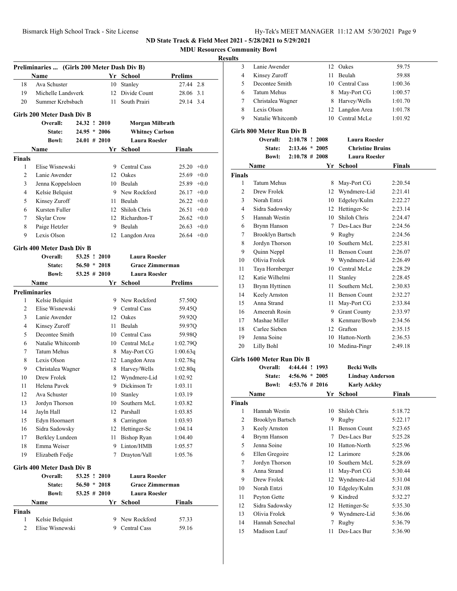Lanie Awender 12 Oakes 59.75

**ND State Track & Field Meet 2021 - 5/28/2021 to 5/29/2021**

**MDU Resources Community Bowl**

|                    | Preliminaries  (Girls 200 Meter Dash Div B) |                 |      |                        |                |
|--------------------|---------------------------------------------|-----------------|------|------------------------|----------------|
|                    | Name                                        |                 |      | Yr School              | <b>Prelims</b> |
| 18                 | Ava Schuster                                |                 |      | 10 Stanley             | 27.44 2.8      |
| 19                 | Michelle Landsverk                          |                 |      | 12 Divide Count        | 28.06 3.1      |
| 20                 | Summer Krebsbach                            |                 | 11 - | South Prairi           | 29.14 3.4      |
|                    |                                             |                 |      |                        |                |
|                    | Girls 200 Meter Dash Div B                  |                 |      |                        |                |
|                    | Overall:                                    | 24.32 ! 2010    |      | Morgan Milbrath        |                |
|                    | State:                                      | $24.95 * 2006$  |      | <b>Whitney Carlson</b> |                |
|                    | <b>Bowl:</b>                                | $24.01 \# 2010$ |      | <b>Laura Roesler</b>   |                |
|                    | Name                                        |                 |      | Yr School              | Finals         |
| <b>Finals</b>      |                                             |                 |      |                        |                |
| 1                  | Elise Wisnewski                             |                 |      | 9 Central Cass         | $25.20 +0.0$   |
| 2                  | Lanie Awender                               |                 |      | 12 Oakes               | $25.69 + 0.0$  |
| 3                  | Jenna Koppelsloen                           |                 |      | 10 Beulah              | $25.89 +0.0$   |
| 4                  | Kelsie Belquist                             |                 |      | 9 New Rockford         | $26.17 + 0.0$  |
| 5                  | Kinsey Zuroff                               |                 |      | 11 Beulah              | $26.22 +0.0$   |
| 6                  | Kursten Fuller                              |                 |      | 12 Shiloh Chris        | $26.51 + 0.0$  |
| 7                  | Skylar Crow                                 |                 |      | 12 Richardton-T        | $26.62 +0.0$   |
| 8                  | Paige Hetzler                               |                 |      | 9 Beulah               | $26.63 +0.0$   |
| 9                  | Lexis Olson                                 |                 |      | 12 Langdon Area        | $26.64 +0.0$   |
|                    | Girls 400 Meter Dash Div B                  |                 |      |                        |                |
|                    | Overall:                                    | 53.25 ! 2010    |      | <b>Laura Roesler</b>   |                |
|                    | State:                                      | $56.50 * 2018$  |      | <b>Grace Zimmerman</b> |                |
|                    | <b>Bowl:</b>                                | $53.25 \# 2010$ |      | <b>Laura Roesler</b>   |                |
|                    | Name                                        |                 |      | Yr School              | <b>Prelims</b> |
|                    | <b>Preliminaries</b>                        |                 |      |                        |                |
| 1                  | Kelsie Belquist                             |                 |      | 9 New Rockford         | 57.50Q         |
| 2                  | Elise Wisnewski                             |                 |      | 9 Central Cass         | 59.45Q         |
| 3                  | Lanie Awender                               |                 |      | 12 Oakes               | 59.92Q         |
| 4                  | Kinsey Zuroff                               |                 |      | 11 Beulah              | 59.97Q         |
| 5                  | Decontee Smith                              |                 |      | 10 Central Cass        | 59.98Q         |
| 6                  | Natalie Whitcomb                            |                 |      | 10 Central McLe        | 1:02.79Q       |
| 7                  | <b>Tatum Mehus</b>                          |                 |      | 8 May-Port CG          | 1:00.63q       |
| 8                  | Lexis Olson                                 |                 |      | 12 Langdon Area        | 1:02.78q       |
| 9                  | Christalea Wagner                           |                 |      | 8 Harvey/Wells         | 1:02.80q       |
| 10                 | Drew Frolek                                 |                 |      | 12 Wyndmere-Lid        | 1:02.92        |
| 11                 | Helena Pavek                                |                 |      | 9 Dickinson Tr         | 1:03.11        |
| 12                 | Ava Schuster                                |                 |      | 10 Stanley             | 1:03.19        |
| 13                 | Jordyn Thorson                              |                 |      | 10 Southern McL        | 1:03.82        |
| 14                 | Jayln Hall                                  |                 |      | 12 Parshall            | 1:03.85        |
| 15                 | Edyn Hoornaert                              |                 |      | 8 Carrington           | 1:03.93        |
| 16                 | Sidra Sadowsky                              |                 |      | 12 Hettinger-Sc        | 1:04.14        |
| 17                 | Berkley Lundeen                             |                 | 11   | Bishop Ryan            | 1:04.40        |
| 18                 | Emma Weiser                                 |                 | 9.   | Linton/HMB             | 1:05.57        |
| 19                 | Elizabeth Fedje                             |                 | 7    | Drayton/Vall           | 1:05.76        |
|                    |                                             |                 |      |                        |                |
|                    | <b>Girls 400 Meter Dash Div B</b>           | 53.25 ! 2010    |      | <b>Laura Roesler</b>   |                |
|                    | Overall:                                    | $56.50 * 2018$  |      | <b>Grace Zimmerman</b> |                |
|                    | State:                                      |                 |      |                        |                |
|                    | <b>Bowl:</b>                                | $53.25 \# 2010$ |      | <b>Laura Roesler</b>   |                |
|                    | Name                                        |                 |      | Yr School              | <b>Finals</b>  |
| <b>Finals</b><br>1 |                                             |                 |      |                        |                |
|                    | Kelsie Belquist<br>Elise Wisnewski          |                 |      | 9 New Rockford         | 57.33          |
| 2                  |                                             |                 |      | 9 Central Cass         | 59.16          |

| Decontee Smith<br>5<br>10 Central Cass<br>1:00.36<br><b>Tatum Mehus</b><br>8 May-Port CG<br>6<br>1:00.57<br>8 Harvey/Wells<br>7<br>Christalea Wagner<br>1:01.70<br>8<br>Lexis Olson<br>12 Langdon Area<br>1:01.78<br>10 Central McLe<br>9<br>Natalie Whitcomb<br>1:01.92<br>Girls 800 Meter Run Div B<br>Overall:<br>$2:10.78$ ! 2008<br><b>Laura Roesler</b><br><b>Christine Bruins</b><br>State:<br>$2:13.46 * 2005$<br><b>Laura Roesler</b><br><b>Bowl:</b><br>$2:10.78 \# 2008$<br>Yr School<br>Finals<br>Name<br><b>Finals</b><br>Tatum Mehus<br>1<br>8 May-Port CG<br>2:20.54<br>$\overline{c}$<br>Drew Frolek<br>12 Wyndmere-Lid<br>2:21.41<br>10 Edgeley/Kulm<br>3<br>Norah Entzi<br>2:22.27<br>12 Hettinger-Sc<br>4<br>Sidra Sadowsky<br>2:23.14<br>10 Shiloh Chris<br>5<br>Hannah Westin<br>2:24.47<br>Brynn Hanson<br>7 Des-Lacs Bur<br>6<br>2:24.56<br><b>Brooklyn Bartsch</b><br>9 Rugby<br>7<br>2:24.56<br>10 Southern McL<br>Jordyn Thorson<br>2:25.81<br>8<br>Quinn Neppl<br>11 Benson Count<br>2:26.07<br>9<br>Olivia Frolek<br>9 Wyndmere-Lid<br>10<br>2:26.49<br>10 Central McLe<br>11<br>Taya Hornberger<br>2:28.29<br>12<br>Katie Wilhelmi<br>11 Stanley<br>2:28.45<br>Brynn Hyttinen<br>11 Southern McL<br>13<br>2:30.83<br>Keely Arnston<br>11 Benson Count<br>2:32.27<br>14<br>15<br>Anna Strand<br>11 May-Port CG<br>2:33.84<br>9 Grant County<br>16<br>Ameerah Rosin<br>2:33.97<br>Mashae Miller<br>8 Kenmare/Bowb<br>17<br>2:34.56<br>Carlee Sieben<br>12 Grafton<br>18<br>2:35.15<br>Jenna Soine<br>19<br>10 Hatton-North<br>2:36.53<br>20<br>Lilly Bohl<br>10 Medina-Pingr<br>2:49.18<br>Girls 1600 Meter Run Div B<br>4:44.44 ! 1993<br>Overall:<br><b>Becki Wells</b><br>State:<br>$4:56.96 * 2005$<br><b>Lindsay Anderson</b><br><b>Karly Ackley</b><br><b>Bowl:</b><br>$4:53.76 \# 2016$<br>Name<br><b>School</b><br>Finals<br>Yr<br>Finals<br>10 Shiloh Chris<br>$\mathbf{1}$<br>Hannah Westin<br>5:18.72<br>$\overline{c}$<br><b>Brooklyn Bartsch</b><br>Rugby<br>5:22.17<br>9.<br>3<br><b>Benson Count</b><br>Keely Arnston<br>11 -<br>5:23.65<br>4<br>Brynn Hanson<br>7 Des-Lacs Bur<br>5:25.28<br>5<br>Jenna Soine<br>10 Hatton-North<br>5:25.96<br>Ellen Gregoire<br>12 Larimore<br>6<br>5:28.06<br>Jordyn Thorson<br>10 Southern McL<br>7<br>5:28.69<br>Anna Strand<br>May-Port CG<br>8<br>11 -<br>5:30.44<br>Wyndmere-Lid<br>9<br>Drew Frolek<br>12<br>5:31.04<br>Edgeley/Kulm<br>Norah Entzi<br>10<br>10<br>5:31.08<br>9 Kindred<br>Peyton Gette<br>11<br>5:32.27<br>Sidra Sadowsky<br>12<br>12 Hettinger-Sc<br>5:35.30<br>9 Wyndmere-Lid<br>13<br>Olivia Frolek<br>5:36.06 | Hannah Senechal<br>Rugby<br>14<br>5:36.79<br>7<br>15<br>Madison Lauf<br>Des-Lacs Bur<br>11<br>5:36.90 | 4 | Kinsey Zuroff |  | 11 Beulah | 59.88 |
|-----------------------------------------------------------------------------------------------------------------------------------------------------------------------------------------------------------------------------------------------------------------------------------------------------------------------------------------------------------------------------------------------------------------------------------------------------------------------------------------------------------------------------------------------------------------------------------------------------------------------------------------------------------------------------------------------------------------------------------------------------------------------------------------------------------------------------------------------------------------------------------------------------------------------------------------------------------------------------------------------------------------------------------------------------------------------------------------------------------------------------------------------------------------------------------------------------------------------------------------------------------------------------------------------------------------------------------------------------------------------------------------------------------------------------------------------------------------------------------------------------------------------------------------------------------------------------------------------------------------------------------------------------------------------------------------------------------------------------------------------------------------------------------------------------------------------------------------------------------------------------------------------------------------------------------------------------------------------------------------------------------------------------------------------------------------------------------------------------------------------------------------------------------------------------------------------------------------------------------------------------------------------------------------------------------------------------------------------------------------------------------------------------------------------------------------------------------------------------------------------------------------------------------------------------------------------------------------------------------------------|-------------------------------------------------------------------------------------------------------|---|---------------|--|-----------|-------|
|                                                                                                                                                                                                                                                                                                                                                                                                                                                                                                                                                                                                                                                                                                                                                                                                                                                                                                                                                                                                                                                                                                                                                                                                                                                                                                                                                                                                                                                                                                                                                                                                                                                                                                                                                                                                                                                                                                                                                                                                                                                                                                                                                                                                                                                                                                                                                                                                                                                                                                                                                                                                                       |                                                                                                       |   |               |  |           |       |
|                                                                                                                                                                                                                                                                                                                                                                                                                                                                                                                                                                                                                                                                                                                                                                                                                                                                                                                                                                                                                                                                                                                                                                                                                                                                                                                                                                                                                                                                                                                                                                                                                                                                                                                                                                                                                                                                                                                                                                                                                                                                                                                                                                                                                                                                                                                                                                                                                                                                                                                                                                                                                       |                                                                                                       |   |               |  |           |       |
|                                                                                                                                                                                                                                                                                                                                                                                                                                                                                                                                                                                                                                                                                                                                                                                                                                                                                                                                                                                                                                                                                                                                                                                                                                                                                                                                                                                                                                                                                                                                                                                                                                                                                                                                                                                                                                                                                                                                                                                                                                                                                                                                                                                                                                                                                                                                                                                                                                                                                                                                                                                                                       |                                                                                                       |   |               |  |           |       |
|                                                                                                                                                                                                                                                                                                                                                                                                                                                                                                                                                                                                                                                                                                                                                                                                                                                                                                                                                                                                                                                                                                                                                                                                                                                                                                                                                                                                                                                                                                                                                                                                                                                                                                                                                                                                                                                                                                                                                                                                                                                                                                                                                                                                                                                                                                                                                                                                                                                                                                                                                                                                                       |                                                                                                       |   |               |  |           |       |
|                                                                                                                                                                                                                                                                                                                                                                                                                                                                                                                                                                                                                                                                                                                                                                                                                                                                                                                                                                                                                                                                                                                                                                                                                                                                                                                                                                                                                                                                                                                                                                                                                                                                                                                                                                                                                                                                                                                                                                                                                                                                                                                                                                                                                                                                                                                                                                                                                                                                                                                                                                                                                       |                                                                                                       |   |               |  |           |       |
|                                                                                                                                                                                                                                                                                                                                                                                                                                                                                                                                                                                                                                                                                                                                                                                                                                                                                                                                                                                                                                                                                                                                                                                                                                                                                                                                                                                                                                                                                                                                                                                                                                                                                                                                                                                                                                                                                                                                                                                                                                                                                                                                                                                                                                                                                                                                                                                                                                                                                                                                                                                                                       |                                                                                                       |   |               |  |           |       |
|                                                                                                                                                                                                                                                                                                                                                                                                                                                                                                                                                                                                                                                                                                                                                                                                                                                                                                                                                                                                                                                                                                                                                                                                                                                                                                                                                                                                                                                                                                                                                                                                                                                                                                                                                                                                                                                                                                                                                                                                                                                                                                                                                                                                                                                                                                                                                                                                                                                                                                                                                                                                                       |                                                                                                       |   |               |  |           |       |
|                                                                                                                                                                                                                                                                                                                                                                                                                                                                                                                                                                                                                                                                                                                                                                                                                                                                                                                                                                                                                                                                                                                                                                                                                                                                                                                                                                                                                                                                                                                                                                                                                                                                                                                                                                                                                                                                                                                                                                                                                                                                                                                                                                                                                                                                                                                                                                                                                                                                                                                                                                                                                       |                                                                                                       |   |               |  |           |       |
|                                                                                                                                                                                                                                                                                                                                                                                                                                                                                                                                                                                                                                                                                                                                                                                                                                                                                                                                                                                                                                                                                                                                                                                                                                                                                                                                                                                                                                                                                                                                                                                                                                                                                                                                                                                                                                                                                                                                                                                                                                                                                                                                                                                                                                                                                                                                                                                                                                                                                                                                                                                                                       |                                                                                                       |   |               |  |           |       |
|                                                                                                                                                                                                                                                                                                                                                                                                                                                                                                                                                                                                                                                                                                                                                                                                                                                                                                                                                                                                                                                                                                                                                                                                                                                                                                                                                                                                                                                                                                                                                                                                                                                                                                                                                                                                                                                                                                                                                                                                                                                                                                                                                                                                                                                                                                                                                                                                                                                                                                                                                                                                                       |                                                                                                       |   |               |  |           |       |
|                                                                                                                                                                                                                                                                                                                                                                                                                                                                                                                                                                                                                                                                                                                                                                                                                                                                                                                                                                                                                                                                                                                                                                                                                                                                                                                                                                                                                                                                                                                                                                                                                                                                                                                                                                                                                                                                                                                                                                                                                                                                                                                                                                                                                                                                                                                                                                                                                                                                                                                                                                                                                       |                                                                                                       |   |               |  |           |       |
|                                                                                                                                                                                                                                                                                                                                                                                                                                                                                                                                                                                                                                                                                                                                                                                                                                                                                                                                                                                                                                                                                                                                                                                                                                                                                                                                                                                                                                                                                                                                                                                                                                                                                                                                                                                                                                                                                                                                                                                                                                                                                                                                                                                                                                                                                                                                                                                                                                                                                                                                                                                                                       |                                                                                                       |   |               |  |           |       |
|                                                                                                                                                                                                                                                                                                                                                                                                                                                                                                                                                                                                                                                                                                                                                                                                                                                                                                                                                                                                                                                                                                                                                                                                                                                                                                                                                                                                                                                                                                                                                                                                                                                                                                                                                                                                                                                                                                                                                                                                                                                                                                                                                                                                                                                                                                                                                                                                                                                                                                                                                                                                                       |                                                                                                       |   |               |  |           |       |
|                                                                                                                                                                                                                                                                                                                                                                                                                                                                                                                                                                                                                                                                                                                                                                                                                                                                                                                                                                                                                                                                                                                                                                                                                                                                                                                                                                                                                                                                                                                                                                                                                                                                                                                                                                                                                                                                                                                                                                                                                                                                                                                                                                                                                                                                                                                                                                                                                                                                                                                                                                                                                       |                                                                                                       |   |               |  |           |       |
|                                                                                                                                                                                                                                                                                                                                                                                                                                                                                                                                                                                                                                                                                                                                                                                                                                                                                                                                                                                                                                                                                                                                                                                                                                                                                                                                                                                                                                                                                                                                                                                                                                                                                                                                                                                                                                                                                                                                                                                                                                                                                                                                                                                                                                                                                                                                                                                                                                                                                                                                                                                                                       |                                                                                                       |   |               |  |           |       |
|                                                                                                                                                                                                                                                                                                                                                                                                                                                                                                                                                                                                                                                                                                                                                                                                                                                                                                                                                                                                                                                                                                                                                                                                                                                                                                                                                                                                                                                                                                                                                                                                                                                                                                                                                                                                                                                                                                                                                                                                                                                                                                                                                                                                                                                                                                                                                                                                                                                                                                                                                                                                                       |                                                                                                       |   |               |  |           |       |
|                                                                                                                                                                                                                                                                                                                                                                                                                                                                                                                                                                                                                                                                                                                                                                                                                                                                                                                                                                                                                                                                                                                                                                                                                                                                                                                                                                                                                                                                                                                                                                                                                                                                                                                                                                                                                                                                                                                                                                                                                                                                                                                                                                                                                                                                                                                                                                                                                                                                                                                                                                                                                       |                                                                                                       |   |               |  |           |       |
|                                                                                                                                                                                                                                                                                                                                                                                                                                                                                                                                                                                                                                                                                                                                                                                                                                                                                                                                                                                                                                                                                                                                                                                                                                                                                                                                                                                                                                                                                                                                                                                                                                                                                                                                                                                                                                                                                                                                                                                                                                                                                                                                                                                                                                                                                                                                                                                                                                                                                                                                                                                                                       |                                                                                                       |   |               |  |           |       |
|                                                                                                                                                                                                                                                                                                                                                                                                                                                                                                                                                                                                                                                                                                                                                                                                                                                                                                                                                                                                                                                                                                                                                                                                                                                                                                                                                                                                                                                                                                                                                                                                                                                                                                                                                                                                                                                                                                                                                                                                                                                                                                                                                                                                                                                                                                                                                                                                                                                                                                                                                                                                                       |                                                                                                       |   |               |  |           |       |
|                                                                                                                                                                                                                                                                                                                                                                                                                                                                                                                                                                                                                                                                                                                                                                                                                                                                                                                                                                                                                                                                                                                                                                                                                                                                                                                                                                                                                                                                                                                                                                                                                                                                                                                                                                                                                                                                                                                                                                                                                                                                                                                                                                                                                                                                                                                                                                                                                                                                                                                                                                                                                       |                                                                                                       |   |               |  |           |       |
|                                                                                                                                                                                                                                                                                                                                                                                                                                                                                                                                                                                                                                                                                                                                                                                                                                                                                                                                                                                                                                                                                                                                                                                                                                                                                                                                                                                                                                                                                                                                                                                                                                                                                                                                                                                                                                                                                                                                                                                                                                                                                                                                                                                                                                                                                                                                                                                                                                                                                                                                                                                                                       |                                                                                                       |   |               |  |           |       |
|                                                                                                                                                                                                                                                                                                                                                                                                                                                                                                                                                                                                                                                                                                                                                                                                                                                                                                                                                                                                                                                                                                                                                                                                                                                                                                                                                                                                                                                                                                                                                                                                                                                                                                                                                                                                                                                                                                                                                                                                                                                                                                                                                                                                                                                                                                                                                                                                                                                                                                                                                                                                                       |                                                                                                       |   |               |  |           |       |
|                                                                                                                                                                                                                                                                                                                                                                                                                                                                                                                                                                                                                                                                                                                                                                                                                                                                                                                                                                                                                                                                                                                                                                                                                                                                                                                                                                                                                                                                                                                                                                                                                                                                                                                                                                                                                                                                                                                                                                                                                                                                                                                                                                                                                                                                                                                                                                                                                                                                                                                                                                                                                       |                                                                                                       |   |               |  |           |       |
|                                                                                                                                                                                                                                                                                                                                                                                                                                                                                                                                                                                                                                                                                                                                                                                                                                                                                                                                                                                                                                                                                                                                                                                                                                                                                                                                                                                                                                                                                                                                                                                                                                                                                                                                                                                                                                                                                                                                                                                                                                                                                                                                                                                                                                                                                                                                                                                                                                                                                                                                                                                                                       |                                                                                                       |   |               |  |           |       |
|                                                                                                                                                                                                                                                                                                                                                                                                                                                                                                                                                                                                                                                                                                                                                                                                                                                                                                                                                                                                                                                                                                                                                                                                                                                                                                                                                                                                                                                                                                                                                                                                                                                                                                                                                                                                                                                                                                                                                                                                                                                                                                                                                                                                                                                                                                                                                                                                                                                                                                                                                                                                                       |                                                                                                       |   |               |  |           |       |
|                                                                                                                                                                                                                                                                                                                                                                                                                                                                                                                                                                                                                                                                                                                                                                                                                                                                                                                                                                                                                                                                                                                                                                                                                                                                                                                                                                                                                                                                                                                                                                                                                                                                                                                                                                                                                                                                                                                                                                                                                                                                                                                                                                                                                                                                                                                                                                                                                                                                                                                                                                                                                       |                                                                                                       |   |               |  |           |       |
|                                                                                                                                                                                                                                                                                                                                                                                                                                                                                                                                                                                                                                                                                                                                                                                                                                                                                                                                                                                                                                                                                                                                                                                                                                                                                                                                                                                                                                                                                                                                                                                                                                                                                                                                                                                                                                                                                                                                                                                                                                                                                                                                                                                                                                                                                                                                                                                                                                                                                                                                                                                                                       |                                                                                                       |   |               |  |           |       |
|                                                                                                                                                                                                                                                                                                                                                                                                                                                                                                                                                                                                                                                                                                                                                                                                                                                                                                                                                                                                                                                                                                                                                                                                                                                                                                                                                                                                                                                                                                                                                                                                                                                                                                                                                                                                                                                                                                                                                                                                                                                                                                                                                                                                                                                                                                                                                                                                                                                                                                                                                                                                                       |                                                                                                       |   |               |  |           |       |
|                                                                                                                                                                                                                                                                                                                                                                                                                                                                                                                                                                                                                                                                                                                                                                                                                                                                                                                                                                                                                                                                                                                                                                                                                                                                                                                                                                                                                                                                                                                                                                                                                                                                                                                                                                                                                                                                                                                                                                                                                                                                                                                                                                                                                                                                                                                                                                                                                                                                                                                                                                                                                       |                                                                                                       |   |               |  |           |       |
|                                                                                                                                                                                                                                                                                                                                                                                                                                                                                                                                                                                                                                                                                                                                                                                                                                                                                                                                                                                                                                                                                                                                                                                                                                                                                                                                                                                                                                                                                                                                                                                                                                                                                                                                                                                                                                                                                                                                                                                                                                                                                                                                                                                                                                                                                                                                                                                                                                                                                                                                                                                                                       |                                                                                                       |   |               |  |           |       |
|                                                                                                                                                                                                                                                                                                                                                                                                                                                                                                                                                                                                                                                                                                                                                                                                                                                                                                                                                                                                                                                                                                                                                                                                                                                                                                                                                                                                                                                                                                                                                                                                                                                                                                                                                                                                                                                                                                                                                                                                                                                                                                                                                                                                                                                                                                                                                                                                                                                                                                                                                                                                                       |                                                                                                       |   |               |  |           |       |
|                                                                                                                                                                                                                                                                                                                                                                                                                                                                                                                                                                                                                                                                                                                                                                                                                                                                                                                                                                                                                                                                                                                                                                                                                                                                                                                                                                                                                                                                                                                                                                                                                                                                                                                                                                                                                                                                                                                                                                                                                                                                                                                                                                                                                                                                                                                                                                                                                                                                                                                                                                                                                       |                                                                                                       |   |               |  |           |       |
|                                                                                                                                                                                                                                                                                                                                                                                                                                                                                                                                                                                                                                                                                                                                                                                                                                                                                                                                                                                                                                                                                                                                                                                                                                                                                                                                                                                                                                                                                                                                                                                                                                                                                                                                                                                                                                                                                                                                                                                                                                                                                                                                                                                                                                                                                                                                                                                                                                                                                                                                                                                                                       |                                                                                                       |   |               |  |           |       |
|                                                                                                                                                                                                                                                                                                                                                                                                                                                                                                                                                                                                                                                                                                                                                                                                                                                                                                                                                                                                                                                                                                                                                                                                                                                                                                                                                                                                                                                                                                                                                                                                                                                                                                                                                                                                                                                                                                                                                                                                                                                                                                                                                                                                                                                                                                                                                                                                                                                                                                                                                                                                                       |                                                                                                       |   |               |  |           |       |
|                                                                                                                                                                                                                                                                                                                                                                                                                                                                                                                                                                                                                                                                                                                                                                                                                                                                                                                                                                                                                                                                                                                                                                                                                                                                                                                                                                                                                                                                                                                                                                                                                                                                                                                                                                                                                                                                                                                                                                                                                                                                                                                                                                                                                                                                                                                                                                                                                                                                                                                                                                                                                       |                                                                                                       |   |               |  |           |       |
|                                                                                                                                                                                                                                                                                                                                                                                                                                                                                                                                                                                                                                                                                                                                                                                                                                                                                                                                                                                                                                                                                                                                                                                                                                                                                                                                                                                                                                                                                                                                                                                                                                                                                                                                                                                                                                                                                                                                                                                                                                                                                                                                                                                                                                                                                                                                                                                                                                                                                                                                                                                                                       |                                                                                                       |   |               |  |           |       |
|                                                                                                                                                                                                                                                                                                                                                                                                                                                                                                                                                                                                                                                                                                                                                                                                                                                                                                                                                                                                                                                                                                                                                                                                                                                                                                                                                                                                                                                                                                                                                                                                                                                                                                                                                                                                                                                                                                                                                                                                                                                                                                                                                                                                                                                                                                                                                                                                                                                                                                                                                                                                                       |                                                                                                       |   |               |  |           |       |
|                                                                                                                                                                                                                                                                                                                                                                                                                                                                                                                                                                                                                                                                                                                                                                                                                                                                                                                                                                                                                                                                                                                                                                                                                                                                                                                                                                                                                                                                                                                                                                                                                                                                                                                                                                                                                                                                                                                                                                                                                                                                                                                                                                                                                                                                                                                                                                                                                                                                                                                                                                                                                       |                                                                                                       |   |               |  |           |       |
|                                                                                                                                                                                                                                                                                                                                                                                                                                                                                                                                                                                                                                                                                                                                                                                                                                                                                                                                                                                                                                                                                                                                                                                                                                                                                                                                                                                                                                                                                                                                                                                                                                                                                                                                                                                                                                                                                                                                                                                                                                                                                                                                                                                                                                                                                                                                                                                                                                                                                                                                                                                                                       |                                                                                                       |   |               |  |           |       |
|                                                                                                                                                                                                                                                                                                                                                                                                                                                                                                                                                                                                                                                                                                                                                                                                                                                                                                                                                                                                                                                                                                                                                                                                                                                                                                                                                                                                                                                                                                                                                                                                                                                                                                                                                                                                                                                                                                                                                                                                                                                                                                                                                                                                                                                                                                                                                                                                                                                                                                                                                                                                                       |                                                                                                       |   |               |  |           |       |
|                                                                                                                                                                                                                                                                                                                                                                                                                                                                                                                                                                                                                                                                                                                                                                                                                                                                                                                                                                                                                                                                                                                                                                                                                                                                                                                                                                                                                                                                                                                                                                                                                                                                                                                                                                                                                                                                                                                                                                                                                                                                                                                                                                                                                                                                                                                                                                                                                                                                                                                                                                                                                       |                                                                                                       |   |               |  |           |       |
|                                                                                                                                                                                                                                                                                                                                                                                                                                                                                                                                                                                                                                                                                                                                                                                                                                                                                                                                                                                                                                                                                                                                                                                                                                                                                                                                                                                                                                                                                                                                                                                                                                                                                                                                                                                                                                                                                                                                                                                                                                                                                                                                                                                                                                                                                                                                                                                                                                                                                                                                                                                                                       |                                                                                                       |   |               |  |           |       |
|                                                                                                                                                                                                                                                                                                                                                                                                                                                                                                                                                                                                                                                                                                                                                                                                                                                                                                                                                                                                                                                                                                                                                                                                                                                                                                                                                                                                                                                                                                                                                                                                                                                                                                                                                                                                                                                                                                                                                                                                                                                                                                                                                                                                                                                                                                                                                                                                                                                                                                                                                                                                                       |                                                                                                       |   |               |  |           |       |
|                                                                                                                                                                                                                                                                                                                                                                                                                                                                                                                                                                                                                                                                                                                                                                                                                                                                                                                                                                                                                                                                                                                                                                                                                                                                                                                                                                                                                                                                                                                                                                                                                                                                                                                                                                                                                                                                                                                                                                                                                                                                                                                                                                                                                                                                                                                                                                                                                                                                                                                                                                                                                       |                                                                                                       |   |               |  |           |       |
|                                                                                                                                                                                                                                                                                                                                                                                                                                                                                                                                                                                                                                                                                                                                                                                                                                                                                                                                                                                                                                                                                                                                                                                                                                                                                                                                                                                                                                                                                                                                                                                                                                                                                                                                                                                                                                                                                                                                                                                                                                                                                                                                                                                                                                                                                                                                                                                                                                                                                                                                                                                                                       |                                                                                                       |   |               |  |           |       |
|                                                                                                                                                                                                                                                                                                                                                                                                                                                                                                                                                                                                                                                                                                                                                                                                                                                                                                                                                                                                                                                                                                                                                                                                                                                                                                                                                                                                                                                                                                                                                                                                                                                                                                                                                                                                                                                                                                                                                                                                                                                                                                                                                                                                                                                                                                                                                                                                                                                                                                                                                                                                                       |                                                                                                       |   |               |  |           |       |
|                                                                                                                                                                                                                                                                                                                                                                                                                                                                                                                                                                                                                                                                                                                                                                                                                                                                                                                                                                                                                                                                                                                                                                                                                                                                                                                                                                                                                                                                                                                                                                                                                                                                                                                                                                                                                                                                                                                                                                                                                                                                                                                                                                                                                                                                                                                                                                                                                                                                                                                                                                                                                       |                                                                                                       |   |               |  |           |       |
|                                                                                                                                                                                                                                                                                                                                                                                                                                                                                                                                                                                                                                                                                                                                                                                                                                                                                                                                                                                                                                                                                                                                                                                                                                                                                                                                                                                                                                                                                                                                                                                                                                                                                                                                                                                                                                                                                                                                                                                                                                                                                                                                                                                                                                                                                                                                                                                                                                                                                                                                                                                                                       |                                                                                                       |   |               |  |           |       |
|                                                                                                                                                                                                                                                                                                                                                                                                                                                                                                                                                                                                                                                                                                                                                                                                                                                                                                                                                                                                                                                                                                                                                                                                                                                                                                                                                                                                                                                                                                                                                                                                                                                                                                                                                                                                                                                                                                                                                                                                                                                                                                                                                                                                                                                                                                                                                                                                                                                                                                                                                                                                                       |                                                                                                       |   |               |  |           |       |
|                                                                                                                                                                                                                                                                                                                                                                                                                                                                                                                                                                                                                                                                                                                                                                                                                                                                                                                                                                                                                                                                                                                                                                                                                                                                                                                                                                                                                                                                                                                                                                                                                                                                                                                                                                                                                                                                                                                                                                                                                                                                                                                                                                                                                                                                                                                                                                                                                                                                                                                                                                                                                       |                                                                                                       |   |               |  |           |       |
|                                                                                                                                                                                                                                                                                                                                                                                                                                                                                                                                                                                                                                                                                                                                                                                                                                                                                                                                                                                                                                                                                                                                                                                                                                                                                                                                                                                                                                                                                                                                                                                                                                                                                                                                                                                                                                                                                                                                                                                                                                                                                                                                                                                                                                                                                                                                                                                                                                                                                                                                                                                                                       |                                                                                                       |   |               |  |           |       |
|                                                                                                                                                                                                                                                                                                                                                                                                                                                                                                                                                                                                                                                                                                                                                                                                                                                                                                                                                                                                                                                                                                                                                                                                                                                                                                                                                                                                                                                                                                                                                                                                                                                                                                                                                                                                                                                                                                                                                                                                                                                                                                                                                                                                                                                                                                                                                                                                                                                                                                                                                                                                                       |                                                                                                       |   |               |  |           |       |
|                                                                                                                                                                                                                                                                                                                                                                                                                                                                                                                                                                                                                                                                                                                                                                                                                                                                                                                                                                                                                                                                                                                                                                                                                                                                                                                                                                                                                                                                                                                                                                                                                                                                                                                                                                                                                                                                                                                                                                                                                                                                                                                                                                                                                                                                                                                                                                                                                                                                                                                                                                                                                       |                                                                                                       |   |               |  |           |       |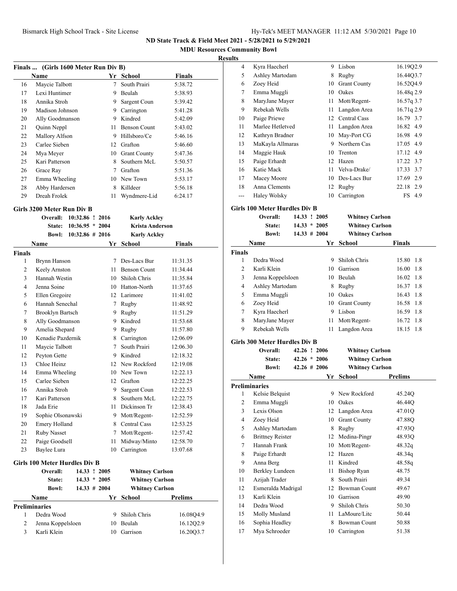**MDU Resources Community Bowl**

### **Results**

|    | Finals  (Girls 1600 Meter Run Div B) |    |                     |               |  |  |  |  |  |
|----|--------------------------------------|----|---------------------|---------------|--|--|--|--|--|
|    | Name                                 | Yr | School              | <b>Finals</b> |  |  |  |  |  |
| 16 | Maycie Talbott                       | 7  | South Prairi        | 5:38.72       |  |  |  |  |  |
| 17 | Lexi Huntimer                        | 9  | Beulah              | 5:38.93       |  |  |  |  |  |
| 18 | Annika Stroh                         | 9  | Sargent Coun        | 5:39.42       |  |  |  |  |  |
| 19 | Madison Johnson                      | 9  | Carrington          | 5:41.28       |  |  |  |  |  |
| 20 | Ally Goodmanson                      | 9  | Kindred             | 5:42.09       |  |  |  |  |  |
| 21 | Quinn Neppl                          | 11 | <b>Benson Count</b> | 5:43.02       |  |  |  |  |  |
| 22 | Mallory Alfson                       | 9  | Hillsboro/Ce        | 5:46.16       |  |  |  |  |  |
| 23 | Carlee Sieben                        | 12 | Grafton             | 5:46.60       |  |  |  |  |  |
| 24 | Mya Meyer                            | 10 | <b>Grant County</b> | 5:47.36       |  |  |  |  |  |
| 25 | Kari Patterson                       | 8  | Southern McL        | 5:50.57       |  |  |  |  |  |
| 26 | Grace Ray                            | 7  | Grafton             | 5:51.36       |  |  |  |  |  |
| 27 | Emma Wheeling                        | 10 | New Town            | 5:53.17       |  |  |  |  |  |
| 28 | Abby Hardersen                       | 8  | Killdeer            | 5:56.18       |  |  |  |  |  |
| 29 | Dreah Frolek                         | 11 | Wyndmere-Lid        | 6:24.17       |  |  |  |  |  |
|    |                                      |    |                     |               |  |  |  |  |  |

**Overall: 10:32.86 ! 2016 Karly Ackley**

#### **Girls 3200 Meter Run Div B**

|               | State:                        | $10:36.95 * 2004$  |                 | <b>Krista Anderson</b> |                |
|---------------|-------------------------------|--------------------|-----------------|------------------------|----------------|
|               | <b>Bowl:</b>                  | $10:32.86 \# 2016$ |                 | <b>Karly Ackley</b>    |                |
|               | Name                          |                    | Yr              | <b>School</b>          | Finals         |
| <b>Finals</b> |                               |                    |                 |                        |                |
| 1             | Brynn Hanson                  |                    | 7               | Des-Lacs Bur           | 11:31.35       |
| 2             | Keely Arnston                 |                    | 11              | <b>Benson Count</b>    | 11:34.44       |
| 3             | Hannah Westin                 |                    | 10              | Shiloh Chris           | 11:35.84       |
| 4             | Jenna Soine                   |                    |                 | 10 Hatton-North        | 11:37.65       |
| 5             | Ellen Gregoire                |                    |                 | 12 Larimore            | 11:41.02       |
| 6             | Hannah Senechal               |                    | $7^{\circ}$     | Rugby                  | 11:48.92       |
| 7             | <b>Brooklyn Bartsch</b>       |                    | 9               | Rugby                  | 11:51.29       |
| 8             | Ally Goodmanson               |                    | 9.              | Kindred                | 11:53.68       |
| 9             | Amelia Shepard                |                    | 9               | Rugby                  | 11:57.80       |
| 10            | Kenadie Pazdernik             |                    | 8               | Carrington             | 12:06.09       |
| 11            | Maycie Talbott                |                    | $7\phantom{.0}$ | South Prairi           | 12:06.30       |
| 12            | Peyton Gette                  |                    |                 | 9 Kindred              | 12:18.32       |
| 13            | Chloe Heinz                   |                    |                 | 12 New Rockford        | 12:19.08       |
| 14            | Emma Wheeling                 |                    |                 | 10 New Town            | 12:22.13       |
| 15            | Carlee Sieben                 |                    |                 | 12 Grafton             | 12:22.25       |
| 16            | Annika Stroh                  |                    | 9.              | Sargent Coun           | 12:22.53       |
| 17            | Kari Patterson                |                    | 8               | Southern McL           | 12:22.75       |
| 18            | Jada Erie                     |                    | 11.             | Dickinson Tr           | 12:38.43       |
| 19            | Sophie Olsonawski             |                    |                 | 9 Mott/Regent-         | 12:52.59       |
| 20            | Emery Holland                 |                    | 8               | <b>Central Cass</b>    | 12:53.25       |
| 21            | <b>Ruby Nasset</b>            |                    | 7               | Mott/Regent-           | 12:57.42       |
| 22            | Paige Goodsell                |                    | 11              | Midway/Minto           | 12:58.70       |
| 23            | Baylee Lura                   |                    | 10              | Carrington             | 13:07.68       |
|               | Girls 100 Meter Hurdles Div B |                    |                 |                        |                |
|               | Overall:                      |                    | 14.33 ! 2005    | <b>Whitney Carlson</b> |                |
|               | <b>State:</b>                 |                    | $14.33 * 2005$  | <b>Whitney Carlson</b> |                |
|               | <b>Bowl:</b>                  |                    | $14.33 \# 2004$ | <b>Whitney Carlson</b> |                |
|               | <b>Name</b>                   |                    | Yr              | School                 | <b>Prelims</b> |
|               | <b>Preliminaries</b>          |                    |                 |                        |                |
| 1             | Dedra Wood                    |                    | 9               | Shiloh Chris           | 16.08Q4.9      |
| 2             | Jenna Koppelsloen             |                    |                 | 10 Beulah              | 16.12Q2.9      |
| 3             | Karli Klein                   |                    | 10              | Garrison               | 16.20Q3.7      |

| LS             |                  |    |                     |              |
|----------------|------------------|----|---------------------|--------------|
| $\overline{4}$ | Kyra Haecherl    | 9  | Lisbon              | 16.1902.9    |
| 5              | Ashley Martodam  | 8  | Rugby               | 16.44Q3.7    |
| 6              | Zoey Heid        | 10 | <b>Grant County</b> | 16.52Q4.9    |
| 7              | Emma Muggli      | 10 | Oakes               | 16.48q 2.9   |
| 8              | MaryJane Mayer   | 11 | Mott/Regent-        | 16.57q 3.7   |
| 9              | Rebekah Wells    | 11 | Langdon Area        | 16.71q 2.9   |
| 10             | Paige Priewe     | 12 | Central Cass        | 16.79 3.7    |
| 11             | Marlee Hetletved | 11 | Langdon Area        | 16.82 4.9    |
| 12             | Kathryn Bradner  | 10 | May-Port CG         | 16.98 4.9    |
| 13             | MaKayla Allmaras | 9  | Northern Cas        | 17.05 4.9    |
| 14             | Maggie Hauk      | 10 | Trenton             | 17.12 4.9    |
| 15             | Paige Erhardt    |    | 12 Hazen            | 17.22 3.7    |
| 16             | Katie Mack       | 11 | Velva-Drake/        | 17.33 3.7    |
| 17             | Macey Moore      | 10 | Des-Lacs Bur        | 17.69<br>2.9 |
| 18             | Anna Clements    | 12 | Rugby               | 22.18<br>2.9 |
| ---            | Haley Wolsky     | 10 | Carrington          | FS 4.9       |
|                | $-1$             |    |                     |              |

## **Girls 100 Meter Hurdles Div B**

|               | Overall:<br>State:<br><b>Bowl:</b> | 14.33 ! 2005<br>$14.33 * 2005$<br>$14.33 \# 2004$ |     | <b>Whitney Carlson</b><br><b>Whitney Carlson</b><br><b>Whitney Carlson</b> |               |
|---------------|------------------------------------|---------------------------------------------------|-----|----------------------------------------------------------------------------|---------------|
|               | Name                               |                                                   | Yr. | School                                                                     | <b>Finals</b> |
| <b>Finals</b> |                                    |                                                   |     |                                                                            |               |
| 1             | Dedra Wood                         |                                                   | 9   | Shiloh Chris                                                               | 15.80<br>-1.8 |
| 2             | Karli Klein                        |                                                   | 10  | Garrison                                                                   | 16.00<br>-1.8 |
| 3             | Jenna Koppelsloen                  |                                                   | 10  | Beulah                                                                     | 16.02 1.8     |
| 4             | Ashley Martodam                    |                                                   | 8   | Rugby                                                                      | 16.37 1.8     |
| 5             | Emma Muggli                        |                                                   | 10  | Oakes                                                                      | 16.43 1.8     |
| 6             | Zoey Heid                          |                                                   | 10  | <b>Grant County</b>                                                        | 16.58 1.8     |
| 7             | Kyra Haecherl                      |                                                   | 9   | Lisbon                                                                     | 16.59<br>-1.8 |
| 8             | MaryJane Mayer                     |                                                   | 11  | Mott/Regent-                                                               | 16.72 1.8     |
| 9             | Rebekah Wells                      |                                                   | 11  | Langdon Area                                                               | 18.15 1.8     |

 $Whitney Carlson$ **State: 42.26 \* 2006 Whitney Carlson**

#### **Girls 300 Meter Hurdles Div B**

| Overall: | 42.26 ! 2006   |  |
|----------|----------------|--|
| State:   | $42.26 * 2006$ |  |

|    | <b>Bowl:</b>            | $42.26 \pm 2006$ | <b>Whitney Carlson</b> |                |
|----|-------------------------|------------------|------------------------|----------------|
|    | Name                    | Yr               | School                 | <b>Prelims</b> |
|    | <b>Preliminaries</b>    |                  |                        |                |
| 1  | Kelsie Belquist         | 9                | New Rockford           | 45.24Q         |
| 2  | Emma Muggli             | 10               | Oakes                  | 46.44Q         |
| 3  | Lexis Olson             | 12               | Langdon Area           | 47.01Q         |
| 4  | Zoey Heid               | 10               | <b>Grant County</b>    | 47.88Q         |
| 5  | Ashley Martodam         | 8                | Rugby                  | 47.93Q         |
| 6  | <b>Brittney Reister</b> | 12               | Medina-Pingr           | 48.93Q         |
| 7  | Hannah Frank            | 10               | Mott/Regent-           | 48.32q         |
| 8  | Paige Erhardt           | 12               | Hazen                  | 48.34q         |
| 9  | Anna Berg               | 11               | Kindred                | 48.58q         |
| 10 | Berkley Lundeen         | 11               | <b>Bishop Ryan</b>     | 48.75          |
| 11 | Azijah Trader           | 8                | South Prairi           | 49.34          |
| 12 | Esmeralda Madrigal      | 12               | Bowman Count           | 49.67          |
| 13 | Karli Klein             | 10               | Garrison               | 49.90          |
| 14 | Dedra Wood              | 9                | Shiloh Chris           | 50.30          |
| 15 | Molly Musland           | 11               | LaMoure/Litc           | 50.44          |
| 16 | Sophia Headley          | 8                | <b>Bowman Count</b>    | 50.88          |
| 17 | Mya Schroeder           | 10               | Carrington             | 51.38          |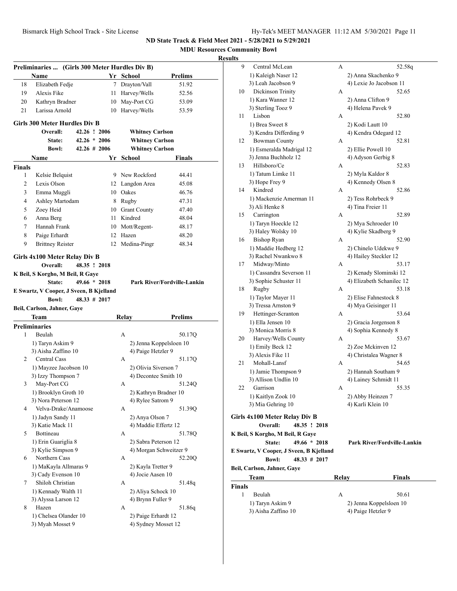| Hy-Tek's MEET MANAGER 11:12 AM 5/30/2021 Page 11 |  |  |  |
|--------------------------------------------------|--|--|--|
|--------------------------------------------------|--|--|--|

**MDU Resources Community Bowl**

| Preliminaries  (Girls 300 Meter Hurdles Div B) |                                             |  |                  |                                            |                                    |
|------------------------------------------------|---------------------------------------------|--|------------------|--------------------------------------------|------------------------------------|
|                                                | Name                                        |  |                  | Yr School                                  | <b>Prelims</b>                     |
| 18                                             | Elizabeth Fedje                             |  | 7                | Drayton/Vall                               | 51.92                              |
| 19                                             | Alexis Fike                                 |  | 11               | Harvey/Wells                               | 52.56                              |
| 20                                             | Kathryn Bradner                             |  | 10               | May-Port CG                                | 53.09                              |
| 21                                             | Larissa Arnold                              |  | 10               | Harvey/Wells                               | 53.59                              |
|                                                | <b>Girls 300 Meter Hurdles Div B</b>        |  |                  |                                            |                                    |
|                                                | Overall:                                    |  | 42.26 ! 2006     | <b>Whitney Carlson</b>                     |                                    |
|                                                | State:                                      |  | $42.26 * 2006$   | <b>Whitney Carlson</b>                     |                                    |
|                                                | <b>Bowl:</b>                                |  | $42.26 \pm 2006$ | <b>Whitney Carlson</b>                     |                                    |
|                                                | Name                                        |  |                  | Yr School                                  | Finals                             |
| Finals                                         |                                             |  |                  |                                            |                                    |
| 1                                              | Kelsie Belquist                             |  |                  | 9 New Rockford                             | 44.41                              |
| 2                                              | Lexis Olson                                 |  | 12               | Langdon Area                               | 45.08                              |
| 3                                              | Emma Muggli                                 |  |                  | 10 Oakes                                   | 46.76                              |
| 4                                              | Ashley Martodam                             |  | 8                | Rugby                                      | 47.31                              |
| 5                                              | Zoey Heid                                   |  |                  | 10 Grant County                            | 47.40                              |
| 6                                              | Anna Berg                                   |  | 11               | Kindred                                    | 48.04                              |
| 7                                              | Hannah Frank                                |  |                  | 10 Mott/Regent-                            | 48.17                              |
| 8                                              | Paige Erhardt                               |  | 12               | Hazen                                      | 48.20                              |
| 9                                              | <b>Brittney Reister</b>                     |  | 12               | Medina-Pingr                               | 48.34                              |
|                                                |                                             |  |                  |                                            |                                    |
|                                                | Girls 4x100 Meter Relay Div B               |  |                  |                                            |                                    |
|                                                | Overall:                                    |  | 48.35 ! 2018     |                                            |                                    |
|                                                | K Beil, S Korgho, M Beil, R Gaye            |  |                  |                                            |                                    |
|                                                | State:                                      |  | $49.66 * 2018$   |                                            | <b>Park River/Fordville-Lankin</b> |
|                                                | E Swartz, V Cooper, J Sveen, B Kjelland     |  |                  |                                            |                                    |
|                                                |                                             |  |                  |                                            |                                    |
|                                                | <b>Bowl:</b>                                |  | $48.33 \# 2017$  |                                            |                                    |
|                                                | Beil, Carlson, Jahner, Gaye                 |  |                  |                                            |                                    |
|                                                | Team                                        |  |                  | Relay                                      | Prelims                            |
|                                                | Preliminaries                               |  |                  |                                            |                                    |
| 1                                              | Beulah                                      |  |                  | А                                          | 50.17Q                             |
|                                                | 1) Taryn Askim 9                            |  |                  | 2) Jenna Koppelsloen 10                    |                                    |
|                                                | 3) Aisha Zaffino 10                         |  |                  | 4) Paige Hetzler 9                         |                                    |
| $\overline{2}$                                 | Central Cass                                |  |                  | А                                          | 51.17Q                             |
|                                                | 1) Mayzee Jacobson 10                       |  |                  | 2) Olivia Siverson 7                       |                                    |
|                                                | 3) Izzy Thompson 7                          |  |                  | 4) Decontee Smith 10                       |                                    |
| 3                                              | May-Port CG                                 |  |                  | A                                          | 51.24Q                             |
|                                                | 1) Brooklyn Groth 10                        |  |                  | 2) Kathryn Bradner 10                      |                                    |
| 4                                              | 3) Nora Peterson 12<br>Velva-Drake/Anamoose |  |                  | 4) Rylee Satrom 9<br>А                     |                                    |
|                                                |                                             |  |                  |                                            | 51.39Q                             |
|                                                | 1) Jadyn Sandy 11<br>3) Katie Mack 11       |  |                  | 2) Anya Olson 7<br>4) Maddie Effertz 12    |                                    |
| 5                                              | Bottineau                                   |  |                  | А                                          | 51.78Q                             |
|                                                | 1) Erin Guariglia 8                         |  |                  | 2) Sabra Peterson 12                       |                                    |
|                                                | 3) Kylie Simpson 9                          |  |                  | 4) Morgan Schweitzer 9                     |                                    |
| 6                                              | Northern Cass                               |  |                  | А                                          | 52.20Q                             |
|                                                | 1) MaKayla Allmaras 9                       |  |                  | 2) Kayla Tretter 9                         |                                    |
|                                                | 3) Cady Evenson 10                          |  |                  | 4) Jocie Aasen 10                          |                                    |
| 7                                              | Shiloh Christian                            |  |                  | А                                          | 51.48q                             |
|                                                | 1) Kennady Walth 11                         |  |                  | 2) Aliya Schock 10                         |                                    |
|                                                | 3) Alyssa Larson 12                         |  |                  | 4) Brynn Fuller 9                          |                                    |
| 8                                              | Hazen                                       |  |                  | А                                          | 51.86q                             |
|                                                | 1) Chelsea Olander 10<br>3) Myah Mosset 9   |  |                  | 2) Paige Erhardt 12<br>4) Sydney Mosset 12 |                                    |

| 9      | Central McLean                          | А     | 52.58q                             |
|--------|-----------------------------------------|-------|------------------------------------|
|        | 1) Kaleigh Naser 12                     |       | 2) Anna Skachenko 9                |
|        | 3) Leah Jacobson 9                      |       | 4) Lexie Jo Jacobson 11            |
| 10     | Dickinson Trinity                       | A     | 52.65                              |
|        | 1) Kara Wanner 12                       |       | 2) Anna Clifton 9                  |
|        | 3) Sterling Tooz 9                      |       | 4) Helena Pavek 9                  |
| 11     | Lisbon                                  | A     | 52.80                              |
|        |                                         |       |                                    |
|        | 1) Brea Sweet 8                         |       | 2) Kodi Lautt 10                   |
|        | 3) Kendra Differding 9                  |       | 4) Kendra Odegard 12               |
| 12     | <b>Bowman County</b>                    | А     | 52.81                              |
|        | 1) Esmeralda Madrigal 12                |       | 2) Ellie Powell 10                 |
|        | 3) Jenna Buchholz 12                    |       | 4) Adyson Gerbig 8                 |
| 13     | Hillsboro/Ce                            | А     | 52.83                              |
|        | 1) Tatum Limke 11                       |       | 2) Myla Kaldor 8                   |
|        | 3) Hope Frey 9                          |       | 4) Kennedy Olsen 8                 |
| 14     | Kindred                                 | A     | 52.86                              |
|        | 1) Mackenzie Amerman 11                 |       | 2) Tess Rohrbeck 9                 |
|        | 3) Ali Henke 8                          |       | 4) Tina Freier 11                  |
| 15     | Carrington                              | A     | 52.89                              |
|        | 1) Taryn Hoeckle 12                     |       | 2) Mya Schroeder 10                |
|        | 3) Haley Wolsky 10                      |       | 4) Kylie Skadberg 9                |
| 16     | <b>Bishop Ryan</b>                      | A     | 52.90                              |
|        | 1) Maddie Hedberg 12                    |       | 2) Chinelo Udekwe 9                |
|        | 3) Rachel Nwankwo 8                     |       | 4) Hailey Steckler 12              |
| 17     | Midway/Minto                            | А     | 53.17                              |
|        | 1) Cassandra Severson 11                |       | 2) Kenady Slominski 12             |
|        | 3) Sophie Schuster 11                   |       | 4) Elizabeth Schanilec 12          |
| 18     | Rugby                                   | А     | 53.18                              |
|        | 1) Taylor Mayer 11                      |       | 2) Elise Fahnestock 8              |
|        | 3) Tressa Arnston 9                     |       | 4) Mya Geisinger 11                |
| 19     | Hettinger-Scranton                      | А     | 53.64                              |
|        | 1) Ella Jensen 10                       |       | 2) Gracia Jorgenson 8              |
|        | 3) Monica Morris 8                      |       | 4) Sophia Kennedy 8                |
| 20     | Harvey/Wells County                     | А     | 53.67                              |
|        | 1) Emily Beck 12                        |       | 2) Zoe Mckinven 12                 |
|        | 3) Alexis Fike 11                       |       | 4) Christalea Wagner 8             |
|        | Mohall-Lansf                            |       | 54.65                              |
| 21     |                                         | А     |                                    |
|        | 1) Jamie Thompson 9                     |       | 2) Hannah Southam 9                |
|        | 3) Allison Undlin 10                    |       | 4) Lainey Schmidt 11               |
| 22     | Garrison                                | А     | 55.35                              |
|        | 1) Kaitlyn Zook 10                      |       | 2) Abby Heinzen 7                  |
|        | 3) Mia Gehring 10                       |       | 4) Karli Klein 10                  |
|        | Girls 4x100 Meter Relay Div B           |       |                                    |
|        | Overall:<br>48.35 ! 2018                |       |                                    |
|        | K Beil, S Korgho, M Beil, R Gaye        |       |                                    |
|        | $49.66 * 2018$<br>State:                |       | <b>Park River/Fordville-Lankin</b> |
|        | E Swartz, V Cooper, J Sveen, B Kjelland |       |                                    |
|        | 48.33 # 2017<br><b>Bowl:</b>            |       |                                    |
|        | Beil, Carlson, Jahner, Gaye             |       |                                    |
|        |                                         |       |                                    |
|        | Team                                    | Relay | <b>Finals</b>                      |
| Finals |                                         |       |                                    |
| 1      | Beulah                                  | A     | 50.61                              |
|        | 1) Taryn Askim 9                        |       | 2) Jenna Koppelsloen 10            |
|        | 3) Aisha Zaffino 10                     |       | 4) Paige Hetzler 9                 |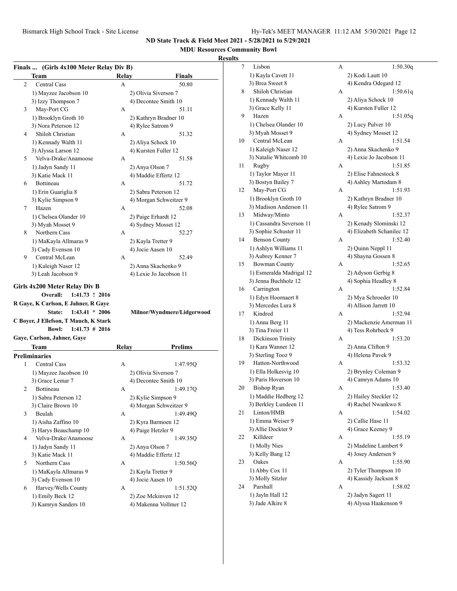## **MDU Resources Community Bowl**

|                | Team                                                                | <b>Relay</b> | Finals                                      |
|----------------|---------------------------------------------------------------------|--------------|---------------------------------------------|
| $\overline{c}$ | <b>Central Cass</b>                                                 | A            | 50.80                                       |
|                | 1) Mayzee Jacobson 10                                               |              | 2) Olivia Siverson 7                        |
|                | 3) Izzy Thompson 7                                                  |              | 4) Decontee Smith 10                        |
| 3              | May-Port CG                                                         | A            | 51.11                                       |
|                | 1) Brooklyn Groth 10                                                |              | 2) Kathryn Bradner 10                       |
|                | 3) Nora Peterson 12                                                 |              | 4) Rylee Satrom 9                           |
| 4              | Shiloh Christian                                                    | А            | 51.32                                       |
|                | 1) Kennady Walth 11                                                 |              | 2) Aliya Schock 10                          |
|                | 3) Alyssa Larson 12                                                 |              | 4) Kursten Fuller 12                        |
| 5              | Velva-Drake/Anamoose                                                | А            | 51.58                                       |
|                | 1) Jadyn Sandy 11                                                   |              | 2) Anya Olson 7                             |
|                | 3) Katie Mack 11                                                    |              | 4) Maddie Effertz 12                        |
| 6              | Bottineau                                                           | A            | 51.72                                       |
|                |                                                                     |              |                                             |
|                | 1) Erin Guariglia 8                                                 |              | 2) Sabra Peterson 12                        |
|                | 3) Kylie Simpson 9                                                  |              | 4) Morgan Schweitzer 9                      |
| 7              | Hazen                                                               | А            | 52.08                                       |
|                | 1) Chelsea Olander 10                                               |              | 2) Paige Erhardt 12                         |
|                | 3) Myah Mosset 9                                                    |              | 4) Sydney Mosset 12                         |
| 8              | Northern Cass                                                       | А            | 52.27                                       |
|                | 1) MaKayla Allmaras 9                                               |              | 2) Kayla Tretter 9                          |
|                | 3) Cady Evenson 10                                                  |              | 4) Jocie Aasen 10                           |
| 9              | Central McLean                                                      | А            | 52.49                                       |
|                | 1) Kaleigh Naser 12                                                 |              | 2) Anna Skachenko 9                         |
|                | 3) Leah Jacobson 9                                                  |              | 4) Lexie Jo Jacobson 11                     |
|                | State:<br>$1:43.41 * 2006$<br>C Boyer, J Ellefson, T Mauch, K Stark |              | Milnor/Wyndmere/Lidgerwood                  |
|                | <b>Bowl:</b><br>$1:41.73 \# 2016$                                   |              |                                             |
|                | Gaye, Carlson, Jahner, Gaye                                         |              |                                             |
|                | Team                                                                | Relay        | <b>Prelims</b>                              |
|                | <b>Preliminaries</b>                                                |              |                                             |
| 1              | Central Cass                                                        | A            | 1:47.95Q                                    |
|                | 1) Mayzee Jacobson 10                                               |              | 2) Olivia Siverson 7                        |
|                | 3) Grace Lemar 7                                                    |              | 4) Decontee Smith 10                        |
| 2              | Bottineau                                                           | А            | 1:49.17Q                                    |
|                | 1) Sabra Peterson 12                                                |              | 2) Kylie Simpson 9                          |
|                | 3) Claire Brown 10                                                  |              | 4) Morgan Schweitzer 9                      |
| 3              | Beulah                                                              | А            | 1:49.49Q                                    |
|                | 1) Aisha Zaffino 10                                                 |              | 2) Kyra Barmoen 12                          |
|                | 3) Harys Beauchamp 10                                               |              | 4) Paige Hetzler 9                          |
| 4              | Velva-Drake/Anamoose                                                | А            | 1:49.35Q                                    |
|                | 1) Jadyn Sandy 11                                                   |              | 2) Anya Olson 7                             |
|                | 3) Katie Mack 11                                                    |              | 4) Maddie Effertz 12                        |
| 5              | Northern Cass                                                       | А            | 1:50.56Q                                    |
|                | 1) MaKayla Allmaras 9                                               |              | 2) Kayla Tretter 9                          |
|                | 3) Cady Evenson 10                                                  |              | 4) Jocie Aasen 10                           |
| 6              | Harvey/Wells County                                                 | А            | 1:51.52Q                                    |
|                | 1) Emily Beck 12<br>3) Kamryn Sanders 10                            |              | 2) Zoe Mckinven 12<br>4) Makenna Vollmer 12 |

| 7  | Lisbon                                    | А | 1:50.30q                                     |
|----|-------------------------------------------|---|----------------------------------------------|
|    | 1) Kayla Cavett 11                        |   | 2) Kodi Lautt 10                             |
|    | 3) Brea Sweet 8                           |   | 4) Kendra Odegard 12                         |
| 8  | Shiloh Christian                          | А | 1:50.61q                                     |
|    | 1) Kennady Walth 11                       |   | 2) Aliya Schock 10                           |
|    | 3) Grace Kelly 11                         |   | 4) Kursten Fuller 12                         |
| 9  | Hazen                                     | А | 1:51.05q                                     |
|    | 1) Chelsea Olander 10                     |   | 2) Lucy Pulver 10                            |
|    | 3) Myah Mosset 9                          |   | 4) Sydney Mosset 12                          |
| 10 | Central McLean                            | А | 1:51.54                                      |
|    | 1) Kaleigh Naser 12                       |   | 2) Anna Skachenko 9                          |
|    | 3) Natalie Whitcomb 10                    |   | 4) Lexie Jo Jacobson 11                      |
| 11 | Rugby                                     | А | 1:51.85                                      |
|    | 1) Taylor Mayer 11                        |   | 2) Elise Fahnestock 8                        |
|    | 3) Bostyn Bailey 7                        |   | 4) Ashley Martodam 8                         |
| 12 | May-Port CG                               | А | 1:51.93                                      |
|    | 1) Brooklyn Groth 10                      |   | 2) Kathryn Bradner 10                        |
|    | 3) Madison Anderson 11                    |   | 4) Rylee Satrom 9                            |
| 13 | Midway/Minto                              | А | 1:52.37                                      |
|    | 1) Cassandra Severson 11                  |   | 2) Kenady Slominski 12                       |
|    | 3) Sophie Schuster 11                     |   | 4) Elizabeth Schanilec 12                    |
| 14 | <b>Benson County</b>                      | А | 1:52.40                                      |
|    | 1) Ashlyn Williams 11                     |   |                                              |
|    | 3) Aubrey Kenner 7                        |   | 2) Quinn Neppl 11<br>4) Shayna Gossen 8      |
| 15 | <b>Bowman County</b>                      | А | 1:52.65                                      |
|    | 1) Esmeralda Madrigal 12                  |   |                                              |
|    | 3) Jenna Buchholz 12                      |   | 2) Adyson Gerbig 8<br>4) Sophia Headley 8    |
| 16 | Carrington                                | А | 1:52.84                                      |
|    |                                           |   |                                              |
|    | 1) Edyn Hoornaert 8<br>3) Mercedes Lura 8 |   | 2) Mya Schroeder 10<br>4) Allison Jarrett 10 |
| 17 | Kindred                                   | А | 1:52.94                                      |
|    |                                           |   |                                              |
|    | 1) Anna Berg 11                           |   | 2) Mackenzie Amerman 11                      |
|    | 3) Tina Freier 11                         |   | 4) Tess Rohrbeck 9<br>1:53.20                |
| 18 | Dickinson Trinity                         | А |                                              |
|    | 1) Kara Wanner 12                         |   | 2) Anna Clifton 9                            |
|    | 3) Sterling Tooz 9                        |   | 4) Helena Pavek 9                            |
| 19 | Hatton-Northwood                          | А | 1:53.32                                      |
|    | 1) Ella Holkesvig 10                      |   | 2) Brynley Coleman 9                         |
|    | 3) Paris Hoverson 10                      |   | 4) Camryn Adams 10                           |
| 20 | <b>Bishop Ryan</b>                        | А | 1:53.40                                      |
|    | 1) Maddie Hedberg 12                      |   | 2) Hailey Steckler 12                        |
|    | 3) Berkley Lundeen 11                     |   | 4) Rachel Nwankwo 8                          |
| 21 | Linton/HMB                                | А | 1:54.02                                      |
|    | 1) Emma Weiser 9                          |   | 2) Callie Hase 11                            |
|    | 3) Allie Dockter 9                        |   | 4) Grace Keeney 9                            |
| 22 | Killdeer                                  | А | 1:55.19                                      |
|    | 1) Molly Nies                             |   | 2) Madeline Lambert 9                        |
|    | 3) Kelly Bang 12                          |   | 4) Josey Andersen 9                          |
| 23 | Oakes                                     | А | 1:55.90                                      |
|    | 1) Abby Cox 11                            |   | 2) Tyler Thompson 10                         |
|    | 3) Molly Sitzler                          |   | 4) Kassidy Jackson 8                         |
| 24 | Parshall                                  | A | 1:58.02                                      |
|    | 1) Jayln Hall 12                          |   | 2) Jadyn Sagert 11                           |
|    | 3) Jade Alkire 8                          |   | 4) Alyssa Haakenson 9                        |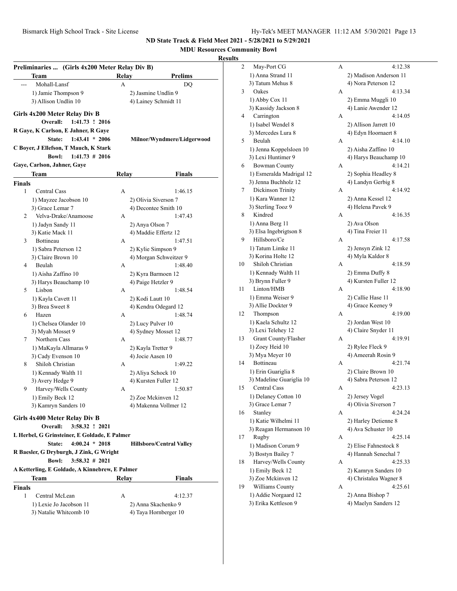**MDU Resources Community Bowl**

|               | Preliminaries  (Girls 4x200 Meter Relay Div B)                               |       |                                 |
|---------------|------------------------------------------------------------------------------|-------|---------------------------------|
|               | Team                                                                         | Relay | <b>Prelims</b>                  |
|               | Mohall-Lansf                                                                 | А     | DO                              |
|               | 1) Jamie Thompson 9                                                          |       | 2) Jasmine Undlin 9             |
|               | 3) Allison Undlin 10                                                         |       | 4) Lainey Schmidt 11            |
|               | Girls 4x200 Meter Relay Div B<br>Overall:<br>1:41.73 ! 2016                  |       |                                 |
|               | R Gaye, K Carlson, E Jahner, R Gaye<br>State:<br>$1:43.41 * 2006$            |       | Milnor/Wyndmere/Lidgerwood      |
|               | C Boyer, J Ellefson, T Mauch, K Stark                                        |       |                                 |
|               | <b>Bowl:</b><br>$1:41.73 \# 2016$                                            |       |                                 |
|               | Gaye, Carlson, Jahner, Gaye                                                  |       |                                 |
|               | Team                                                                         | Relay | <b>Finals</b>                   |
| <b>Finals</b> |                                                                              |       |                                 |
| 1             | <b>Central Cass</b>                                                          | А     | 1:46.15                         |
|               | 1) Mayzee Jacobson 10                                                        |       | 2) Olivia Siverson 7            |
|               | 3) Grace Lemar 7                                                             |       | 4) Decontee Smith 10            |
| 2             | Velva-Drake/Anamoose                                                         | А     | 1:47.43                         |
|               | 1) Jadyn Sandy 11                                                            |       | 2) Anya Olson 7                 |
|               | 3) Katie Mack 11                                                             |       | 4) Maddie Effertz 12            |
| 3             | <b>Bottineau</b>                                                             | А     | 1:47.51                         |
|               | 1) Sabra Peterson 12                                                         |       | 2) Kylie Simpson 9              |
|               | 3) Claire Brown 10                                                           |       | 4) Morgan Schweitzer 9          |
| 4             | Beulah                                                                       | А     | 1:48.40                         |
|               | 1) Aisha Zaffino 10                                                          |       | 2) Kyra Barmoen 12              |
|               | 3) Harys Beauchamp 10                                                        |       | 4) Paige Hetzler 9              |
| 5             | Lisbon                                                                       | А     | 1:48.54                         |
|               | 1) Kayla Cavett 11                                                           |       | 2) Kodi Lautt 10                |
|               | 3) Brea Sweet 8                                                              |       | 4) Kendra Odegard 12            |
| 6             | Hazen                                                                        | А     | 1:48.74                         |
|               | 1) Chelsea Olander 10                                                        |       | 2) Lucy Pulver 10               |
|               | 3) Myah Mosset 9                                                             |       | 4) Sydney Mosset 12             |
| 7             | Northern Cass                                                                | А     | 1:48.77                         |
|               | 1) MaKayla Allmaras 9                                                        |       | 2) Kayla Tretter 9              |
|               | 3) Cady Evenson 10                                                           |       | 4) Jocie Aasen 10               |
| 8             | Shiloh Christian                                                             | А     | 1:49.22                         |
|               | 1) Kennady Walth 11                                                          |       | 2) Aliya Schock 10              |
|               | 3) Avery Hedge 9                                                             |       | 4) Kursten Fuller 12            |
| 9             | Harvey/Wells County                                                          | А     | 1:50.87                         |
|               | 1) Emily Beck 12                                                             |       | 2) Zoe Mckinven 12              |
|               | 3) Kamryn Sanders 10                                                         |       | 4) Makenna Vollmer 12           |
|               |                                                                              |       |                                 |
|               | Girls 4x400 Meter Relay Div B<br>3:58.32 ! 2021<br>Overall:                  |       |                                 |
|               |                                                                              |       |                                 |
|               | L Herbel, G Grinsteiner, E Goldade, E Palmer                                 |       |                                 |
|               | $4:00.24 * 2018$<br>State:                                                   |       | <b>Hillsboro/Central Valley</b> |
|               | R Baesler, G Dryburgh, J Zink, G Wright<br>$3:58.32 \# 2021$<br><b>Bowl:</b> |       |                                 |
|               | A Ketterling, E Goldade, A Kinnebrew, E Palmer                               |       |                                 |
|               | Team                                                                         | Relay | Finals                          |
| <b>Finals</b> |                                                                              |       |                                 |
| 1             | Central McLean                                                               | А     | 4:12.37                         |
|               | 1) Lexie Jo Jacobson 11                                                      |       | 2) Anna Skachenko 9             |
|               | 3) Natalie Whitcomb 10                                                       |       | 4) Taya Hornberger 10           |
|               |                                                                              |       |                                 |

| 2  | May-Port CG                                  | А | 4:12.38                                  |
|----|----------------------------------------------|---|------------------------------------------|
|    | 1) Anna Strand 11                            |   | 2) Madison Anderson 11                   |
|    | 3) Tatum Mehus 8                             |   | 4) Nora Peterson 12                      |
| 3  | Oakes                                        | А | 4:13.34                                  |
|    | 1) Abby Cox 11                               |   | 2) Emma Muggli 10                        |
|    | 3) Kassidy Jackson 8                         |   | 4) Lanie Awender 12                      |
| 4  | Carrington                                   | А | 4:14.05                                  |
|    | 1) Isabel Wendel 8                           |   | 2) Allison Jarrett 10                    |
|    | 3) Mercedes Lura 8                           |   | 4) Edyn Hoornaert 8                      |
| 5  | Beulah                                       | А | 4:14.10                                  |
|    | 1) Jenna Koppelsloen 10                      |   | 2) Aisha Zaffino 10                      |
|    | 3) Lexi Huntimer 9                           |   | 4) Harys Beauchamp 10                    |
| 6  | <b>Bowman County</b>                         | А | 4:14.21                                  |
|    | 1) Esmeralda Madrigal 12                     |   | 2) Sophia Headley 8                      |
|    | 3) Jenna Buchholz 12                         |   | 4) Landyn Gerbig 8                       |
| 7  | Dickinson Trinity                            | А | 4:14.92                                  |
|    | 1) Kara Wanner 12                            |   | 2) Anna Kessel 12                        |
|    | 3) Sterling Tooz 9                           |   | 4) Helena Pavek 9                        |
| 8  | Kindred                                      | А | 4:16.35                                  |
|    | 1) Anna Berg 11                              |   | 2) Ava Olson                             |
|    | 3) Elsa Ingebrigtson 8                       |   | 4) Tina Freier 11                        |
| 9  | Hillsboro/Ce                                 | А | 4:17.58                                  |
|    | 1) Tatum Limke 11                            |   | 2) Jensyn Zink 12                        |
|    | 3) Korina Holte 12                           |   | 4) Myla Kaldor 8                         |
| 10 | Shiloh Christian                             | A | 4:18.59                                  |
|    | 1) Kennady Walth 11                          |   | 2) Emma Duffy 8                          |
|    | 3) Brynn Fuller 9                            |   | 4) Kursten Fuller 12                     |
| 11 | Linton/HMB                                   | А | 4:18.90                                  |
|    | 1) Emma Weiser 9                             |   | 2) Callie Hase 11                        |
|    | 3) Allie Dockter 9                           |   | 4) Grace Keeney 9                        |
| 12 | Thompson                                     | А | 4:19.00                                  |
|    | 1) Kaela Schultz 12                          |   | 2) Jordan West 10                        |
|    | 3) Lexi Telehey 12                           |   | 4) Claire Snyder 11                      |
| 13 | Grant County/Flasher                         | А | 4:19.91                                  |
|    | 1) Zoey Heid 10                              |   | 2) Rylee Fleck 9                         |
|    | 3) Mya Meyer 10                              |   | 4) Ameerah Rosin 9                       |
| 14 | Bottineau                                    | А | 4:21.74                                  |
|    | 1) Erin Guariglia 8                          |   | 2) Claire Brown 10                       |
|    | 3) Madeline Guariglia 10                     |   | 4) Sabra Peterson 12                     |
| 15 | Central Cass                                 | А | 4:23.13                                  |
|    | 1) Delaney Cotton 10                         |   | 2) Jersey Vogel                          |
|    | 3) Grace Lemar 7                             |   | 4) Olivia Siverson 7                     |
| 16 | Stanley                                      | А | 4:24.24                                  |
|    | 1) Katie Wilhelmi 11                         |   | 2) Harley Detienne 8                     |
|    | 3) Reagan Hermanson 10                       |   | 4) Ava Schuster 10                       |
| 17 | Rugby                                        | А | 4:25.14                                  |
|    | 1) Madison Corum 9                           |   | 2) Elise Fahnestock 8                    |
|    | 3) Bostyn Bailey 7                           |   | 4) Hannah Senechal 7                     |
| 18 | Harvey/Wells County                          | А | 4:25.33                                  |
|    | 1) Emily Beck 12                             |   | 2) Kamryn Sanders 10                     |
|    | 3) Zoe Mckinven 12                           |   | 4) Christalea Wagner 8                   |
| 19 | Williams County                              | А | 4:25.61                                  |
|    |                                              |   |                                          |
|    | 1) Addie Norgaard 12<br>3) Erika Kettleson 9 |   | 2) Anna Bishop 7<br>4) Maelyn Sanders 12 |
|    |                                              |   |                                          |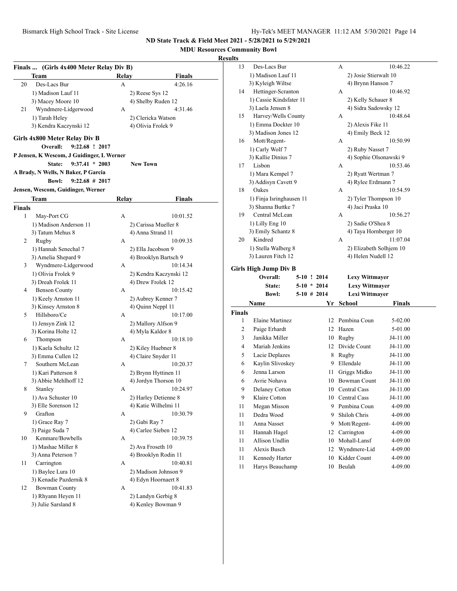**MDU Resources Community Bowl**

|               | Finals  (Girls 4x400 Meter Relay Div B)   |              |                        |
|---------------|-------------------------------------------|--------------|------------------------|
|               | Team                                      | Relav        | Finals                 |
| 20            | Des-Lacs Bur                              | А            | 4:26.16                |
|               | 1) Madison Lauf 11                        |              | 2) Reese Sys 12        |
|               | 3) Macey Moore 10                         |              | 4) Shelby Ruden 12     |
| 21            | Wyndmere-Lidgerwood                       | А            | 4:31.46                |
|               | 1) Tarah Heley                            |              | 2) Clericka Watson     |
|               | 3) Kendra Kaczynski 12                    |              | 4) Olivia Frolek 9     |
|               |                                           |              |                        |
|               | Girls 4x800 Meter Relay Div B             |              |                        |
|               | Overall:<br>9:22.68 ! 2017                |              |                        |
|               | P Jensen, K Wescom, J Guidinger, L Werner |              |                        |
|               | $9:37.41 * 2003$<br><b>State:</b>         |              | <b>New Town</b>        |
|               | A Brady, N Wells, N Baker, P Garcia       |              |                        |
|               | $9:22.68$ # 2017<br><b>Bowl:</b>          |              |                        |
|               | Jensen, Wescom, Guidinger, Werner         |              |                        |
|               | Team                                      | <b>Relay</b> | Finals                 |
| <b>Finals</b> |                                           |              |                        |
| 1             | May-Port CG                               | А            | 10:01.52               |
|               | 1) Madison Anderson 11                    |              | 2) Carissa Mueller 8   |
|               | 3) Tatum Mehus 8                          |              | 4) Anna Strand 11      |
| 2             | Rugby                                     | А            | 10:09.35               |
|               | 1) Hannah Senechal 7                      |              | 2) Ella Jacobson 9     |
|               | 3) Amelia Shepard 9                       |              | 4) Brooklyn Bartsch 9  |
| 3             | Wyndmere-Lidgerwood                       | А            | 10:14.34               |
|               | 1) Olivia Frolek 9                        |              | 2) Kendra Kaczynski 12 |
|               | 3) Dreah Frolek 11                        |              | 4) Drew Frolek 12      |
| 4             | <b>Benson County</b>                      | А            | 10:15.42               |
|               | 1) Keely Arnston 11                       |              | 2) Aubrey Kenner 7     |
|               | 3) Kinsey Arnston 8                       |              | 4) Quinn Neppl 11      |
| 5             | Hillsboro/Ce                              | А            | 10:17.00               |
|               | 1) Jensyn Zink 12                         |              | 2) Mallory Alfson 9    |
|               | 3) Korina Holte 12                        |              | 4) Myla Kaldor 8       |
| 6             | Thompson                                  | А            | 10:18.10               |
|               | 1) Kaela Schultz 12                       |              | 2) Kiley Huebner 8     |
|               | 3) Emma Cullen 12                         |              | 4) Claire Snyder 11    |
| 7             | Southern McLean                           | А            | 10:20.37               |
|               | 1) Kari Patterson 8                       |              | 2) Brynn Hyttinen 11   |
|               | 3) Abbie Mehlhoff 12                      |              | 4) Jordyn Thorson 10   |
| 8             | Stanley                                   | А            | 10:24.97               |
|               | 1) Ava Schuster 10                        |              | 2) Harley Detienne 8   |
|               | 3) Elle Sorenson 12                       |              | 4) Katie Wilhelmi 11   |
| 9             | Grafton                                   | А            | 10:30.79               |
|               | 1) Grace Ray 7                            |              | 2) Gabi Ray 7          |
|               | 3) Paige Suda 7                           |              | 4) Carlee Sieben 12    |
| 10            | Kenmare/Bowbells                          | А            | 10:39.75               |
|               | 1) Mashae Miller 8                        |              | 2) Ava Froseth 10      |
|               | 3) Anna Peterson 7                        |              | 4) Brooklyn Rodin 11   |
| 11            | Carrington                                | А            | 10:40.81               |
|               | 1) Baylee Lura 10                         |              | 2) Madison Johnson 9   |
|               | 3) Kenadie Pazdernik 8                    |              | 4) Edyn Hoornaert 8    |
| 12            | <b>Bowman County</b>                      | А            | 10:41.83               |
|               | 1) Rhyann Heyen 11                        |              | 2) Landyn Gerbig 8     |
|               | 3) Julie Sarsland 8                       |              | 4) Kenley Bowman 9     |
|               |                                           |              |                        |
|               |                                           |              |                        |

| 13                 | Des-Lacs Bur                             |                                | А                                       | 10:46.22           |  |
|--------------------|------------------------------------------|--------------------------------|-----------------------------------------|--------------------|--|
|                    | 1) Madison Lauf 11                       |                                | 2) Josie Stierwalt 10                   |                    |  |
|                    | 3) Kyleigh Wiltse                        |                                | 4) Brynn Hanson 7                       |                    |  |
| 14                 | Hettinger-Scranton                       |                                | А                                       | 10:46.92           |  |
|                    | 1) Cassie Kindsfater 11                  |                                | 2) Kelly Schauer 8                      |                    |  |
|                    | 3) Laela Jensen 8                        |                                | 4) Sidra Sadowsky 12                    |                    |  |
| 15                 | Harvey/Wells County                      |                                | А                                       | 10:48.64           |  |
|                    | 1) Emma Dockter 10                       |                                | 2) Alexis Fike 11                       |                    |  |
|                    | 3) Madison Jones 12                      |                                | 4) Emily Beck 12                        |                    |  |
| 16                 | Mott/Regent-                             |                                | А                                       | 10:50.99           |  |
|                    | 1) Carly Wolf 7                          |                                | 2) Ruby Nasset 7                        |                    |  |
|                    | 3) Kallie Dinius 7                       |                                | 4) Sophie Olsonawski 9                  |                    |  |
| 17                 | Lisbon                                   |                                | А                                       | 10:53.46           |  |
|                    | 1) Mara Kempel 7                         |                                | 2) Ryatt Wertman 7                      |                    |  |
|                    | 3) Addisyn Cavett 9                      |                                | 4) Rylee Erdmann 7                      |                    |  |
| 18                 | Oakes                                    |                                | А                                       | 10:54.59           |  |
|                    | 1) Finja Isringhausen 11                 |                                | 2) Tyler Thompson 10                    |                    |  |
|                    | 3) Shanna Buttke 7                       |                                | 4) Jaci Praska 10                       |                    |  |
| 19                 | Central McLean                           |                                | А                                       | 10:56.27           |  |
|                    | 1) Lilly Eng 10                          |                                | 2) Sadie O'Shea 8                       |                    |  |
|                    | 3) Emily Schantz 8                       |                                | 4) Taya Hornberger 10                   |                    |  |
| 20                 | Kindred                                  |                                | А                                       | 11:07.04           |  |
|                    | 1) Stella Walberg 8                      |                                | 2) Elizabeth Solhjem 10                 |                    |  |
|                    | 3) Lauren Fitch 12                       |                                | 4) Helen Nudell 12                      |                    |  |
|                    |                                          |                                |                                         |                    |  |
|                    |                                          |                                |                                         |                    |  |
|                    | <b>Girls High Jump Div B</b><br>Overall: | 5-10 ! 2014                    |                                         |                    |  |
|                    | State:                                   |                                | <b>Lexy Wittmayer</b>                   |                    |  |
|                    | <b>Bowl:</b>                             | $5-10 * 2014$<br>$5-10$ # 2014 | <b>Lexy Wittmayer</b><br>Lexi Wittmayer |                    |  |
|                    |                                          |                                |                                         |                    |  |
|                    | Name                                     | Yr                             | School                                  | Finals             |  |
| <b>Finals</b><br>1 | Elaine Martinez                          | 12                             | Pembina Coun                            |                    |  |
|                    |                                          | 12                             |                                         | 5-02.00            |  |
| 2                  | Paige Erhardt<br>Janikka Miller          |                                | Hazen                                   | 5-01.00            |  |
| 3<br>4             |                                          | 10<br>12                       | Rugby<br>Divide Count                   | J4-11.00           |  |
|                    | Mariah Jenkins                           |                                |                                         | J4-11.00           |  |
| 5                  | Lacie Deplazes                           | 8<br>9                         | Rugby<br>Ellendale                      | J4-11.00           |  |
| 6                  | Kaylin Slivoskey                         |                                |                                         | J4-11.00           |  |
| 6                  | Jenna Larson                             | 11                             | Griggs Midko                            | J4-11.00           |  |
| 6                  | Avrie Nohava                             | 10                             | <b>Bowman Count</b>                     | J4-11.00           |  |
| 9                  | Delaney Cotton                           |                                | 10 Central Cass                         | J4-11.00           |  |
| 9                  | Klaire Cotton                            |                                | 10 Central Cass                         | J4-11.00           |  |
| 11                 | Megan Misson                             | 9.                             | Pembina Coun                            | 4-09.00            |  |
| 11                 | Dedra Wood                               | 9                              | Shiloh Chris                            | 4-09.00            |  |
| 11                 | Anna Nasset                              | 9                              | Mott/Regent-                            | 4-09.00            |  |
| 11                 | Hannah Hagel                             | 12                             | Carrington                              | 4-09.00            |  |
| 11                 | Allison Undlin                           | 10                             | Mohall-Lansf                            | 4-09.00            |  |
| 11                 | Alexis Busch                             | 12                             | Wyndmere-Lid                            | 4-09.00            |  |
| 11<br>11           | Kennedy Harter<br>Harys Beauchamp        | 10<br>10                       | Kidder Count<br>Beulah                  | 4-09.00<br>4-09.00 |  |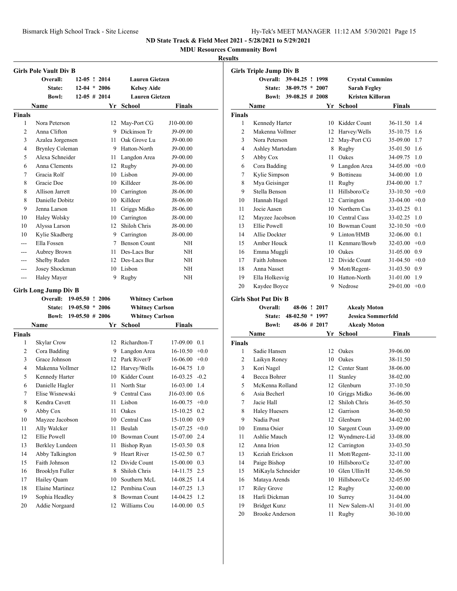**MDU Resources Community Bowl**

|               | <b>Girls Pole Vault Div B</b>            |                    |      |                        |                  |         |
|---------------|------------------------------------------|--------------------|------|------------------------|------------------|---------|
|               | Overall:                                 | $12-05$ ! 2014     |      | <b>Lauren Gietzen</b>  |                  |         |
|               | State:                                   | $12-04 * 2006$     |      | <b>Kelsev Aide</b>     |                  |         |
|               | <b>Bowl:</b>                             | $12-05 \# 2014$    |      | <b>Lauren Gietzen</b>  |                  |         |
|               | Name                                     |                    | Yr   | School                 | Finals           |         |
| <b>Finals</b> |                                          |                    |      |                        |                  |         |
| 1             | Nora Peterson                            |                    | 12   | May-Port CG            | J10-00.00        |         |
| 2             | Anna Clifton                             |                    | 9.   | Dickinson Tr           | J9-09.00         |         |
| 3             | Azalea Jorgensen                         |                    |      | 11 Oak Grove Lu        | J9-00.00         |         |
| 4             | <b>Brynley Coleman</b>                   |                    |      | 9 Hatton-North         | J9-00.00         |         |
| 5             | Alexa Schneider                          |                    |      | 11 Langdon Area        | J9-00.00         |         |
| 6             | Anna Clements                            |                    |      | 12 Rugby               | J9-00.00         |         |
| 7             | Gracia Rolf                              |                    |      | 10 Lisbon              | J9-00.00         |         |
| 8             | Gracie Doe                               |                    |      | 10 Killdeer            | J8-06.00         |         |
| 8             | <b>Allison Jarrett</b>                   |                    |      | 10 Carrington          | J8-06.00         |         |
| 8             | Danielle Dobitz                          |                    |      | 10 Killdeer            | J8-06.00         |         |
| 9             | Jenna Larson                             |                    | 11 - | Griggs Midko           | J8-06.00         |         |
| 10            | Haley Wolsky                             |                    |      | 10 Carrington          | J8-00.00         |         |
| 10            | Alyssa Larson                            |                    |      | 12 Shiloh Chris        | J8-00.00         |         |
| 10            | Kylie Skadberg                           |                    |      | 9 Carrington           | J8-00.00         |         |
| ---           | Ella Fossen                              |                    |      | 7 Benson Count         | NΗ               |         |
| $---$         | Aubrey Brown                             |                    |      | 11 Des-Lacs Bur        | NΗ               |         |
| ---           | Shelby Ruden                             |                    |      | 12 Des-Lacs Bur        | NΗ               |         |
| ---           | Josey Shockman                           |                    |      | 10 Lisbon              | NΗ               |         |
| ---           | Haley Mayer                              |                    | 9    | Rugby                  | NΗ               |         |
|               |                                          |                    |      |                        |                  |         |
|               | <b>Girls Long Jump Div B</b><br>Overall: | 19-05.50 ! 2006    |      | <b>Whitney Carlson</b> |                  |         |
|               | <b>State:</b>                            | $19-05.50$ *       | 2006 | <b>Whitney Carlson</b> |                  |         |
|               | <b>Bowl:</b>                             | $19-05.50 \# 2006$ |      | <b>Whitney Carlson</b> |                  |         |
|               | Name                                     |                    | Yr   | <b>School</b>          | Finals           |         |
| <b>Finals</b> |                                          |                    |      |                        |                  |         |
| 1             | Skylar Crow                              |                    |      | 12 Richardton-T        | 17-09.00         | 0.1     |
| 2             | Cora Badding                             |                    |      | 9 Langdon Area         | 16-10.50         | $+0.0$  |
| 3             | Grace Johnson                            |                    |      | 12 Park River/F        | $16-06.00 + 0.0$ |         |
| 4             | Makenna Vollmer                          |                    |      | 12 Harvey/Wells        | 16-04.75         | 1.0     |
| 5             | Kennedy Harter                           |                    |      | 10 Kidder Count        | 16-03.25         | $-0.2$  |
| 6             | Danielle Hagler                          |                    | 11   | North Star             | 16-03.00         | 1.4     |
| 7             | Elise Wisnewski                          |                    | 9    | Central Cass           | J16-03.00        | 0.6     |
| 8             | Kendra Cavett                            |                    | 11   | Lisbon                 | 16-00.75         | $+0.0$  |
| 9             | Abby Cox                                 |                    | 11   | Oakes                  | 15-10.25         | 0.2     |
| 10            | Mayzee Jacobson                          |                    | 10   | <b>Central Cass</b>    | 15-10.00         | 0.9     |
| 11            | Ally Walcker                             |                    | 11   | Beulah                 | 15-07.25         | $+0.0$  |
| 12            | Ellie Powell                             |                    |      | 10 Bowman Count        | 15-07.00         | 2.4     |
| 13            | Berkley Lundeen                          |                    | 11   | <b>Bishop Ryan</b>     | 15-03.50         | $0.8\,$ |
| 14            | Abby Talkington                          |                    | 9.   | Heart River            | 15-02.50         | 0.7     |
| 15            | Faith Johnson                            |                    |      | 12 Divide Count        | 15-00.00         | 0.3     |
| 16            | Brooklyn Fuller                          |                    | 8    | Shiloh Chris           | 14-11.75         | 2.5     |
| 17            | Hailey Quam                              |                    |      | 10 Southern McL        | 14-08.25         | 1.4     |
| 18            |                                          |                    |      |                        |                  |         |
|               | Elaine Martinez                          |                    |      | 12 Pembina Coun        | 14-07.25         | 1.3     |
| 19            | Sophia Headley                           |                    |      | 8 Bowman Count         | 14-04.25         | 1.2     |

|               | <b>Girls Triple Jump Div B</b> |                    |              |          |                         |                      |        |
|---------------|--------------------------------|--------------------|--------------|----------|-------------------------|----------------------|--------|
|               | Overall:                       | 39-04.25 ! 1998    |              |          | <b>Crystal Cummins</b>  |                      |        |
|               | State:                         | $38-09.75 * 2007$  |              |          | <b>Sarah Fegley</b>     |                      |        |
|               | Bowl:                          | $39-08.25 \# 2008$ |              |          | <b>Kristen Killoran</b> |                      |        |
|               | Name                           |                    |              | Yr       | School                  | Finals               |        |
| <b>Finals</b> |                                |                    |              |          |                         |                      |        |
| 1             | Kennedy Harter                 |                    |              |          | 10 Kidder Count         | 36-11.50             | 1.4    |
| 2             | Makenna Vollmer                |                    |              |          | 12 Harvey/Wells         | 35-10.75             | 1.6    |
| 3             | Nora Peterson                  |                    |              |          | 12 May-Port CG          | 35-09.00             | 1.7    |
| 4             | Ashley Martodam                |                    |              |          | 8 Rugby                 | 35-01.50             | 1.6    |
| 5             | Abby Cox                       |                    |              | 11       | Oakes                   | 34-09.75             | 1.0    |
| 6             | Cora Badding                   |                    |              |          | 9 Langdon Area          | 34-05.00             | $+0.0$ |
| 7             | Kylie Simpson                  |                    |              |          | 9 Bottineau             | 34-00.00             | 1.0    |
| 8             | Mya Geisinger                  |                    |              | 11 -     | Rugby                   | J34-00.00            | 1.7    |
| 9             | Stella Benson                  |                    |              | $11 -$   | Hillsboro/Ce            | $33-10.50 +0.0$      |        |
| 10            | Hannah Hagel                   |                    |              |          | 12 Carrington           | $33-04.00 +0.0$      |        |
| 11            | Jocie Aasen                    |                    |              |          | 10 Northern Cas         | 33-03.25             | 0.1    |
| 12            | Mayzee Jacobson                |                    |              |          | 10 Central Cass         | 33-02.25             | 1.0    |
| 13            | Ellie Powell                   |                    |              |          | 10 Bowman Count         | $32-10.50 +0.0$      |        |
| 14            | Allie Dockter                  |                    |              |          | 9 Linton/HMB            | 32-06.00             | 0.1    |
| 15            | Amber Houck                    |                    |              | 11 -     | Kenmare/Bowb            | 32-03.00             | $+0.0$ |
| 16            | Emma Muggli                    |                    |              |          | 10 Oakes                | 31-05.00             | 0.9    |
| 17            | Faith Johnson                  |                    |              |          | 12 Divide Count         | $31-04.50 +0.0$      |        |
| 18            | Anna Nasset                    |                    |              |          | 9 Mott/Regent-          | 31-03.50             | 0.9    |
| 19            | Ella Holkesvig                 |                    |              |          | 10 Hatton-North         | 31-01.00             | 1.9    |
| 20            | Kaydee Boyce                   |                    |              | 9        | Nedrose                 | 29-01.00             | $+0.0$ |
|               | <b>Girls Shot Put Div B</b>    |                    |              |          |                         |                      |        |
|               | Overall:                       |                    | 48-06 ! 2017 |          | <b>Akealy Moton</b>     |                      |        |
|               | <b>State:</b>                  | $48-02.50 * 1997$  |              |          | Jessica Sommerfeld      |                      |        |
|               | <b>Bowl:</b>                   |                    | 48-06 # 2017 |          | <b>Akealy Moton</b>     |                      |        |
|               | Name                           |                    |              | Yr       | <b>School</b>           | <b>Finals</b>        |        |
| <b>Finals</b> |                                |                    |              |          |                         |                      |        |
| 1             | Sadie Hansen                   |                    |              | 12       | Oakes                   | 39-06.00             |        |
| 2             | Laikyn Roney                   |                    |              | 10       | Oakes                   | 38-11.50             |        |
| 3             | Kori Nagel                     |                    |              |          | 12 Center Stant         | 38-06.00             |        |
| 4             | Becca Bohrer                   |                    |              | 11 -     | Stanley                 | 38-02.00             |        |
| 5             | McKenna Rolland                |                    |              | 12       | Glenburn                | 37-10.50             |        |
| 6             | Asia Becherl                   |                    |              | 10       | Griggs Midko            | 36-06.00             |        |
| 7             | Jacie Hall                     |                    |              | 12       | Shiloh Chris            | 36-05.50             |        |
| 8             | <b>Haley Huesers</b>           |                    |              | 12       | Garrison                | 36-00.50             |        |
| 9             | Nadia Post                     |                    |              | 12       | Glenburn                | 34-02.00             |        |
| 10            | Emma Osier                     |                    |              | 10       | Sargent Coun            | 33-09.00             |        |
| 11            | Ashlie Mauch                   |                    |              |          | 12 Wyndmere-Lid         | 33-08.00             |        |
| 12            | Anna Irion                     |                    |              | 12       | Carrington              | 33-03.50             |        |
| 13            | Keziah Erickson                |                    |              | 11       | Mott/Regent-            | 32-11.00             |        |
| 14            | Paige Bishop                   |                    |              | 10       | Hillsboro/Ce            | 32-07.00             |        |
| 15            | MiKayla Schneider              |                    |              | 10       | Glen Ullin/H            | 32-06.50             |        |
| 16            | Mataya Arends                  |                    |              |          | 10 Hillsboro/Ce         | 32-05.00             |        |
| 17            | <b>Riley Grove</b>             |                    |              | 12       | Rugby                   | 32-00.00             |        |
| 18            | Harli Dickman                  |                    |              |          |                         |                      |        |
|               |                                |                    |              |          | Surrey                  |                      |        |
| 19            | <b>Bridget Kunz</b>            |                    |              | 10<br>11 | New Salem-Al            | 31-04.00<br>31-01.00 |        |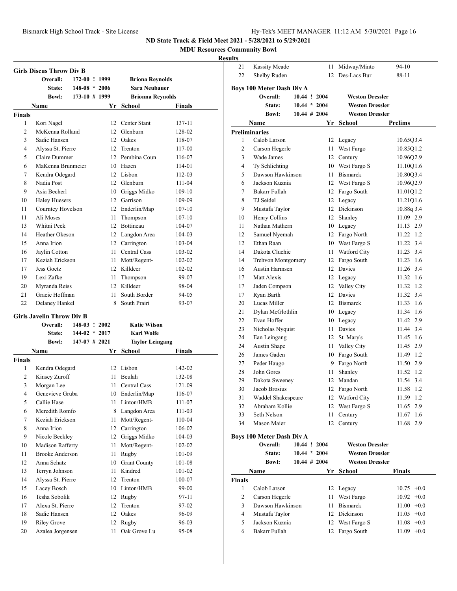21 Kassity Meade 11 Midway/Minto 94-10

**ND State Track & Field Meet 2021 - 5/28/2021 to 5/29/2021**

**MDU Resources Community Bowl**

### **Results**

|                | <b>Girls Discus Throw Div B</b>  |                 |      |                         |               |
|----------------|----------------------------------|-----------------|------|-------------------------|---------------|
|                | Overall:                         | 172-00 ! 1999   |      | <b>Briona Reynolds</b>  |               |
|                | State:                           | $148-08 * 2006$ |      | <b>Sara Neubauer</b>    |               |
|                | <b>Bowl:</b>                     | $173-10$ # 1999 |      | <b>Brionna Reynolds</b> |               |
|                | Name                             |                 | Yr   | School                  | <b>Finals</b> |
| <b>Finals</b>  |                                  |                 |      |                         |               |
| 1              | Kori Nagel                       |                 |      | 12 Center Stant         | 137-11        |
| $\overline{c}$ | McKenna Rolland                  |                 |      | 12 Glenburn             | 128-02        |
| 3              | Sadie Hansen                     |                 |      | 12 Oakes                | 118-07        |
| 4              | Alyssa St. Pierre                |                 |      | 12 Trenton              | 117-00        |
| 5              | Claire Dummer                    |                 |      | 12 Pembina Coun         | 116-07        |
| 6              | MaKenna Brunmeier                |                 |      | 10 Hazen                | 114-01        |
| 7              | Kendra Odegard                   |                 |      | 12 Lisbon               | 112-03        |
| 8              | Nadia Post                       |                 |      | 12 Glenburn             | 111-04        |
| 9              | Asia Becherl                     |                 |      | 10 Griggs Midko         | 109-10        |
| 10             | <b>Haley Huesers</b>             |                 |      | 12 Garrison             | 109-09        |
| 11             | Courntey Hovelson                |                 |      | 12 Enderlin/Map         | $107 - 10$    |
| 11             | Ali Moses                        |                 | 11   | Thompson                | $107 - 10$    |
| 13             | Whitni Peck                      |                 |      | 12 Bottineau            | 104-07        |
| 14             | Heather Okeson                   |                 |      | 12 Langdon Area         | 104-03        |
| 15             | Anna Irion                       |                 |      | 12 Carrington           | 103-04        |
| 16             | Jaylin Cotton                    |                 |      | 11 Central Cass         | 103-02        |
| 17             | Keziah Erickson                  |                 | 11 - | Mott/Regent-            | 102-02        |
| 17             | Jess Goetz                       |                 |      | 12 Killdeer             | 102-02        |
| 19             | Lexi Zafke                       |                 | 11   | Thompson                | 99-07         |
| 20             | Myranda Reiss                    |                 |      | 12 Killdeer             | 98-04         |
| 21             | Gracie Hoffman                   |                 | 11.  | South Border            | 94-05         |
| 22             | Delaney Hankel                   |                 | 8    | South Prairi            | 93-07         |
|                | <b>Girls Javelin Throw Div B</b> |                 |      |                         |               |
|                | Overall:                         | 148-03 ! 2002   |      | <b>Katie Wilson</b>     |               |
|                | <b>State:</b>                    | $144-02 * 2017$ |      | Kari Wolfe              |               |
|                | <b>Bowl:</b>                     | $147-07$ # 2021 |      | <b>Taylor Leingang</b>  |               |
|                | Name                             |                 | Yr   | <b>School</b>           | Finals        |
| <b>Finals</b>  |                                  |                 |      |                         |               |
| 1              | Kendra Odegard                   |                 |      | 12 Lisbon               | 142-02        |
| 2              | Kinsey Zuroff                    |                 | 11 - | Beulah                  | 132-08        |
| 3              | Morgan Lee                       |                 | 11 - | Central Cass            | 121-09        |
| 4              | Genevieve Gruba                  |                 |      | 10 Enderlin/Map         | 116-07        |
| 5              | Callie Hase                      |                 | 11   | Linton/HMB              | 111-07        |
| 6              | Meredith Romfo                   |                 | 8    | Langdon Area            | 111-03        |
| 7              | Keziah Erickson                  |                 | 11   | Mott/Regent-            | 110-04        |
| 8              | Anna Irion                       |                 |      | 12 Carrington           | 106-02        |
| 9              | Nicole Beckley                   |                 | 12   | Griggs Midko            | 104-03        |
| 10             | Madison Rafferty                 |                 | 11   | Mott/Regent-            | 102-02        |
| 11             | <b>Brooke Anderson</b>           |                 | 11   | Rugby                   | 101-09        |
| 12             | Anna Schatz                      |                 | 10   | <b>Grant County</b>     | 101-08        |
| 13             | Terryn Johnson                   |                 | 11   | Kindred                 | 101-02        |
| 14             | Alyssa St. Pierre                |                 | 12   | Trenton                 | 100-07        |
| 15             | Lacey Bosch                      |                 | 10   | Linton/HMB              | 99-00         |
| 16             | Tesha Sobolik                    |                 | 12   | Rugby                   | 97-11         |
| 17             | Alexa St. Pierre                 |                 | 12   | Trenton                 | 97-02         |
| 18             | Sadie Hansen                     |                 | 12   | Oakes                   | 96-09         |
| 19             | <b>Riley Grove</b>               |                 | 12   | Rugby                   | 96-03         |
| 20             | Azalea Jorgensen                 |                 | 11   | Oak Grove Lu            | 95-08         |

| 22            | Shelby Ruden                     |                 | 12 | Des-Lacs Bur           | 88-11                  |
|---------------|----------------------------------|-----------------|----|------------------------|------------------------|
|               | Boys 100 Meter Dash Div A        |                 |    |                        |                        |
|               | Overall:                         | 10.44 ! 2004    |    | <b>Weston Dressler</b> |                        |
|               | State:                           | $10.44 * 2004$  |    | <b>Weston Dressler</b> |                        |
|               | <b>Bowl:</b>                     | $10.44 \# 2004$ |    | <b>Weston Dressler</b> |                        |
|               | Name                             |                 | Yr | School                 | Prelims                |
|               | <b>Preliminaries</b>             |                 |    |                        |                        |
| 1             | Calob Larson                     |                 | 12 | Legacy                 | 10.65Q3.4              |
| 2             | Carson Hegerle                   |                 | 11 | West Fargo             | 10.85Q1.2              |
| 3             | Wade James                       |                 | 12 | Century                | 10.9602.9              |
| 4             | Ty Schlichting                   |                 |    | 10 West Fargo S        | 11.10Q1.6              |
| 5             | Dawson Hawkinson                 |                 |    | 11 Bismarck            | 10.8003.4              |
| 6             | Jackson Kuznia                   |                 |    | 12 West Fargo S        | 10.96Q2.9              |
| 7             | Bakarr Fullah                    |                 |    | 12 Fargo South         | 11.01Q1.2              |
| 8             | TJ Seidel                        |                 |    | 12 Legacy              | 11.21Q1.6              |
| 9             | Mustafa Taylor                   |                 |    | 12 Dickinson           | 10.88q 3.4             |
| 10            | Henry Collins                    |                 |    | 12 Shanley             | 11.09 2.9              |
| 11            | Nathan Mathern                   |                 |    | 10 Legacy              | 11.13 2.9              |
| 12            | Samuel Nyemah                    |                 |    | 12 Fargo North         | 11.22 1.2              |
| 12            | Ethan Raan                       |                 |    | 10 West Fargo S        | 11.22 3.4              |
| 14            | Dakota Cluchie                   |                 |    | 11 Watford City        | 11.23 3.4              |
| 14            | Trehvon Montgomery               |                 |    | 12 Fargo South         | 11.23 1.6              |
| 16            | Austin Harmsen                   |                 |    | 12 Davies              | 11.26 3.4              |
| 17            | Matt Alexis                      |                 |    | 12 Legacy              | 11.32 1.6              |
| 17            | Jaden Compson                    |                 |    | 12 Valley City         | 11.32<br>1.2           |
| 17            | Ryan Barth                       |                 |    | 12 Davies              | 11.32 3.4              |
| 20            | Lucas Miller                     |                 |    | 12 Bismarck            | 11.33 1.6              |
| 21            | Dylan McGlothlin                 |                 |    | 10 Legacy              | 11.34 1.6              |
| 22            | Evan Hoffer                      |                 |    | 10 Legacy              | 11.42 2.9              |
| 23            | Nicholas Nyquist                 |                 | 11 | Davies                 | 11.44 3.4              |
| 24            | Ean Leingang                     |                 |    | 12 St. Mary's          | 11.45 1.6              |
| 24            | Austin Shape                     |                 |    | 11 Valley City         | 11.45 2.9              |
| 26            | James Gaden                      |                 |    | 10 Fargo South         | 11.49 1.2              |
| 27            | Peder Haugo                      |                 |    | 9 Fargo North          | 11.50 2.9              |
| 28            | John Gores                       |                 | 11 | Shanley                | 11.52 1.2              |
| 29            | Dakota Sweeney                   |                 |    | 12 Mandan              | 11.54 3.4              |
| 30            | Jacob Brosius                    |                 |    | 12 Fargo North         | 11.58 1.2              |
| 31            | Waddel Shakespeare               |                 |    | 12 Watford City        | 11.59 1.2              |
| 32            | Abraham Kollie                   |                 |    | 12 West Fargo S        | 11.65 2.9              |
| 33            | Seth Nelson                      |                 | 11 |                        |                        |
| 34            | Mason Maier                      |                 | 12 | Century<br>Century     | 11.67 1.6<br>11.68 2.9 |
|               |                                  |                 |    |                        |                        |
|               | <b>Boys 100 Meter Dash Div A</b> |                 |    |                        |                        |
|               | Overall:                         | 10.44 ! 2004    |    | <b>Weston Dressler</b> |                        |
|               | State:                           | $10.44 * 2004$  |    | <b>Weston Dressler</b> |                        |
|               | <b>Bowl:</b>                     | $10.44 \# 2004$ |    | <b>Weston Dressler</b> |                        |
|               | Name                             |                 | Yr | School                 | Finals                 |
| <b>Finals</b> |                                  |                 |    |                        |                        |
| 1             | Calob Larson                     |                 | 12 | Legacy                 | $10.75 +0.0$           |
| 2             | Carson Hegerle                   |                 | 11 | West Fargo             | $+0.0$<br>10.92        |
| 3             | Dawson Hawkinson                 |                 | 11 | <b>Bismarck</b>        | 11.00<br>$+0.0$        |
| 4             | Mustafa Taylor                   |                 |    | 12 Dickinson           | $11.05 +0.0$           |
| 5             | Jackson Kuznia                   |                 |    | 12 West Fargo S        | $11.08 + 0.0$          |

Bakarr Fullah 12 Fargo South 11.09 +0.0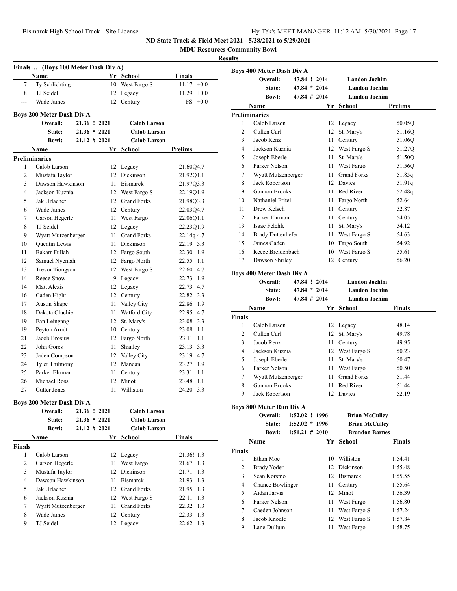**MDU Resources Community Bowl**

|               | Finals  (Boys 100 Meter Dash Div A)   |                 |      |                     |                 |
|---------------|---------------------------------------|-----------------|------|---------------------|-----------------|
|               | Name                                  |                 |      | Yr School           | Finals          |
| 7             | Ty Schlichting                        |                 |      | 10 West Fargo S     | $11.17 +0.0$    |
| 8             | TJ Seidel                             |                 | 12   | Legacy              | 11.29<br>$+0.0$ |
| $- - -$       | Wade James                            |                 | 12   | Century             | FS.<br>$+0.0$   |
|               |                                       |                 |      |                     |                 |
|               | Boys 200 Meter Dash Div A<br>Overall: | 21.36 ! 2021    |      | <b>Calob Larson</b> |                 |
|               | State:                                | $21.36 * 2021$  |      | <b>Calob Larson</b> |                 |
|               | <b>Bowl:</b>                          | $21.12 \# 2021$ |      | <b>Calob Larson</b> |                 |
|               | Name                                  |                 | Yr   | School              | Prelims         |
|               | <b>Preliminaries</b>                  |                 |      |                     |                 |
| 1             | Calob Larson                          |                 |      | 12 Legacy           | 21.60Q4.7       |
| 2             | Mustafa Taylor                        |                 | 12   | Dickinson           | 21.92Q1.1       |
| 3             | Dawson Hawkinson                      |                 | 11 - | <b>Bismarck</b>     | 21.97Q3.3       |
| 4             | Jackson Kuznia                        |                 |      | 12 West Fargo S     | 22.19Q1.9       |
| 5             | Jak Urlacher                          |                 |      | 12 Grand Forks      | 21.98Q3.3       |
| 6             | Wade James                            |                 |      | 12 Century          | 22.0304.7       |
| 7             | Carson Hegerle                        |                 | 11 - | West Fargo          | 22.06Q1.1       |
| 8             | TJ Seidel                             |                 |      | 12 Legacy           | 22.23Q1.9       |
| 9             | Wyatt Mutzenberger                    |                 | 11 - | <b>Grand Forks</b>  | 22.14q 4.7      |
| 10            | <b>Ouentin Lewis</b>                  |                 | 11.  | <b>Dickinson</b>    | 22.19 3.3       |
| 11            | Bakarr Fullah                         |                 |      | 12 Fargo South      | 22.30 1.9       |
| 12            | Samuel Nyemah                         |                 |      | 12 Fargo North      | 22.55 1.1       |
| 13            | <b>Trevor Tiongson</b>                |                 |      | 12 West Fargo S     | 22.60 4.7       |
| 14            | Reece Snow                            |                 |      | 9 Legacy            | 22.73 1.9       |
| 14            | Matt Alexis                           |                 |      | 12 Legacy           | 22.73 4.7       |
| 16            | Caden Hight                           |                 |      | 12 Century          | 22.82 3.3       |
| 17            | Austin Shape                          |                 |      | 11 Valley City      | 22.86 1.9       |
| 18            | Dakota Cluchie                        |                 |      | 11 Watford City     | 22.95 4.7       |
| 19            | Ean Leingang                          |                 |      | 12 St. Mary's       | 23.08 3.3       |
| 19            | Peyton Arndt                          |                 |      | 10 Century          | 23.08 1.1       |
| 21            | Jacob Brosius                         |                 |      | 12 Fargo North      | 23.11 1.1       |
| 22            | John Gores                            |                 | 11 - | Shanley             | 23.13 3.3       |
| 23            | Jaden Compson                         |                 |      | 12 Valley City      | 23.19 4.7       |
| 24            | <b>Tyler Thilmony</b>                 |                 |      | 12 Mandan           | 23.27 1.9       |
| 25            | Parker Ehrman                         |                 | 11 - | Century             | 23.31 1.1       |
| 26            | Michael Ross                          |                 | 12   | Minot               | 23.48<br>1.1    |
| 27            | Cutter Jones                          |                 | 11   | Williston           | 24.20 3.3       |
|               | <b>Boys 200 Meter Dash Div A</b>      |                 |      |                     |                 |
|               | Overall:                              | 21.36 ! 2021    |      | <b>Calob Larson</b> |                 |
|               | State:                                | $21.36 * 2021$  |      | <b>Calob Larson</b> |                 |
|               | <b>Bowl:</b>                          | $21.12 \# 2021$ |      | <b>Calob Larson</b> |                 |
|               | <b>Name</b>                           |                 |      | Yr School           | <b>Finals</b>   |
| <b>Finals</b> |                                       |                 |      |                     |                 |
| 1             | Calob Larson                          |                 |      | 12 Legacy           | 21.36! 1.3      |
| 2             | Carson Hegerle                        |                 | 11 - | West Fargo          | 21.67 1.3       |
| 3             | Mustafa Taylor                        |                 |      | 12 Dickinson        | 21.71<br>1.3    |
| 4             | Dawson Hawkinson                      |                 |      | 11 Bismarck         | 21.93 1.3       |
| 5             | Jak Urlacher                          |                 |      | 12 Grand Forks      | 21.95 1.3       |
| 6             | Jackson Kuznia                        |                 |      | 12 West Fargo S     | 22.11 1.3       |
| 7             | Wyatt Mutzenberger                    |                 |      | 11 Grand Forks      | 22.32 1.3       |
| 8             | Wade James                            |                 |      | 12 Century          | 22.33 1.3       |
| 9             | TJ Seidel                             |                 | 12   | Legacy              | 22.62 1.3       |
|               |                                       |                 |      |                     |                 |

|               | <b>Boys 400 Meter Dash Div A</b> |                   |    |                       |               |
|---------------|----------------------------------|-------------------|----|-----------------------|---------------|
|               | Overall:                         | 47.84 ! 2014      |    | <b>Landon Jochim</b>  |               |
|               | State:                           | $47.84 * 2014$    |    | <b>Landon Jochim</b>  |               |
|               | <b>Bowl:</b>                     | $47.84 \# 2014$   |    | <b>Landon Jochim</b>  |               |
|               | Name                             |                   |    | Yr School             | Prelims       |
|               | <b>Preliminaries</b>             |                   |    |                       |               |
| 1             | Calob Larson                     |                   | 12 | Legacy                | 50.05Q        |
| 2             | Cullen Curl                      |                   | 12 | St. Mary's            | 51.16Q        |
| 3             | Jacob Renz                       |                   |    | 11 Century            | 51.06Q        |
| 4             | Jackson Kuznia                   |                   |    | 12 West Fargo S       | 51.27Q        |
| 5             | Joseph Eberle                    |                   |    | 11 St. Mary's         | 51.50Q        |
| 6             | Parker Nelson                    |                   | 11 | West Fargo            | 51.56Q        |
| 7             | Wyatt Mutzenberger               |                   |    | 11 Grand Forks        | 51.85q        |
| 8             | <b>Jack Robertson</b>            |                   |    | 12 Davies             | 51.91q        |
| 9             | <b>Gannon Brooks</b>             |                   |    | 11 Red River          | 52.48q        |
| 10            | Nathaniel Fritel                 |                   |    | 11 Fargo North        | 52.64         |
| 11            | Drew Kelsch                      |                   |    | 11 Century            | 52.87         |
| 12            | Parker Ehrman                    |                   |    | 11 Century            | 54.05         |
| 13            | Isaac Felchle                    |                   |    | 11 St. Mary's         | 54.12         |
| 14            | <b>Brady Duttenhefer</b>         |                   |    | 11 West Fargo S       | 54.63         |
| 15            | James Gaden                      |                   |    | 10 Fargo South        | 54.92         |
| 16            | Reece Breidenbach                |                   | 10 | West Fargo S          | 55.61         |
| 17            | Dawson Shirley                   |                   | 12 | Century               | 56.20         |
|               | <b>Boys 400 Meter Dash Div A</b> |                   |    |                       |               |
|               | Overall:                         | 47.84 ! 2014      |    | <b>Landon Jochim</b>  |               |
|               | State:                           | $47.84 * 2014$    |    | <b>Landon Jochim</b>  |               |
|               | <b>Bowl:</b>                     | 47.84 # 2014      |    | <b>Landon Jochim</b>  |               |
|               | Name                             |                   | Yr | School                | Finals        |
| <b>Finals</b> |                                  |                   |    |                       |               |
| 1             | Calob Larson                     |                   |    | 12 Legacy             | 48.14         |
| 2             | Cullen Curl                      |                   |    | 12 St. Mary's         | 49.78         |
| 3             | Jacob Renz                       |                   |    | 11 Century            | 49.95         |
| 4             | Jackson Kuznia                   |                   |    | 12 West Fargo S       | 50.23         |
| 5             | Joseph Eberle                    |                   |    | 11 St. Mary's         | 50.47         |
| 6             | Parker Nelson                    |                   | 11 | West Fargo            | 50.50         |
| 7             | Wyatt Mutzenberger               |                   | 11 | <b>Grand Forks</b>    | 51.44         |
| 8             | <b>Gannon Brooks</b>             |                   |    | 11 Red River          | 51.44         |
| 9             | Jack Robertson                   |                   | 12 | Davies                | 52.19         |
|               | <b>Boys 800 Meter Run Div A</b>  |                   |    |                       |               |
|               | Overall:                         | 1:52.02 ! 1996    |    | <b>Brian McCulley</b> |               |
|               | <b>State:</b>                    | $1:52.02 * 1996$  |    | <b>Brian McCulley</b> |               |
|               | <b>Bowl:</b>                     | $1:51.21 \# 2010$ |    | <b>Brandon Barnes</b> |               |
|               | Name                             |                   |    | Yr School             | <b>Finals</b> |
| <b>Finals</b> |                                  |                   |    |                       |               |
| 1             | Ethan Moe                        |                   | 10 | Williston             | 1:54.41       |
| 2             | <b>Brady Yoder</b>               |                   |    | 12 Dickinson          | 1:55.48       |
| 3             | Sean Korsmo                      |                   |    | 12 Bismarck           | 1:55.55       |
| 4             | Chance Bowlinger                 |                   | 11 | Century               | 1:55.64       |
| 5             | Aidan Jarvis                     |                   | 12 | Minot                 | 1:56.39       |
| 6             | Parker Nelson                    |                   | 11 | West Fargo            | 1:56.80       |
| 7             | Caeden Johnson                   |                   | 11 | West Fargo S          | 1:57.24       |
| 8             | Jacob Knodle                     |                   | 12 | West Fargo S          | 1:57.84       |
| 9             | Lane Dullum                      |                   | 11 | West Fargo            | 1:58.75       |
|               |                                  |                   |    |                       |               |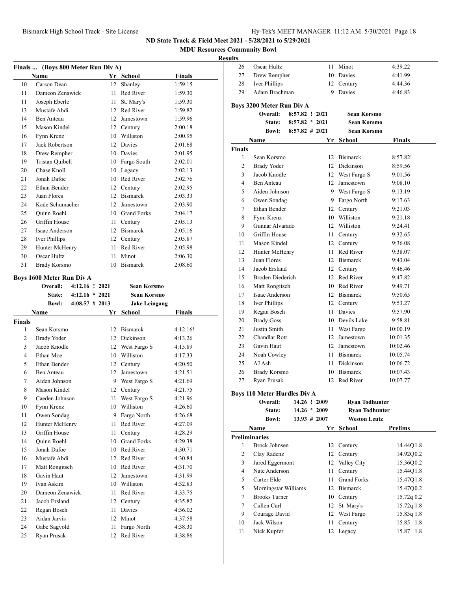**MDU Resources Community Bowl**

### **Resu**

| <b>Finals</b>  |                                  | (Boys 800 Meter Run Div A) |          |                          |                    |
|----------------|----------------------------------|----------------------------|----------|--------------------------|--------------------|
|                | Name                             |                            |          | Yr School                | Finals             |
| 10             | Carson Dean                      |                            | 12       | Shanley                  | 1:59.15            |
| 11             | Dameon Zenawick                  |                            | 11       | Red River                | 1:59.30            |
| 11             | Joseph Eberle                    |                            | 11 -     | St. Mary's               | 1:59.30            |
| 13             | Mustafe Abdi                     |                            |          | 12 Red River             | 1:59.82            |
| 14             | <b>Ben Anteau</b>                |                            |          | 12 Jamestown             | 1:59.96            |
| 15             | Mason Kindel                     |                            |          | 12 Century               | 2:00.18            |
| 16             | Fynn Krenz                       |                            |          | 10 Williston             | 2:00.95            |
| 17             | Jack Robertson                   |                            |          | 12 Davies                | 2:01.68            |
| 18             | Drew Rempher                     |                            |          | 10 Davies                | 2:01.95            |
| 19             | Tristan Quibell                  |                            |          | 10 Fargo South           | 2:02.01            |
| 20             | Chase Knoll                      |                            |          | 10 Legacy                | 2:02.13            |
| 21             | Jonah Dafoe                      |                            |          | 10 Red River             | 2:02.76            |
| 22             | Ethan Bender                     |                            |          | 12 Century               | 2:02.95            |
| 23             | Juan Flores                      |                            |          | 12 Bismarck              | 2:03.33            |
| 24             | Kade Schumacher                  |                            |          | 12 Jamestown             | 2:03.90            |
| 25             | Quinn Roehl                      |                            |          | 10 Grand Forks           | 2:04.17            |
| 26             | Griffin House                    |                            |          | 11 Century               | 2:05.13            |
| 27             | Isaac Anderson                   |                            |          | 12 Bismarck              | 2:05.16            |
| 28             | Iver Phillips                    |                            |          | 12 Century               | 2:05.87            |
| 29             | Hunter McHenry                   |                            |          | 11 Red River             | 2:05.98            |
| 30             | Oscar Hultz                      |                            | 11       | Minot                    | 2:06.30            |
| 31             | <b>Brady Korsmo</b>              |                            |          | 10 Bismarck              | 2:08.60            |
|                | <b>Boys 1600 Meter Run Div A</b> |                            |          |                          |                    |
|                | Overall:                         | $4:12.16$ ! 2021           |          | <b>Sean Korsmo</b>       |                    |
|                | <b>State:</b>                    | $4:12.16 * 2021$           |          | <b>Sean Korsmo</b>       |                    |
|                | <b>Bowl:</b>                     | $4:08.57$ # 2013           |          | <b>Jake Leingang</b>     |                    |
|                |                                  |                            |          |                          |                    |
|                | <b>Name</b>                      |                            |          | Yr School                | Finals             |
| <b>Finals</b>  |                                  |                            |          |                          |                    |
| 1              | Sean Korsmo                      |                            | 12       | Bismarck                 | 4:12.16!           |
| $\overline{c}$ | Brady Yoder                      |                            |          | 12 Dickinson             | 4:13.26            |
| 3              | Jacob Knodle                     |                            |          | 12 West Fargo S          | 4:15.89            |
| 4              | Ethan Moe                        |                            |          | 10 Williston             | 4:17.33            |
| 5              | Ethan Bender                     |                            |          | 12 Century               | 4:20.50            |
| 6              | <b>Ben Anteau</b>                |                            |          | 12 Jamestown             | 4:21.51            |
| 7              | Aiden Johnson                    |                            | 9.       | West Fargo S             | 4:21.69            |
| 8              | Mason Kindel                     |                            | 12       | Century                  | 4:21.75            |
| 9              | Caeden Johnson                   |                            | 11       | West Fargo S             | 4:21.96            |
| 10             | Fynn Krenz                       |                            | 10       | Williston                | 4:26.60            |
| 11             | Owen Sondag                      |                            | 9.       | Fargo North              | 4:26.68            |
| 12             | Hunter McHenry                   |                            | 11       | Red River                | 4:27.09            |
| 13             | Griffin House                    |                            | 11       | Century                  | 4:28.29            |
| 14             | Quinn Roehl                      |                            |          | 10 Grand Forks           | 4:29.38            |
| 15             | Jonah Dafoe                      |                            |          | 10 Red River             | 4:30.71            |
| 16             | Mustafe Abdi                     |                            |          | 12 Red River             | 4:30.84            |
| 17             | Matt Rongitsch                   |                            |          | 10 Red River             | 4:31.70            |
| 18             | Gavin Haut                       |                            | 12       | Jamestown                | 4:31.99            |
| 19             | Ivan Askim                       |                            |          | 10 Williston             | 4:32.83            |
| 20             | Dameon Zenawick                  |                            | 11       | Red River                | 4:33.75            |
| 21             | Jacob Ersland                    |                            | 12       | Century                  | 4:35.82            |
| 22             | Regan Bosch                      |                            | 11       | Davies                   | 4:36.02            |
| 23             | Aidan Jarvis                     |                            | 12       | Minot                    | 4:37.58            |
| 24<br>25       | Gabe Sagvold<br>Ryan Prusak      |                            | 11<br>12 | Fargo North<br>Red River | 4:38.30<br>4:38.86 |

| ılts           |                               |                   |                            |                       |
|----------------|-------------------------------|-------------------|----------------------------|-----------------------|
| 26             | Oscar Hultz                   | 11                | Minot                      | 4:39.22               |
| 27             | Drew Rempher                  |                   | 10 Davies                  | 4:41.99               |
| 28             | Iver Phillips                 |                   | 12 Century                 | 4:44.36               |
| 29             | Adam Brachman                 | 9                 | Davies                     | 4:46.83               |
|                |                               |                   |                            |                       |
|                | Boys 3200 Meter Run Div A     |                   | <b>Sean Korsmo</b>         |                       |
|                | <b>Overall:</b>               | 8:57.82 ! 2021    |                            |                       |
|                | <b>State:</b>                 | $8:57.82 * 2021$  | Sean Korsmo                |                       |
|                | Bowl:                         | $8:57.82 \# 2021$ | <b>Sean Korsmo</b>         |                       |
|                | Name                          |                   | Yr School                  | <b>Finals</b>         |
| Finals<br>1    | Sean Korsmo                   | 12                | <b>Bismarck</b>            | 8:57.82!              |
| 2              | <b>Brady Yoder</b>            |                   | 12 Dickinson               | 8:59.56               |
| 3              | Jacob Knodle                  |                   | 12 West Fargo S            | 9:01.56               |
| 4              | Ben Anteau                    |                   | 12 Jamestown               | 9:08.10               |
| 5              | Aiden Johnson                 |                   | 9 West Fargo S             | 9:13.19               |
| 6              | Owen Sondag                   |                   | 9 Fargo North              | 9:17.63               |
| 7              | Ethan Bender                  |                   |                            | 9:21.03               |
| 8              |                               |                   | 12 Century<br>10 Williston | 9:21.18               |
| 9              | Fynn Krenz<br>Gunnar Alvarado |                   | 12 Williston               | 9:24.41               |
|                | Griffin House                 |                   |                            |                       |
| 10<br>11       | Mason Kindel                  |                   | 11 Century                 | 9:32.65               |
|                |                               |                   | 12 Century                 | 9:36.08               |
| 12             | Hunter McHenry                | 11                | Red River                  | 9:38.07               |
| 13             | Juan Flores                   |                   | 12 Bismarck                | 9:43.04               |
| 14             | Jacob Ersland                 |                   | 12 Century                 | 9:46.46               |
| 15             | Broden Diederich              | 12                | Red River                  | 9:47.82               |
| 16             | Matt Rongitsch                |                   | 10 Red River               | 9:49.71               |
| 17             | Isaac Anderson                |                   | 12 Bismarck                | 9:50.65               |
| 18             | Iver Phillips                 |                   | 12 Century                 | 9:53.27               |
| 19             | Regan Bosch                   | 11                | Davies                     | 9:57.90               |
| 20             | <b>Brady Goss</b>             |                   | 10 Devils Lake             | 9:58.81               |
| 21             | Justin Smith                  |                   | 11 West Fargo              | 10:00.19              |
| 22             | Chandlar Rott                 |                   | 12 Jamestown               | 10:01.35              |
| 23             | Gavin Haut                    |                   | 12 Jamestown               | 10:02.46              |
| 24             | Noah Cowley                   |                   | 11 Bismarck                | 10:05.74              |
| 25             | AJ Ash                        |                   | 11 Dickinson               | 10:06.72              |
| 26             | Brady Korsmo                  |                   | 10 Bismarck                | 10:07.43              |
| 27             | Ryan Prusak                   | 12                | Red River                  | 10:07.77              |
|                | Boys 110 Meter Hurdles Div A  |                   |                            |                       |
|                | Overall:                      | 14.26 ! 2009      | <b>Ryan Todhunter</b>      |                       |
|                | State:                        | $14.26 * 2009$    |                            | <b>Ryan Todhunter</b> |
|                | <b>Bowl:</b>                  | $13.93 \# 2007$   | <b>Weston Leutz</b>        |                       |
|                | Name                          | Yr                | School                     | <b>Prelims</b>        |
|                | <b>Preliminaries</b>          |                   |                            |                       |
| 1              | <b>Brock Johnsen</b>          | 12                | Century                    | 14.44Q1.8             |
| $\overline{c}$ | Clay Radenz                   | 12                | Century                    | 14.92Q0.2             |
| 3              | Jared Eggermont               | 12                | Valley City                | 15.36Q0.2             |
| 4              | Nate Anderson                 | 11                | Century                    | 15.44Q1.8             |
| 5              | Carter Elde                   | 11                | <b>Grand Forks</b>         | 15.47Q1.8             |
| 5              | Morningstar Williams          |                   | 12 Bismarck                | 15.47Q0.2             |
| 7              | <b>Brooks Turner</b>          |                   | 10 Century                 | 15.72q 0.2            |
| 7              | Cullen Curl                   | 12                | St. Mary's                 | 15.72q 1.8            |
| 9              | Courage David                 | 12                | West Fargo                 | 15.83q 1.8            |
| 10             | Jack Wilson                   | 11                | Century                    | 15.85 1.8             |
| 11             | Nick Kupfer                   | 12                | Legacy                     | 15.87<br>1.8          |
|                |                               |                   |                            |                       |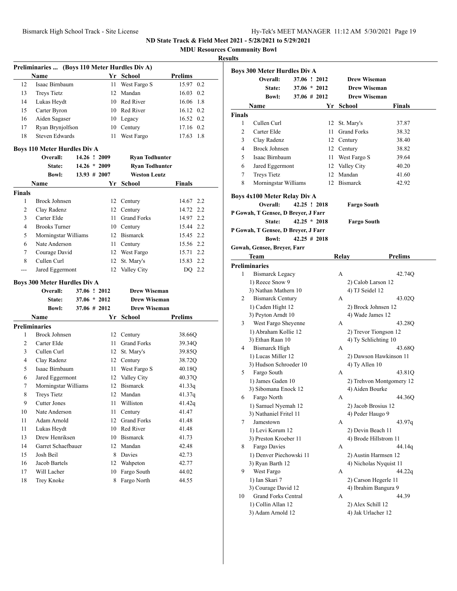**MDU Resources Community Bowl**

| Name<br>Yr School<br>Prelims<br>12<br>Isaac Birnbaum<br>15.97 0.2<br>11<br>West Fargo S<br>Mandan<br>13<br><b>Treys Tietz</b><br>12<br>16.03 0.2<br>10 Red River<br>16.06 1.8<br>Lukas Heydt<br>14<br>15<br>Carter Byron<br>10 Red River<br>16.12 0.2<br>16<br>Aiden Sagaser<br>16.52 0.2<br>10 Legacy<br>Ryan Brynjolfson<br>10 Century<br>17.16 0.2<br>17<br><b>Steven Edwards</b><br>West Fargo<br>18<br>11<br>17.63 1.8<br><b>Boys 110 Meter Hurdles Div A</b><br>Overall:<br>14.26 ! 2009<br><b>Ryan Todhunter</b><br>$14.26 * 2009$<br>State:<br><b>Ryan Todhunter</b><br><b>Weston Leutz</b><br><b>Bowl:</b><br>$13.93 \# 2007$<br>Yr<br>Name<br>School<br>Finals<br><b>Finals</b><br>1<br><b>Brock Johnsen</b><br>14.67 2.2<br>12 Century<br>2<br>14.72 2.2<br>Clay Radenz<br>12 Century<br>3<br>Carter Elde<br>11 Grand Forks<br>14.97 2.2<br>15.44 2.2<br>4<br><b>Brooks Turner</b><br>10 Century<br>12 Bismarck<br>15.45 2.2<br>5<br>Morningstar Williams<br>Nate Anderson<br>15.56 2.2<br>6<br>11 Century<br>7<br>Courage David<br>12 West Fargo<br>15.71 2.2<br>Cullen Curl<br>St. Mary's<br>8<br>12<br>15.83 2.2<br>Valley City<br>DQ 2.2<br>Jared Eggermont<br>12<br>---<br><b>Boys 300 Meter Hurdles Div A</b><br>Overall:<br>37.06 ! 2012<br><b>Drew Wiseman</b><br>$37.06 * 2012$<br><b>Drew Wiseman</b><br>State:<br><b>Drew Wiseman</b><br><b>Bowl:</b><br>37.06 # 2012<br>Prelims<br>Name<br>Yr<br>School<br><b>Preliminaries</b><br><b>Brock Johnsen</b><br>1<br>12 Century<br>38.66Q<br>2<br>Carter Elde<br>11 Grand Forks<br>39.34Q<br>3<br>Cullen Curl<br>12 St. Mary's<br>39.85Q<br>Clay Radenz<br>4<br>12 Century<br>38.72Q<br>Isaac Birnbaum<br>5<br>11 -<br>West Fargo S<br>40.18Q<br>6<br>Jared Eggermont<br>12 Valley City<br>40.37Q<br>7<br>Morningstar Williams<br>12 Bismarck<br>41.33q<br>8<br><b>Treys Tietz</b><br>12 Mandan<br>41.37q<br>9<br>Cutter Jones<br>11<br>Williston<br>41.42q<br>11<br>41.47<br>10<br>Nate Anderson<br>Century<br>12<br><b>Grand Forks</b><br>11<br>Adam Arnold<br>41.48<br>10<br>Red River<br>11<br>Lukas Heydt<br>41.48<br>Drew Henriksen<br>Bismarck<br>13<br>10<br>41.73<br>Garret Schaefbauer<br>14<br>Mandan<br>42.48<br>12<br>15<br>Josh Beil<br>8<br>Davies<br>42.73<br>16<br>Jacob Bartels<br>12<br>Wahpeton<br>42.77<br>17<br>Will Lacher<br>10<br>Fargo South<br>44.02 | Preliminaries  (Boys 110 Meter Hurdles Div A) |  |  |
|---------------------------------------------------------------------------------------------------------------------------------------------------------------------------------------------------------------------------------------------------------------------------------------------------------------------------------------------------------------------------------------------------------------------------------------------------------------------------------------------------------------------------------------------------------------------------------------------------------------------------------------------------------------------------------------------------------------------------------------------------------------------------------------------------------------------------------------------------------------------------------------------------------------------------------------------------------------------------------------------------------------------------------------------------------------------------------------------------------------------------------------------------------------------------------------------------------------------------------------------------------------------------------------------------------------------------------------------------------------------------------------------------------------------------------------------------------------------------------------------------------------------------------------------------------------------------------------------------------------------------------------------------------------------------------------------------------------------------------------------------------------------------------------------------------------------------------------------------------------------------------------------------------------------------------------------------------------------------------------------------------------------------------------------------------------------------------------------------------------------------------------------------------------------------------------------------------------------------------------------------------------------------------------------------------------------------------------------------|-----------------------------------------------|--|--|
|                                                                                                                                                                                                                                                                                                                                                                                                                                                                                                                                                                                                                                                                                                                                                                                                                                                                                                                                                                                                                                                                                                                                                                                                                                                                                                                                                                                                                                                                                                                                                                                                                                                                                                                                                                                                                                                                                                                                                                                                                                                                                                                                                                                                                                                                                                                                                   |                                               |  |  |
|                                                                                                                                                                                                                                                                                                                                                                                                                                                                                                                                                                                                                                                                                                                                                                                                                                                                                                                                                                                                                                                                                                                                                                                                                                                                                                                                                                                                                                                                                                                                                                                                                                                                                                                                                                                                                                                                                                                                                                                                                                                                                                                                                                                                                                                                                                                                                   |                                               |  |  |
|                                                                                                                                                                                                                                                                                                                                                                                                                                                                                                                                                                                                                                                                                                                                                                                                                                                                                                                                                                                                                                                                                                                                                                                                                                                                                                                                                                                                                                                                                                                                                                                                                                                                                                                                                                                                                                                                                                                                                                                                                                                                                                                                                                                                                                                                                                                                                   |                                               |  |  |
|                                                                                                                                                                                                                                                                                                                                                                                                                                                                                                                                                                                                                                                                                                                                                                                                                                                                                                                                                                                                                                                                                                                                                                                                                                                                                                                                                                                                                                                                                                                                                                                                                                                                                                                                                                                                                                                                                                                                                                                                                                                                                                                                                                                                                                                                                                                                                   |                                               |  |  |
|                                                                                                                                                                                                                                                                                                                                                                                                                                                                                                                                                                                                                                                                                                                                                                                                                                                                                                                                                                                                                                                                                                                                                                                                                                                                                                                                                                                                                                                                                                                                                                                                                                                                                                                                                                                                                                                                                                                                                                                                                                                                                                                                                                                                                                                                                                                                                   |                                               |  |  |
|                                                                                                                                                                                                                                                                                                                                                                                                                                                                                                                                                                                                                                                                                                                                                                                                                                                                                                                                                                                                                                                                                                                                                                                                                                                                                                                                                                                                                                                                                                                                                                                                                                                                                                                                                                                                                                                                                                                                                                                                                                                                                                                                                                                                                                                                                                                                                   |                                               |  |  |
|                                                                                                                                                                                                                                                                                                                                                                                                                                                                                                                                                                                                                                                                                                                                                                                                                                                                                                                                                                                                                                                                                                                                                                                                                                                                                                                                                                                                                                                                                                                                                                                                                                                                                                                                                                                                                                                                                                                                                                                                                                                                                                                                                                                                                                                                                                                                                   |                                               |  |  |
|                                                                                                                                                                                                                                                                                                                                                                                                                                                                                                                                                                                                                                                                                                                                                                                                                                                                                                                                                                                                                                                                                                                                                                                                                                                                                                                                                                                                                                                                                                                                                                                                                                                                                                                                                                                                                                                                                                                                                                                                                                                                                                                                                                                                                                                                                                                                                   |                                               |  |  |
|                                                                                                                                                                                                                                                                                                                                                                                                                                                                                                                                                                                                                                                                                                                                                                                                                                                                                                                                                                                                                                                                                                                                                                                                                                                                                                                                                                                                                                                                                                                                                                                                                                                                                                                                                                                                                                                                                                                                                                                                                                                                                                                                                                                                                                                                                                                                                   |                                               |  |  |
|                                                                                                                                                                                                                                                                                                                                                                                                                                                                                                                                                                                                                                                                                                                                                                                                                                                                                                                                                                                                                                                                                                                                                                                                                                                                                                                                                                                                                                                                                                                                                                                                                                                                                                                                                                                                                                                                                                                                                                                                                                                                                                                                                                                                                                                                                                                                                   |                                               |  |  |
|                                                                                                                                                                                                                                                                                                                                                                                                                                                                                                                                                                                                                                                                                                                                                                                                                                                                                                                                                                                                                                                                                                                                                                                                                                                                                                                                                                                                                                                                                                                                                                                                                                                                                                                                                                                                                                                                                                                                                                                                                                                                                                                                                                                                                                                                                                                                                   |                                               |  |  |
|                                                                                                                                                                                                                                                                                                                                                                                                                                                                                                                                                                                                                                                                                                                                                                                                                                                                                                                                                                                                                                                                                                                                                                                                                                                                                                                                                                                                                                                                                                                                                                                                                                                                                                                                                                                                                                                                                                                                                                                                                                                                                                                                                                                                                                                                                                                                                   |                                               |  |  |
|                                                                                                                                                                                                                                                                                                                                                                                                                                                                                                                                                                                                                                                                                                                                                                                                                                                                                                                                                                                                                                                                                                                                                                                                                                                                                                                                                                                                                                                                                                                                                                                                                                                                                                                                                                                                                                                                                                                                                                                                                                                                                                                                                                                                                                                                                                                                                   |                                               |  |  |
|                                                                                                                                                                                                                                                                                                                                                                                                                                                                                                                                                                                                                                                                                                                                                                                                                                                                                                                                                                                                                                                                                                                                                                                                                                                                                                                                                                                                                                                                                                                                                                                                                                                                                                                                                                                                                                                                                                                                                                                                                                                                                                                                                                                                                                                                                                                                                   |                                               |  |  |
|                                                                                                                                                                                                                                                                                                                                                                                                                                                                                                                                                                                                                                                                                                                                                                                                                                                                                                                                                                                                                                                                                                                                                                                                                                                                                                                                                                                                                                                                                                                                                                                                                                                                                                                                                                                                                                                                                                                                                                                                                                                                                                                                                                                                                                                                                                                                                   |                                               |  |  |
|                                                                                                                                                                                                                                                                                                                                                                                                                                                                                                                                                                                                                                                                                                                                                                                                                                                                                                                                                                                                                                                                                                                                                                                                                                                                                                                                                                                                                                                                                                                                                                                                                                                                                                                                                                                                                                                                                                                                                                                                                                                                                                                                                                                                                                                                                                                                                   |                                               |  |  |
|                                                                                                                                                                                                                                                                                                                                                                                                                                                                                                                                                                                                                                                                                                                                                                                                                                                                                                                                                                                                                                                                                                                                                                                                                                                                                                                                                                                                                                                                                                                                                                                                                                                                                                                                                                                                                                                                                                                                                                                                                                                                                                                                                                                                                                                                                                                                                   |                                               |  |  |
|                                                                                                                                                                                                                                                                                                                                                                                                                                                                                                                                                                                                                                                                                                                                                                                                                                                                                                                                                                                                                                                                                                                                                                                                                                                                                                                                                                                                                                                                                                                                                                                                                                                                                                                                                                                                                                                                                                                                                                                                                                                                                                                                                                                                                                                                                                                                                   |                                               |  |  |
|                                                                                                                                                                                                                                                                                                                                                                                                                                                                                                                                                                                                                                                                                                                                                                                                                                                                                                                                                                                                                                                                                                                                                                                                                                                                                                                                                                                                                                                                                                                                                                                                                                                                                                                                                                                                                                                                                                                                                                                                                                                                                                                                                                                                                                                                                                                                                   |                                               |  |  |
|                                                                                                                                                                                                                                                                                                                                                                                                                                                                                                                                                                                                                                                                                                                                                                                                                                                                                                                                                                                                                                                                                                                                                                                                                                                                                                                                                                                                                                                                                                                                                                                                                                                                                                                                                                                                                                                                                                                                                                                                                                                                                                                                                                                                                                                                                                                                                   |                                               |  |  |
|                                                                                                                                                                                                                                                                                                                                                                                                                                                                                                                                                                                                                                                                                                                                                                                                                                                                                                                                                                                                                                                                                                                                                                                                                                                                                                                                                                                                                                                                                                                                                                                                                                                                                                                                                                                                                                                                                                                                                                                                                                                                                                                                                                                                                                                                                                                                                   |                                               |  |  |
|                                                                                                                                                                                                                                                                                                                                                                                                                                                                                                                                                                                                                                                                                                                                                                                                                                                                                                                                                                                                                                                                                                                                                                                                                                                                                                                                                                                                                                                                                                                                                                                                                                                                                                                                                                                                                                                                                                                                                                                                                                                                                                                                                                                                                                                                                                                                                   |                                               |  |  |
|                                                                                                                                                                                                                                                                                                                                                                                                                                                                                                                                                                                                                                                                                                                                                                                                                                                                                                                                                                                                                                                                                                                                                                                                                                                                                                                                                                                                                                                                                                                                                                                                                                                                                                                                                                                                                                                                                                                                                                                                                                                                                                                                                                                                                                                                                                                                                   |                                               |  |  |
|                                                                                                                                                                                                                                                                                                                                                                                                                                                                                                                                                                                                                                                                                                                                                                                                                                                                                                                                                                                                                                                                                                                                                                                                                                                                                                                                                                                                                                                                                                                                                                                                                                                                                                                                                                                                                                                                                                                                                                                                                                                                                                                                                                                                                                                                                                                                                   |                                               |  |  |
|                                                                                                                                                                                                                                                                                                                                                                                                                                                                                                                                                                                                                                                                                                                                                                                                                                                                                                                                                                                                                                                                                                                                                                                                                                                                                                                                                                                                                                                                                                                                                                                                                                                                                                                                                                                                                                                                                                                                                                                                                                                                                                                                                                                                                                                                                                                                                   |                                               |  |  |
|                                                                                                                                                                                                                                                                                                                                                                                                                                                                                                                                                                                                                                                                                                                                                                                                                                                                                                                                                                                                                                                                                                                                                                                                                                                                                                                                                                                                                                                                                                                                                                                                                                                                                                                                                                                                                                                                                                                                                                                                                                                                                                                                                                                                                                                                                                                                                   |                                               |  |  |
|                                                                                                                                                                                                                                                                                                                                                                                                                                                                                                                                                                                                                                                                                                                                                                                                                                                                                                                                                                                                                                                                                                                                                                                                                                                                                                                                                                                                                                                                                                                                                                                                                                                                                                                                                                                                                                                                                                                                                                                                                                                                                                                                                                                                                                                                                                                                                   |                                               |  |  |
|                                                                                                                                                                                                                                                                                                                                                                                                                                                                                                                                                                                                                                                                                                                                                                                                                                                                                                                                                                                                                                                                                                                                                                                                                                                                                                                                                                                                                                                                                                                                                                                                                                                                                                                                                                                                                                                                                                                                                                                                                                                                                                                                                                                                                                                                                                                                                   |                                               |  |  |
|                                                                                                                                                                                                                                                                                                                                                                                                                                                                                                                                                                                                                                                                                                                                                                                                                                                                                                                                                                                                                                                                                                                                                                                                                                                                                                                                                                                                                                                                                                                                                                                                                                                                                                                                                                                                                                                                                                                                                                                                                                                                                                                                                                                                                                                                                                                                                   |                                               |  |  |
|                                                                                                                                                                                                                                                                                                                                                                                                                                                                                                                                                                                                                                                                                                                                                                                                                                                                                                                                                                                                                                                                                                                                                                                                                                                                                                                                                                                                                                                                                                                                                                                                                                                                                                                                                                                                                                                                                                                                                                                                                                                                                                                                                                                                                                                                                                                                                   |                                               |  |  |
|                                                                                                                                                                                                                                                                                                                                                                                                                                                                                                                                                                                                                                                                                                                                                                                                                                                                                                                                                                                                                                                                                                                                                                                                                                                                                                                                                                                                                                                                                                                                                                                                                                                                                                                                                                                                                                                                                                                                                                                                                                                                                                                                                                                                                                                                                                                                                   |                                               |  |  |
|                                                                                                                                                                                                                                                                                                                                                                                                                                                                                                                                                                                                                                                                                                                                                                                                                                                                                                                                                                                                                                                                                                                                                                                                                                                                                                                                                                                                                                                                                                                                                                                                                                                                                                                                                                                                                                                                                                                                                                                                                                                                                                                                                                                                                                                                                                                                                   |                                               |  |  |
|                                                                                                                                                                                                                                                                                                                                                                                                                                                                                                                                                                                                                                                                                                                                                                                                                                                                                                                                                                                                                                                                                                                                                                                                                                                                                                                                                                                                                                                                                                                                                                                                                                                                                                                                                                                                                                                                                                                                                                                                                                                                                                                                                                                                                                                                                                                                                   |                                               |  |  |
|                                                                                                                                                                                                                                                                                                                                                                                                                                                                                                                                                                                                                                                                                                                                                                                                                                                                                                                                                                                                                                                                                                                                                                                                                                                                                                                                                                                                                                                                                                                                                                                                                                                                                                                                                                                                                                                                                                                                                                                                                                                                                                                                                                                                                                                                                                                                                   |                                               |  |  |
|                                                                                                                                                                                                                                                                                                                                                                                                                                                                                                                                                                                                                                                                                                                                                                                                                                                                                                                                                                                                                                                                                                                                                                                                                                                                                                                                                                                                                                                                                                                                                                                                                                                                                                                                                                                                                                                                                                                                                                                                                                                                                                                                                                                                                                                                                                                                                   |                                               |  |  |
|                                                                                                                                                                                                                                                                                                                                                                                                                                                                                                                                                                                                                                                                                                                                                                                                                                                                                                                                                                                                                                                                                                                                                                                                                                                                                                                                                                                                                                                                                                                                                                                                                                                                                                                                                                                                                                                                                                                                                                                                                                                                                                                                                                                                                                                                                                                                                   |                                               |  |  |
|                                                                                                                                                                                                                                                                                                                                                                                                                                                                                                                                                                                                                                                                                                                                                                                                                                                                                                                                                                                                                                                                                                                                                                                                                                                                                                                                                                                                                                                                                                                                                                                                                                                                                                                                                                                                                                                                                                                                                                                                                                                                                                                                                                                                                                                                                                                                                   |                                               |  |  |
|                                                                                                                                                                                                                                                                                                                                                                                                                                                                                                                                                                                                                                                                                                                                                                                                                                                                                                                                                                                                                                                                                                                                                                                                                                                                                                                                                                                                                                                                                                                                                                                                                                                                                                                                                                                                                                                                                                                                                                                                                                                                                                                                                                                                                                                                                                                                                   |                                               |  |  |
|                                                                                                                                                                                                                                                                                                                                                                                                                                                                                                                                                                                                                                                                                                                                                                                                                                                                                                                                                                                                                                                                                                                                                                                                                                                                                                                                                                                                                                                                                                                                                                                                                                                                                                                                                                                                                                                                                                                                                                                                                                                                                                                                                                                                                                                                                                                                                   |                                               |  |  |
|                                                                                                                                                                                                                                                                                                                                                                                                                                                                                                                                                                                                                                                                                                                                                                                                                                                                                                                                                                                                                                                                                                                                                                                                                                                                                                                                                                                                                                                                                                                                                                                                                                                                                                                                                                                                                                                                                                                                                                                                                                                                                                                                                                                                                                                                                                                                                   |                                               |  |  |
|                                                                                                                                                                                                                                                                                                                                                                                                                                                                                                                                                                                                                                                                                                                                                                                                                                                                                                                                                                                                                                                                                                                                                                                                                                                                                                                                                                                                                                                                                                                                                                                                                                                                                                                                                                                                                                                                                                                                                                                                                                                                                                                                                                                                                                                                                                                                                   |                                               |  |  |
|                                                                                                                                                                                                                                                                                                                                                                                                                                                                                                                                                                                                                                                                                                                                                                                                                                                                                                                                                                                                                                                                                                                                                                                                                                                                                                                                                                                                                                                                                                                                                                                                                                                                                                                                                                                                                                                                                                                                                                                                                                                                                                                                                                                                                                                                                                                                                   |                                               |  |  |
|                                                                                                                                                                                                                                                                                                                                                                                                                                                                                                                                                                                                                                                                                                                                                                                                                                                                                                                                                                                                                                                                                                                                                                                                                                                                                                                                                                                                                                                                                                                                                                                                                                                                                                                                                                                                                                                                                                                                                                                                                                                                                                                                                                                                                                                                                                                                                   |                                               |  |  |
|                                                                                                                                                                                                                                                                                                                                                                                                                                                                                                                                                                                                                                                                                                                                                                                                                                                                                                                                                                                                                                                                                                                                                                                                                                                                                                                                                                                                                                                                                                                                                                                                                                                                                                                                                                                                                                                                                                                                                                                                                                                                                                                                                                                                                                                                                                                                                   |                                               |  |  |
|                                                                                                                                                                                                                                                                                                                                                                                                                                                                                                                                                                                                                                                                                                                                                                                                                                                                                                                                                                                                                                                                                                                                                                                                                                                                                                                                                                                                                                                                                                                                                                                                                                                                                                                                                                                                                                                                                                                                                                                                                                                                                                                                                                                                                                                                                                                                                   |                                               |  |  |
|                                                                                                                                                                                                                                                                                                                                                                                                                                                                                                                                                                                                                                                                                                                                                                                                                                                                                                                                                                                                                                                                                                                                                                                                                                                                                                                                                                                                                                                                                                                                                                                                                                                                                                                                                                                                                                                                                                                                                                                                                                                                                                                                                                                                                                                                                                                                                   |                                               |  |  |
|                                                                                                                                                                                                                                                                                                                                                                                                                                                                                                                                                                                                                                                                                                                                                                                                                                                                                                                                                                                                                                                                                                                                                                                                                                                                                                                                                                                                                                                                                                                                                                                                                                                                                                                                                                                                                                                                                                                                                                                                                                                                                                                                                                                                                                                                                                                                                   |                                               |  |  |
| Trey Knoke<br>Fargo North<br>44.55<br>18<br>8                                                                                                                                                                                                                                                                                                                                                                                                                                                                                                                                                                                                                                                                                                                                                                                                                                                                                                                                                                                                                                                                                                                                                                                                                                                                                                                                                                                                                                                                                                                                                                                                                                                                                                                                                                                                                                                                                                                                                                                                                                                                                                                                                                                                                                                                                                     |                                               |  |  |

|               | <b>Boys 300 Meter Hurdles Div A</b>             |                 |      |                    |                                         |
|---------------|-------------------------------------------------|-----------------|------|--------------------|-----------------------------------------|
|               | Overall:                                        | 37.06 ! 2012    |      |                    | <b>Drew Wiseman</b>                     |
|               | State:                                          | $37.06 * 2012$  |      |                    | <b>Drew Wiseman</b>                     |
|               | <b>Bowl:</b>                                    | $37.06 \# 2012$ |      |                    | <b>Drew Wiseman</b>                     |
| <b>Finals</b> | Name                                            |                 | Yr   | <b>School</b>      | <b>Finals</b>                           |
| $\mathbf{1}$  | Cullen Curl                                     |                 | 12   | St. Mary's         |                                         |
|               |                                                 |                 |      | <b>Grand Forks</b> | 37.87                                   |
| 2             | Carter Elde                                     |                 | 11 - |                    | 38.32                                   |
| 3             | Clay Radenz                                     |                 |      | 12 Century         | 38.40                                   |
| 4             | <b>Brock Johnsen</b>                            |                 |      | 12 Century         | 38.82                                   |
| 5             | Isaac Birnbaum                                  |                 | 11 - | West Fargo S       | 39.64                                   |
| 6             | Jared Eggermont                                 |                 |      | 12 Valley City     | 40.20                                   |
| 7             | <b>Treys Tietz</b>                              |                 |      | 12 Mandan          | 41.60                                   |
| 8             | Morningstar Williams                            |                 |      | 12 Bismarck        | 42.92                                   |
|               | <b>Boys 4x100 Meter Relay Div A</b><br>Overall: | 42.25 ! 2018    |      |                    | <b>Fargo South</b>                      |
|               | P Gowah, T Gensee, D Breyer, J Farr             |                 |      |                    |                                         |
|               | State:                                          | $42.25 * 2018$  |      |                    | <b>Fargo South</b>                      |
|               | P Gowah, T Gensee, D Breyer, J Farr             |                 |      |                    |                                         |
|               | <b>Bowl:</b>                                    | $42.25 \# 2018$ |      |                    |                                         |
|               | Gowah, Gensee, Breyer, Farr                     |                 |      |                    |                                         |
|               | Team                                            |                 |      | Relay              | <b>Prelims</b>                          |
|               | <b>Preliminaries</b>                            |                 |      |                    |                                         |
| 1             | <b>Bismarck Legacy</b>                          |                 |      | А                  | 42.74Q                                  |
|               | 1) Reece Snow 9                                 |                 |      |                    | 2) Calob Larson 12                      |
|               | 3) Nathan Mathern 10                            |                 |      |                    | 4) TJ Seidel 12                         |
| 2             | <b>Bismarck Century</b>                         |                 |      | А                  | 43.02Q                                  |
|               | 1) Caden Hight 12                               |                 |      |                    | 2) Brock Johnsen 12                     |
|               | 3) Peyton Arndt 10                              |                 |      |                    | 4) Wade James 12                        |
| 3             | West Fargo Sheyenne                             |                 |      | А                  | 43.28O                                  |
|               | 1) Abraham Kollie 12                            |                 |      |                    | 2) Trevor Tiongson 12                   |
|               | 3) Ethan Raan 10                                |                 |      |                    | 4) Ty Schlichting 10                    |
| 4             | <b>Bismarck High</b>                            |                 |      | А                  | 43.68Q                                  |
|               | 1) Lucas Miller 12                              |                 |      |                    | 2) Dawson Hawkinson 11                  |
|               | 3) Hudson Schroeder 10                          |                 |      |                    | 4) Ty Allen 10                          |
| 5             | Fargo South                                     |                 |      | А                  | 43.81Q                                  |
|               | 1) James Gaden 10                               |                 |      |                    | 2) Trehvon Montgomery 12                |
|               | 3) Sibomana Enock 12                            |                 |      |                    | 4) Aiden Bourke                         |
| 6             | Fargo North                                     |                 |      | А                  | 44.36Q                                  |
|               | 1) Samuel Nyemah 12                             |                 |      |                    | 2) Jacob Brosius 12                     |
|               | 3) Nathaniel Fritel 11                          |                 |      |                    | 4) Peder Haugo 9                        |
| 7             | Jamestown                                       |                 |      | А                  | 43.97q                                  |
|               | 1) Levi Korum 12                                |                 |      |                    | 2) Devin Beach 11                       |
|               | 3) Preston Kroeber 11                           |                 |      |                    | 4) Brode Hillstrom 11                   |
| 8             | Fargo Davies                                    |                 |      | А                  | 44.14q                                  |
|               | 1) Denver Piechowski 11                         |                 |      |                    | 2) Austin Harmsen 12                    |
|               | 3) Ryan Barth 12                                |                 |      |                    | 4) Nicholas Nyquist 11                  |
|               |                                                 |                 |      | А                  | 44.22q                                  |
|               |                                                 |                 |      |                    | 2) Carson Hegerle 11                    |
| 9             | West Fargo                                      |                 |      |                    |                                         |
|               | 1) Ian Skari 7                                  |                 |      |                    |                                         |
|               | 3) Courage David 12                             |                 |      |                    | 4) Ibrahim Bangura 9                    |
| 10            | <b>Grand Forks Central</b>                      |                 |      | А                  | 44.39                                   |
|               | 1) Collin Allan 12<br>3) Adam Arnold 12         |                 |      |                    | 2) Alex Schill 12<br>4) Jak Urlacher 12 |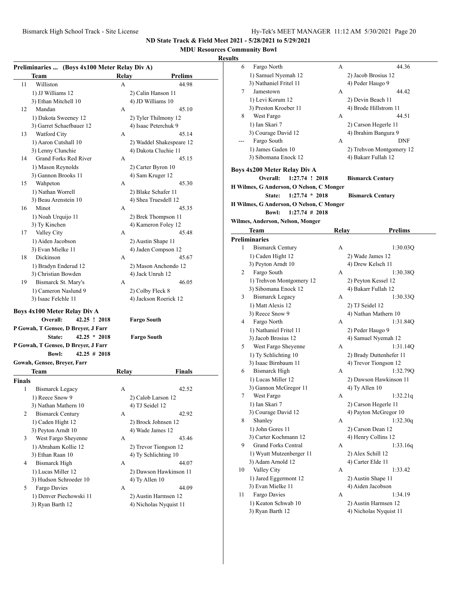### **MDU Resources Community Bowl**

|               | Preliminaries  (Boys 4x100 Meter Relay Div A) |       |                          |
|---------------|-----------------------------------------------|-------|--------------------------|
|               | Team                                          | Relay | <b>Prelims</b>           |
| 11            | Williston                                     | А     | 44.98                    |
|               | 1) JJ Williams 12                             |       | 2) Calin Hanson 11       |
|               | 3) Ethan Mitchell 10                          |       | 4) JD Williams 10        |
| 12            | Mandan                                        | A     | 45.10                    |
|               | 1) Dakota Sweeney 12                          |       | 2) Tyler Thilmony 12     |
|               | 3) Garret Schaefbauer 12                      |       | 4) Isaac Peterchuk 9     |
| 13            | Watford City                                  | А     | 45.14                    |
|               | 1) Aaron Cutshall 10                          |       | 2) Waddel Shakespeare 12 |
|               | 3) Lenny Clunchie                             |       | 4) Dakota Cluchie 11     |
| 14            | <b>Grand Forks Red River</b>                  | А     | 45.15                    |
|               | 1) Mason Reynolds                             |       | 2) Carter Byron 10       |
|               | 3) Gannon Brooks 11                           |       | 4) Sam Kruger 12         |
| 15            | Wahpeton                                      | A     | 45.30                    |
|               | 1) Nathan Worrell                             |       | 2) Blake Schafer 11      |
|               | 3) Beau Arenstein 10                          |       | 4) Shea Truesdell 12     |
| 16            | Minot                                         | A     | 45.35                    |
|               | 1) Noah Urquijo 11                            |       | 2) Brek Thompson 11      |
|               | 3) Ty Kinchen                                 |       | 4) Kameron Foley 12      |
| 17            | Valley City                                   | A     | 45.48                    |
|               | 1) Aiden Jacobson                             |       | 2) Austin Shape 11       |
|               | 3) Evan Mielke 11                             |       | 4) Jaden Compson 12      |
| 18            | Dickinson                                     | А     | 45.67                    |
|               | 1) Bradyn Enderud 12                          |       | 2) Mason Anchondo 12     |
|               | 3) Christian Bowden                           |       | 4) Jack Unruh 12         |
| 19            | Bismarck St. Mary's                           | А     | 46.05                    |
|               | 1) Cameron Naslund 9                          |       | 2) Colby Fleck 8         |
|               | 3) Isaac Felchle 11                           |       | 4) Jackson Roerick 12    |
|               |                                               |       |                          |
|               | Boys 4x100 Meter Relay Div A<br>Overall:      |       |                          |
|               | 42.25 ! 2018                                  |       | <b>Fargo South</b>       |
|               | P Gowah, T Gensee, D Breyer, J Farr           |       |                          |
|               | State:<br>$42.25 * 2018$                      |       | <b>Fargo South</b>       |
|               | P Gowah, T Gensee, D Breyer, J Farr           |       |                          |
|               | $42.25$ # 2018<br><b>Bowl:</b>                |       |                          |
|               | Gowah, Gensee, Breyer, Farr                   |       |                          |
|               | Team                                          | Relay | <b>Finals</b>            |
| <b>Finals</b> |                                               |       |                          |
| 1             | <b>Bismarck Legacy</b>                        | А     | 42.52                    |
|               | 1) Reece Snow 9                               |       | 2) Calob Larson 12       |
|               | 3) Nathan Mathern 10                          |       | 4) TJ Seidel 12          |
| 2             | <b>Bismarck Century</b>                       | А     | 42.92                    |
|               | 1) Caden Hight 12                             |       | 2) Brock Johnsen 12      |
|               | 3) Peyton Arndt 10                            |       | 4) Wade James 12         |
| 3             | West Fargo Sheyenne                           | А     | 43.46                    |
|               | 1) Abraham Kollie 12                          |       | 2) Trevor Tiongson 12    |
|               | 3) Ethan Raan 10                              |       | 4) Ty Schlichting 10     |
| 4             | <b>Bismarck High</b>                          | А     | 44.07                    |
|               | 1) Lucas Miller 12                            |       | 2) Dawson Hawkinson 11   |
|               | 3) Hudson Schroeder 10                        |       | 4) Ty Allen 10           |
| 5             | Fargo Davies                                  | А     | 44.09                    |
|               | 1) Denver Piechowski 11                       |       | 2) Austin Harmsen 12     |
|               | 3) Ryan Barth 12                              |       | 4) Nicholas Nyquist 11   |
|               |                                               |       |                          |

| ults |                                          |       |                          |
|------|------------------------------------------|-------|--------------------------|
| 6    | Fargo North                              | А     | 44.36                    |
|      | 1) Samuel Nyemah 12                      |       | 2) Jacob Brosius 12      |
|      | 3) Nathaniel Fritel 11                   |       | 4) Peder Haugo 9         |
| 7    | Jamestown                                | А     | 44.42                    |
|      | 1) Levi Korum 12                         |       | 2) Devin Beach 11        |
|      | 3) Preston Kroeber 11                    |       | 4) Brode Hillstrom 11    |
| 8    | West Fargo                               | А     | 44.51                    |
|      | 1) Ian Skari 7                           |       | 2) Carson Hegerle 11     |
|      | 3) Courage David 12                      |       | 4) Ibrahim Bangura 9     |
|      | Fargo South                              | A     | DNF                      |
|      | 1) James Gaden 10                        |       | 2) Trehvon Montgomery 12 |
|      | 3) Sibomana Enock 12                     |       | 4) Bakarr Fullah 12      |
|      |                                          |       |                          |
|      | Boys 4x200 Meter Relay Div A             |       |                          |
|      | Overall:<br>1:27.74 ! 2018               |       | <b>Bismarck Century</b>  |
|      | H Wilmes, G Anderson, O Nelson, C Monger |       |                          |
|      | State:<br>$1:27.74 * 2018$               |       | <b>Bismarck Century</b>  |
|      | H Wilmes, G Anderson, O Nelson, C Monger |       |                          |
|      | $1:27.74$ # 2018<br><b>Bowl:</b>         |       |                          |
|      | Wilmes, Anderson, Nelson, Monger         |       |                          |
|      | Team                                     | Relay | <b>Prelims</b>           |
|      | <b>Preliminaries</b>                     |       |                          |
| 1    | <b>Bismarck Century</b>                  | А     | 1:30.03Q                 |
|      | 1) Caden Hight 12                        |       | 2) Wade James 12         |
|      | 3) Peyton Arndt 10                       |       | 4) Drew Kelsch 11        |
| 2    | Fargo South                              | А     | 1:30.38Q                 |
|      |                                          |       |                          |
|      | 1) Trehvon Montgomery 12                 |       | 2) Peyton Kessel 12      |
|      | 3) Sibomana Enock 12                     |       | 4) Bakarr Fullah 12      |
| 3    | <b>Bismarck Legacy</b>                   | А     | 1:30.33Q                 |
|      | 1) Matt Alexis 12                        |       | 2) TJ Seidel 12          |
|      | 3) Reece Snow 9                          |       | 4) Nathan Mathern 10     |
| 4    | Fargo North                              | А     | 1:31.84Q                 |
|      | 1) Nathaniel Fritel 11                   |       | 2) Peder Haugo 9         |
|      | 3) Jacob Brosius 12                      |       | 4) Samuel Nyemah 12      |
| 5.   | West Fargo Sheyenne                      | А     | 1:31.14Q                 |
|      | 1) Ty Schlichting 10                     |       | 2) Brady Duttenhefer 11  |
|      | 3) Isaac Birnbaum 11                     |       | 4) Trevor Tiongson 12    |
| 6    | <b>Bismarck High</b>                     | А     | 1:32.79Q                 |
|      | 1) Lucas Miller 12                       |       | 2) Dawson Hawkinson 11   |
|      | 3) Gannon McGregor 11                    |       | 4) Ty Allen 10           |
| 7    | West Fargo                               | А     | 1:32.21q                 |
|      | 1) Ian Skari 7                           |       | 2) Carson Hegerle 11     |
|      | 3) Courage David 12                      |       | 4) Payton McGregor 10    |
| 8    | Shanley                                  | А     | 1:32.30q                 |
|      | 1) John Gores 11                         |       | 2) Carson Dean 12        |
|      | 3) Carter Kochmann 12                    |       | 4) Henry Collins 12      |
| 9    | Grand Forks Central                      | А     | 1:33.16q                 |
|      | 1) Wyatt Mutzenberger 11                 |       | 2) Alex Schill 12        |
|      | 3) Adam Arnold 12                        |       | 4) Carter Elde 11        |
| 10   | Valley City                              | А     | 1:33.42                  |
|      | 1) Jared Eggermont 12                    |       | 2) Austin Shape 11       |
|      | 3) Evan Mielke 11                        |       | 4) Aiden Jacobson        |
| 11   | Fargo Davies                             | А     | 1:34.19                  |
|      | 1) Keaton Schwab 10                      |       | 2) Austin Harmsen 12     |
|      | 3) Ryan Barth 12                         |       | 4) Nicholas Nyquist 11   |
|      |                                          |       |                          |
|      |                                          |       |                          |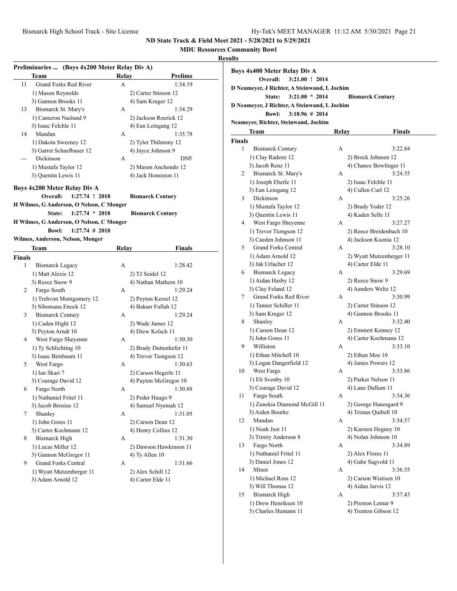## **MDU Resources Community Bowl**

### **Results**

| Preliminaries  (Boys 4x200 Meter Relay Div A) |                                          |       |                         |  |
|-----------------------------------------------|------------------------------------------|-------|-------------------------|--|
|                                               | Team                                     | Relav | Prelims                 |  |
| 11                                            | Grand Forks Red River                    | А     | 1:34.19                 |  |
|                                               | 1) Mason Reynolds                        |       | 2) Carter Stinson 12    |  |
|                                               | 3) Gannon Brooks 11                      |       | 4) Sam Kruger 12        |  |
| 13                                            | Bismarck St. Mary's                      | А     | 1:34.29                 |  |
|                                               | 1) Cameron Naslund 9                     |       | 2) Jackson Roerick 12   |  |
|                                               | 3) Isaac Felchle 11                      |       | 4) Ean Leingang 12      |  |
| 14                                            | Mandan                                   | А     | 1:35.78                 |  |
|                                               | 1) Dakota Sweeney 12                     |       | 2) Tyler Thilmony 12    |  |
|                                               | 3) Garret Schaefbauer 12                 |       | 4) Jayce Johnson 9      |  |
| ---                                           | Dickinson                                | А     | DNF                     |  |
|                                               | 1) Mustafa Taylor 12                     |       | 2) Mason Anchondo 12    |  |
|                                               | 3) Quentin Lewis 11                      |       | 4) Jack Homiston 11     |  |
|                                               |                                          |       |                         |  |
|                                               | Boys 4x200 Meter Relay Div A             |       |                         |  |
|                                               | Overall:<br>$1:27.74$ ! 2018             |       | <b>Bismarck Century</b> |  |
|                                               | H Wilmes, G Anderson, O Nelson, C Monger |       |                         |  |
|                                               | $1:27.74 * 2018$<br>State:               |       | <b>Bismarck Century</b> |  |
|                                               | H Wilmes, G Anderson, O Nelson, C Monger |       |                         |  |
|                                               | <b>Bowl:</b><br>$1:27.74$ # 2018         |       |                         |  |
|                                               | Wilmes, Anderson, Nelson, Monger         |       |                         |  |
|                                               | Team                                     | Relay | Finals                  |  |
| <b>Finals</b>                                 |                                          |       |                         |  |
| 1                                             | Bismarck Legacy                          | А     | 1:28.42                 |  |
|                                               | 1) Matt Alexis 12                        |       | 2) TJ Seidel 12         |  |
|                                               | 3) Reece Snow 9                          |       | 4) Nathan Mathern 10    |  |
| 2                                             | Fargo South                              | А     | 1:29.24                 |  |
|                                               | 1) Trehvon Montgomery 12                 |       | 2) Peyton Kessel 12     |  |
|                                               | 3) Sibomana Enock 12                     |       | 4) Bakarr Fullah 12     |  |
| 3                                             | <b>Bismarck Century</b>                  | А     | 1:29.24                 |  |
|                                               | 1) Caden Hight 12                        |       | 2) Wade James 12        |  |
|                                               | 3) Peyton Arndt 10                       |       | 4) Drew Kelsch 11       |  |
| 4                                             | West Fargo Sheyenne                      | А     | 1:30.30                 |  |
|                                               | 1) Ty Schlichting 10                     |       | 2) Brady Duttenhefer 11 |  |
|                                               | 3) Isaac Birnbaum 11                     |       | 4) Trevor Tiongson 12   |  |
| 5                                             | West Fargo                               | A     | 1:30.63                 |  |
|                                               | 1) Ian Skari 7                           |       | 2) Carson Hegerle 11    |  |
|                                               | 3) Courage David 12                      |       | 4) Payton McGregor 10   |  |
| 6                                             | Fargo North                              | А     | 1:30.88                 |  |
|                                               | 1) Nathaniel Fritel 11                   |       | 2) Peder Haugo 9        |  |
|                                               | 3) Jacob Brosius 12                      |       | 4) Samuel Nyemah 12     |  |
| 7                                             | Shanley                                  | А     | 1:31.05                 |  |
|                                               | 1) John Gores 11                         |       | 2) Carson Dean 12       |  |
|                                               | 3) Carter Kochmann 12                    |       | 4) Henry Collins 12     |  |
| 8                                             | <b>Bismarck High</b>                     | А     | 1:31.30                 |  |
|                                               | 1) Lucas Miller 12                       |       | 2) Dawson Hawkinson 11  |  |
|                                               | 3) Gannon McGregor 11                    |       | 4) Ty Allen 10          |  |
| 9.                                            | <b>Grand Forks Central</b>               | А     | 1:31.66                 |  |
|                                               | 1) Wyatt Mutzenberger 11                 |       | 2) Alex Schill 12       |  |
|                                               | 3) Adam Arnold 12                        |       | 4) Carter Elde 11       |  |
|                                               |                                          |       |                         |  |

| ults          |                                              |       |                               |
|---------------|----------------------------------------------|-------|-------------------------------|
|               | <b>Boys 4x400 Meter Relay Div A</b>          |       |                               |
|               | Overall:<br>3:21.00 ! 2014                   |       |                               |
|               | D Neameyer, J Richter, A Steinwand, L Jochim |       |                               |
|               | $3:21.00 * 2014$<br>State:                   |       | <b>Bismarck Century</b>       |
|               | D Neamever, J Richter, A Steinwand, L Jochim |       |                               |
|               | $3:18.96 \# 2014$<br><b>Bowl:</b>            |       |                               |
|               | Neameyer, Richter, Steinwand, Jochim         |       |                               |
|               | <b>Team</b>                                  | Relay | <b>Finals</b>                 |
| <b>Finals</b> |                                              |       |                               |
| 1             | <b>Bismarck Century</b>                      | А     | 3:22.84                       |
|               | 1) Clay Radenz 12                            |       | 2) Brock Johnsen 12           |
|               | 3) Jacob Renz 11                             |       | 4) Chance Bowlinger 11        |
| 2             | Bismarck St. Mary's                          | А     | 3:24.55                       |
|               | 1) Joseph Eberle 11                          |       | 2) Isaac Felchle 11           |
|               | 3) Ean Leingang 12                           |       | 4) Cullen Curl 12             |
| 3             | Dickinson                                    | А     | 3:25.26                       |
|               | 1) Mustafa Taylor 12                         |       | 2) Brady Yoder 12             |
|               | 3) Quentin Lewis 11                          |       | 4) Kaden Selle 11             |
| 4             | West Fargo Sheyenne                          | А     | 3:27.27                       |
|               | 1) Trevor Tiongson 12                        |       | 2) Reece Breidenbach 10       |
|               | 3) Caeden Johnson 11                         |       | 4) Jackson Kuznia 12          |
| 5             | <b>Grand Forks Central</b>                   | А     | 3:28.10                       |
|               | 1) Adam Arnold 12                            |       | 2) Wyatt Mutzenberger 11      |
|               | 3) Jak Urlacher 12                           |       | 4) Carter Elde 11             |
| 6             | <b>Bismarck Legacy</b>                       | А     | 3:29.69                       |
|               | 1) Aidan Hasby 12                            |       | 2) Reece Snow 9               |
|               | 3) Clay Feland 12                            |       | 4) Aanders Weltz 12           |
| 7             | Grand Forks Red River                        | А     | 3:30.99                       |
|               | 1) Tanner Schiller 11                        |       | 2) Carter Stinson 12          |
|               | 3) Sam Kruger 12                             |       | 4) Gannon Brooks 11           |
| 8             | Shanley                                      | А     | 3:32.40                       |
|               | 1) Carson Dean 12                            |       | 2) Emmett Kenney 12           |
|               | 3) John Gores 11                             |       | 4) Carter Kochmann 12         |
| 9             | Williston                                    | А     | 3:33.10                       |
|               | 1) Ethan Mitchell 10                         |       | 2) Ethan Moe 10               |
| 10            | 3) Logan Dangerfield 12<br>West Fargo        | А     | 4) James Powers 12<br>3:33.86 |
|               | 1) Eli Svenby 10                             |       | 2) Parker Nelson 11           |
|               | 3) Courage David 12                          |       | 4) Lane Dullum 11             |
| 11            | Fargo South                                  | А     | 3:34.36                       |
|               | 1) Zunekia Diamond McGill 11                 |       | 2) George Hanesgard 9         |
|               | 3) Aiden Bourke                              |       | 4) Tristan Quibell 10         |
| 12            | Mandan                                       | А     | 3:34.57                       |
|               | 1) Noah Just 11                              |       | 2) Karsten Hegney 10          |
|               | 3) Trinity Anderson 8                        |       | 4) Nolan Johnson 10           |
| 13            | Fargo North                                  | А     | 3:34.89                       |
|               | 1) Nathaniel Fritel 11                       |       | 2) Alex Flores 11             |
|               | 3) Daniel Jones 12                           |       | 4) Gabe Sagvold 11            |
| 14            | Minot                                        | А     | 3:36.55                       |
|               | 1) Michael Ross 12                           |       | 2) Carson Wistisen 10         |
|               | 3) Will Thomas 12                            |       | 4) Aidan Jarvis 12            |
| 15            | <b>Bismarck High</b>                         | А     | 3:37.43                       |
|               | 1) Drew Henriksen 10                         |       | 2) Preston Lemar 9            |
|               | 3) Charles Humann 11                         |       | 4) Trenton Gibson 12          |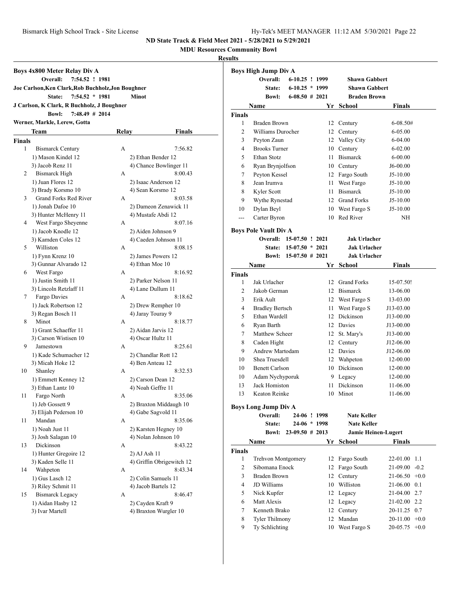**MDU Resources Community Bowl**

| Boys 4x800 Meter Relay Div A |                                                    |       |                                              |  |  |  |
|------------------------------|----------------------------------------------------|-------|----------------------------------------------|--|--|--|
|                              | Overall:<br>7:54.52 ! 1981                         |       |                                              |  |  |  |
|                              | Joe Carlson, Ken Clark, Rob Buchholz, Jon Boughner |       |                                              |  |  |  |
|                              | $7:54.52 * 1981$<br>State:                         |       | <b>Minot</b>                                 |  |  |  |
|                              | J Carlson, K Clark, R Buchholz, J Boughner         |       |                                              |  |  |  |
|                              | <b>Bowl:</b><br>$7:48.49$ # 2014                   |       |                                              |  |  |  |
|                              | Werner, Markle, Lerew, Gotta                       |       |                                              |  |  |  |
|                              | Team                                               | Relay | <b>Finals</b>                                |  |  |  |
| <b>Finals</b>                |                                                    |       |                                              |  |  |  |
| 1                            | <b>Bismarck Century</b>                            | A     | 7:56.82                                      |  |  |  |
|                              | 1) Mason Kindel 12                                 |       |                                              |  |  |  |
|                              | 3) Jacob Renz 11                                   |       | 2) Ethan Bender 12<br>4) Chance Bowlinger 11 |  |  |  |
| 2                            | <b>Bismarck High</b>                               | A     | 8:00.43                                      |  |  |  |
|                              |                                                    |       |                                              |  |  |  |
|                              | 1) Juan Flores 12                                  |       | 2) Isaac Anderson 12                         |  |  |  |
|                              | 3) Brady Korsmo 10                                 |       | 4) Sean Korsmo 12                            |  |  |  |
| 3                            | Grand Forks Red River                              | A     | 8:03.58                                      |  |  |  |
|                              | 1) Jonah Dafoe 10                                  |       | 2) Dameon Zenawick 11                        |  |  |  |
|                              | 3) Hunter McHenry 11                               |       | 4) Mustafe Abdi 12                           |  |  |  |
| 4                            | West Fargo Sheyenne                                | A     | 8:07.16                                      |  |  |  |
|                              | 1) Jacob Knodle 12                                 |       | 2) Aiden Johnson 9                           |  |  |  |
|                              | 3) Kamden Coles 12                                 |       | 4) Caeden Johnson 11                         |  |  |  |
| 5                            | Williston                                          | A     | 8:08.15                                      |  |  |  |
|                              | 1) Fynn Krenz 10                                   |       | 2) James Powers 12                           |  |  |  |
|                              | 3) Gunnar Alvarado 12                              |       | 4) Ethan Moe 10                              |  |  |  |
| 6                            | West Fargo                                         | A     | 8:16.92                                      |  |  |  |
|                              | 1) Justin Smith 11                                 |       | 2) Parker Nelson 11                          |  |  |  |
|                              | 3) Lincoln Retzlaff 11                             |       | 4) Lane Dullum 11                            |  |  |  |
| 7                            | Fargo Davies                                       | A     | 8:18.62                                      |  |  |  |
|                              | 1) Jack Robertson 12                               |       | 2) Drew Rempher 10                           |  |  |  |
|                              | 3) Regan Bosch 11                                  |       | 4) Jaray Touray 9                            |  |  |  |
| 8                            | Minot                                              | A     | 8:18.77                                      |  |  |  |
|                              | 1) Grant Schaeffer 11                              |       | 2) Aidan Jarvis 12                           |  |  |  |
|                              | 3) Carson Wistisen 10                              |       | 4) Oscar Hultz 11                            |  |  |  |
| 9                            | Jamestown                                          | A     | 8:25.61                                      |  |  |  |
|                              | 1) Kade Schumacher 12                              |       | 2) Chandlar Rott 12                          |  |  |  |
|                              | 3) Micah Hoke 12                                   |       | 4) Ben Anteau 12                             |  |  |  |
| 10                           | Shanley                                            | А     | 8:32.53                                      |  |  |  |
|                              | 1) Emmett Kenney 12                                |       | 2) Carson Dean 12                            |  |  |  |
|                              | 3) Ethan Lantz 10                                  |       | 4) Noah Geffre 11                            |  |  |  |
| 11                           | Fargo North                                        | A     | 8:35.06                                      |  |  |  |
|                              | 1) Jeb Gossett 9                                   |       | 2) Braxton Middaugh 10                       |  |  |  |
|                              | 3) Elijah Pederson 10                              |       | 4) Gabe Sagvold 11                           |  |  |  |
| 11                           | Mandan                                             | A     | 8:35.06                                      |  |  |  |
|                              | 1) Noah Just 11                                    |       | 2) Karsten Hegney 10                         |  |  |  |
|                              | 3) Josh Salagan 10                                 |       | 4) Nolan Johnson 10                          |  |  |  |
| 13                           | Dickinson                                          | А     | 8:43.22                                      |  |  |  |
|                              | 1) Hunter Gregoire 12                              |       | 2) AJ Ash 11                                 |  |  |  |
|                              | 3) Kaden Selle 11                                  |       | 4) Griffin Obrigewitch 12                    |  |  |  |
| 14                           | Wahpeton                                           | А     | 8:43.34                                      |  |  |  |
|                              | 1) Gus Lasch 12                                    |       | 2) Colin Samuels 11                          |  |  |  |
|                              | 3) Riley Schmit 11                                 |       | 4) Jacob Bartels 12                          |  |  |  |
| 15                           | <b>Bismarck Legacy</b>                             | А     | 8:46.47                                      |  |  |  |
|                              | 1) Aidan Hasby 12                                  |       | 2) Cayden Kraft 9                            |  |  |  |
|                              | 3) Ivar Martell                                    |       | 4) Braxton Wurgler 10                        |  |  |  |
|                              |                                                    |       |                                              |  |  |  |

|                              | <b>Boys High Jump Div A</b> |                    |  |    |                            |               |        |
|------------------------------|-----------------------------|--------------------|--|----|----------------------------|---------------|--------|
|                              | Overall:                    | 6-10.25 ! 1999     |  |    | <b>Shawn Gabbert</b>       |               |        |
|                              | State:                      | $6-10.25 * 1999$   |  |    | <b>Shawn Gabbert</b>       |               |        |
|                              | <b>Bowl:</b>                | $6-08.50 \# 2021$  |  |    | <b>Braden Brown</b>        |               |        |
|                              | <b>Name</b>                 |                    |  | Yr | <b>School</b>              | <b>Finals</b> |        |
| <b>Finals</b>                |                             |                    |  |    |                            |               |        |
| 1                            | Braden Brown                |                    |  | 12 | Century                    | 6-08.50#      |        |
| $\overline{c}$               | Williams Durocher           |                    |  |    | 12 Century                 | 6-05.00       |        |
| 3                            | Peyton Zaun                 |                    |  |    | 12 Valley City             | 6-04.00       |        |
| 4                            | <b>Brooks Turner</b>        |                    |  |    | 10 Century                 | $6 - 02.00$   |        |
| 5                            | Ethan Stotz                 |                    |  |    | 11 Bismarck                | $6 - 00.00$   |        |
| 6                            | Ryan Brynjolfson            |                    |  |    | 10 Century                 | J6-00.00      |        |
| 7                            | Peyton Kessel               |                    |  |    | 12 Fargo South             | J5-10.00      |        |
| 8                            | Jean Irumva                 |                    |  | 11 | West Fargo                 | J5-10.00      |        |
| 8                            | Kyler Scott                 |                    |  |    | 11 Bismarck                | J5-10.00      |        |
| 9                            | Wythe Rynestad              |                    |  |    | 12 Grand Forks             | $J5-10.00$    |        |
| 10                           | Dylan Beyl                  |                    |  |    | 10 West Fargo S            | J5-10.00      |        |
| $-$                          | Carter Byron                |                    |  |    | 10 Red River               | NH            |        |
|                              |                             |                    |  |    |                            |               |        |
| <b>Boys Pole Vault Div A</b> |                             |                    |  |    |                            |               |        |
|                              | Overall: 15-07.50 ! 2021    |                    |  |    | <b>Jak Urlacher</b>        |               |        |
|                              | <b>State:</b>               | $15-07.50 * 2021$  |  |    | <b>Jak Urlacher</b>        |               |        |
|                              | <b>Bowl:</b>                | $15-07.50 \# 2021$ |  |    | <b>Jak Urlacher</b>        |               |        |
|                              | Name                        |                    |  | Yr | School                     | Finals        |        |
| <b>Finals</b>                |                             |                    |  |    |                            |               |        |
| 1                            | Jak Urlacher                |                    |  |    | 12 Grand Forks             | 15-07.50!     |        |
| 2                            | Jakob German                |                    |  |    | 12 Bismarck                | 13-06.00      |        |
| 3                            | Erik Ault                   |                    |  |    | 12 West Fargo S            | 13-03.00      |        |
| 4                            | <b>Bradley Bertsch</b>      |                    |  | 11 | West Fargo S               | J13-03.00     |        |
| 5                            | Ethan Wardell               |                    |  |    | 12 Dickinson               | J13-00.00     |        |
| 6                            | Ryan Barth                  |                    |  |    | 12 Davies                  | J13-00.00     |        |
| 7                            | Matthew Scheer              |                    |  | 12 | St. Mary's                 | J13-00.00     |        |
| 8                            | Caden Hight                 |                    |  |    | 12 Century                 | J12-06.00     |        |
| 9                            | <b>Andrew Martodam</b>      |                    |  |    | 12 Davies                  | J12-06.00     |        |
| 10                           | Shea Truesdell              |                    |  |    | 12 Wahpeton                | 12-00.00      |        |
| 10                           | <b>Benett Carlson</b>       |                    |  |    | 10 Dickinson               | 12-00.00      |        |
| 10                           | Adam Nychyporuk             |                    |  |    | 9 Legacy                   | 12-00.00      |        |
| 13                           | Jack Homiston               |                    |  | 11 | Dickinson                  | 11-06.00      |        |
| 13                           | Keaton Reinke               |                    |  |    | 10 Minot                   | 11-06.00      |        |
|                              |                             |                    |  |    |                            |               |        |
|                              | <b>Boys Long Jump Div A</b> |                    |  |    |                            |               |        |
|                              | Overall:                    | 24-06 ! 1998       |  |    | Nate Keller                |               |        |
|                              | State:                      | 24-06 * 1998       |  |    | <b>Nate Keller</b>         |               |        |
|                              | <b>Bowl:</b>                | $23-09.50 \# 2013$ |  |    | <b>Jamie Heinen-Lugert</b> |               |        |
|                              | Name                        |                    |  | Yr | <b>School</b>              | Finals        |        |
| <b>Finals</b>                |                             |                    |  |    |                            |               |        |
| 1                            | Trehvon Montgomery          |                    |  | 12 | Fargo South                | 22-01.00      | 1.1    |
| $\overline{c}$               | Sibomana Enock              |                    |  | 12 | Fargo South                | 21-09.00      | $-0.2$ |
| 3                            | <b>Braden Brown</b>         |                    |  | 12 | Century                    | 21-06.50      | $+0.0$ |
| 4                            | JD Williams                 |                    |  | 10 | Williston                  | 21-06.00      | 0.1    |
| 5                            | Nick Kupfer                 |                    |  |    | 12 Legacy                  | 21-04.00 2.7  |        |
| 6                            | Matt Alexis                 |                    |  | 12 | Legacy                     | 21-02.00      | 2.2    |
| 7                            | Kenneth Brako               |                    |  | 12 | Century                    | 20-11.25      | 0.7    |
| 8                            | <b>Tyler Thilmony</b>       |                    |  | 12 | Mandan                     | 20-11.00      | $+0.0$ |
| 9                            | Ty Schlichting              |                    |  | 10 | West Fargo S               | 20-05.75      | $+0.0$ |
|                              |                             |                    |  |    |                            |               |        |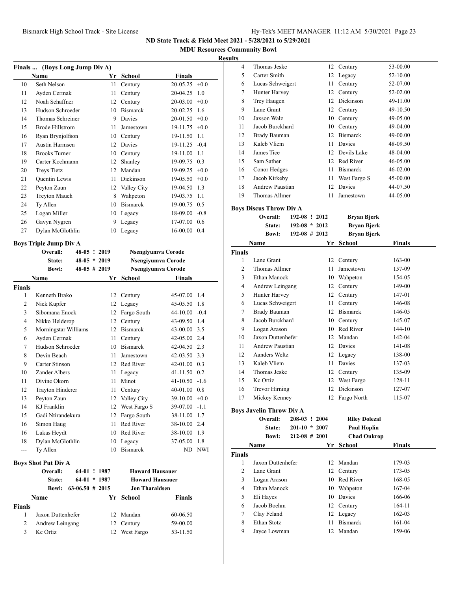**MDU Resources Community Bowl**

### **Results**

|    | Finals  (Boys Long Jump Div A) |    |                 |                 |        |
|----|--------------------------------|----|-----------------|-----------------|--------|
|    | Name                           | Yr | School          | Finals          |        |
| 10 | Seth Nelson                    | 11 | Century         | $20-05.25$ +0.0 |        |
| 11 | Ayden Cermak                   | 11 | Century         | 20-04.25        | 1.0    |
| 12 | Noah Schaffner                 | 12 | Century         | 20-03.00        | $+0.0$ |
| 13 | Hudson Schroeder               | 10 | <b>Bismarck</b> | $20-02.25$ 1.6  |        |
| 14 | Thomas Schreiner               | 9  | Davies          | $20-01.50 +0.0$ |        |
| 15 | Brode Hillstrom                | 11 | Jamestown       | $19-11.75$ +0.0 |        |
| 16 | Ryan Brynjolfson               | 10 | Century         | 19-11.50        | 1.1    |
| 17 | Austin Harmsen                 | 12 | Davies          | $19-11.25 -0.4$ |        |
| 18 | <b>Brooks Turner</b>           | 10 | Century         | 19-11.00        | 1.1    |
| 19 | Carter Kochmann                | 12 | Shanley         | 19-09.75        | 0.3    |
| 20 | <b>Treys Tietz</b>             | 12 | Mandan          | 19-09.25        | $+0.0$ |
| 21 | <b>Quentin Lewis</b>           | 11 | Dickinson       | $19-05.50 +0.0$ |        |
| 22 | Peyton Zaun                    | 12 | Valley City     | 19-04.50        | 1.3    |
| 23 | <b>Treyton Mauch</b>           | 8  | Wahpeton        | 19-03.75        | 1.1    |
| 24 | Ty Allen                       | 10 | <b>Bismarck</b> | 19-00.75        | 0.5    |
| 25 | Logan Miller                   | 10 | Legacy          | 18-09.00        | $-0.8$ |
| 26 | Gavyn Nygren                   | 9  | Legacy          | 17-07.00        | 0.6    |
| 27 | Dylan McGlothlin               | 10 | Legacy          | 16-00.00        | 0.4    |
|    |                                |    |                 |                 |        |

### **Boys Triple Jump Div A**

|              | 48-05 ! 2019                                                                                                                                                                                                         | Nsengiyumva Corode               |                  |                                          |
|--------------|----------------------------------------------------------------------------------------------------------------------------------------------------------------------------------------------------------------------|----------------------------------|------------------|------------------------------------------|
| State:       |                                                                                                                                                                                                                      |                                  |                  |                                          |
| <b>Bowl:</b> |                                                                                                                                                                                                                      |                                  |                  |                                          |
| <b>Name</b>  | Yr                                                                                                                                                                                                                   | School                           | <b>Finals</b>    |                                          |
|              |                                                                                                                                                                                                                      |                                  |                  |                                          |
|              |                                                                                                                                                                                                                      | Century                          | 45-07.00 1.4     |                                          |
| Nick Kupfer  | 12                                                                                                                                                                                                                   | Legacy                           | 45-05.50 1.8     |                                          |
|              | 12                                                                                                                                                                                                                   | Fargo South                      | 44-10.00         | $-0.4$                                   |
|              | 12                                                                                                                                                                                                                   | Century                          | 43-09.50 1.4     |                                          |
|              | 12                                                                                                                                                                                                                   | <b>Bismarck</b>                  | $43 - 00.00$ 3.5 |                                          |
|              | 11                                                                                                                                                                                                                   | Century                          | 42-05.00 2.4     |                                          |
|              | 10                                                                                                                                                                                                                   | <b>Bismarck</b>                  | 42-04.50 2.3     |                                          |
| Devin Beach  | 11                                                                                                                                                                                                                   | Jamestown                        | 42-03.50 3.3     |                                          |
|              | 12                                                                                                                                                                                                                   | Red River                        | 42-01.00         | 0.3                                      |
|              | 11                                                                                                                                                                                                                   | Legacy                           | 41-11.50 0.2     |                                          |
| Divine Okorn | 11                                                                                                                                                                                                                   | Minot                            | $41-10.50 -1.6$  |                                          |
|              | 11                                                                                                                                                                                                                   | Century                          | $40-01.00$ 0.8   |                                          |
| Peyton Zaun  | 12                                                                                                                                                                                                                   | Valley City                      | $39-10.00 +0.0$  |                                          |
| KJ Franklin  | 12                                                                                                                                                                                                                   | West Fargo S                     | $39-07.00 -1.1$  |                                          |
|              | 12                                                                                                                                                                                                                   | Fargo South                      | 38-11.00 1.7     |                                          |
| Simon Haug   | 11                                                                                                                                                                                                                   | Red River                        | 38-10.00 2.4     |                                          |
| Lukas Heydt  | 10                                                                                                                                                                                                                   | Red River                        | 38-10.00 1.9     |                                          |
|              | 10                                                                                                                                                                                                                   | Legacy                           | 37-05.00         | 1.8                                      |
| Ty Allen     | 10                                                                                                                                                                                                                   | <b>Bismarck</b>                  |                  | ND NWI                                   |
|              | Kenneth Brako<br>Sibomana Enock<br>Nikko Helderop<br>Morningstar Williams<br>Ayden Cermak<br>Hudson Schroeder<br>Carter Stinson<br>Zander Albers<br><b>Trayton Hinderer</b><br>Gadi Ntirandekura<br>Dylan McGlothlin | $48-05 * 2019$<br>$48-05$ # 2019 | 12               | Nsengiyumva Corode<br>Nsengiyumva Corode |

### **Boys Shot Put Div A**

| Overall: |             |                                      |                                    |                                                             |                                                                           |
|----------|-------------|--------------------------------------|------------------------------------|-------------------------------------------------------------|---------------------------------------------------------------------------|
| State:   | 64-01       | $*1987$                              |                                    |                                                             |                                                                           |
| Bowl:    |             |                                      |                                    |                                                             |                                                                           |
|          |             |                                      |                                    | <b>Finals</b>                                               |                                                                           |
|          |             |                                      |                                    |                                                             |                                                                           |
|          |             |                                      |                                    | 60-06.50                                                    |                                                                           |
|          |             |                                      |                                    | 59-00.00                                                    |                                                                           |
| Ke Ortiz |             |                                      |                                    | 53-11.50                                                    |                                                                           |
|          | <b>Name</b> | Jaxon Duttenhefer<br>Andrew Leingang | 64-01 ! 1987<br>$63-06.50 \# 2015$ | Yr School<br>12 Mandan<br>Century<br>12<br>West Fargo<br>12 | <b>Howard Hausauer</b><br><b>Howard Hausauer</b><br><b>Jon Tharaldsen</b> |

| .  |                  |    |                 |              |
|----|------------------|----|-----------------|--------------|
| 4  | Thomas Jeske     |    | 12 Century      | 53-00.00     |
| 5  | Carter Smith     |    | 12 Legacy       | 52-10.00     |
| 6  | Lucas Schweigert | 11 | Century         | 52-07.00     |
| 7  | Hunter Harvey    | 12 | Century         | 52-02.00     |
| 8  | Trey Haugen      | 12 | Dickinson       | 49-11.00     |
| 9  | Lane Grant       |    | 12 Century      | 49-10.50     |
| 10 | Jaxson Walz      | 10 | Century         | 49-05.00     |
| 11 | Jacob Burckhard  | 10 | Century         | 49-04.00     |
| 12 | Brady Bauman     | 12 | <b>Bismarck</b> | 49-00.00     |
| 13 | Kaleb Vliem      | 11 | Davies          | 48-09.50     |
| 14 | James Tice       |    | 12 Devils Lake  | 48-04.00     |
| 15 | Sam Sather       | 12 | Red River       | 46-05.00     |
| 16 | Conor Hedges     | 11 | <b>Bismarck</b> | $46 - 02.00$ |
| 17 | Jacob Kirkeby    | 11 | West Fargo S    | 45-00.00     |
| 18 | Andrew Paustian  | 12 | Davies          | 44-07.50     |
| 19 | Thomas Allmer    | 11 | Jamestown       | 44-05.00     |

### **Boys Discus Throw Div A**

| Overall:     | 192-08 ! 2012    | <b>Bryan Bjerk</b> |
|--------------|------------------|--------------------|
| State:       | $192-08 * 2012$  | <b>Bryan Bjerk</b> |
| <b>Bowl:</b> | $192-08 \# 2012$ | <b>Bryan Bjerk</b> |

|               | Name              | Yr | School          | Finals |
|---------------|-------------------|----|-----------------|--------|
| <b>Finals</b> |                   |    |                 |        |
| 1             | Lane Grant        | 12 | Century         | 163-00 |
| 2             | Thomas Allmer     | 11 | Jamestown       | 157-09 |
| 3             | Ethan Manock      | 10 | Wahpeton        | 154-05 |
| 4             | Andrew Leingang   | 12 | Century         | 149-00 |
| 5             | Hunter Harvey     | 12 | Century         | 147-01 |
| 6             | Lucas Schweigert  | 11 | Century         | 146-08 |
| 7             | Brady Bauman      | 12 | <b>Bismarck</b> | 146-05 |
| 8             | Jacob Burckhard   | 10 | Century         | 145-07 |
| 9             | Logan Arason      | 10 | Red River       | 144-10 |
| 10            | Jaxon Duttenhefer | 12 | Mandan          | 142-04 |
| 11            | Andrew Paustian   | 12 | Davies          | 141-08 |
| 12            | Aanders Weltz     | 12 | Legacy          | 138-00 |
| 13            | Kaleb Vliem       | 11 | Davies          | 137-03 |
| 14            | Thomas Jeske      | 12 | Century         | 135-09 |
| 15            | Ke Ortiz          | 12 | West Fargo      | 128-11 |
| 16            | Trevor Hirning    | 12 | Dickinson       | 127-07 |
| 17            | Mickey Kenney     | 12 | Fargo North     | 115-07 |
|               |                   |    |                 |        |

## **Boys Javelin Throw Div A**

|               | Overall:          | 208-03 ! 2004     | <b>Riley Dolezal</b> |        |
|---------------|-------------------|-------------------|----------------------|--------|
|               | State:            | $201-10 * 2007$   | <b>Paul Hoplin</b>   |        |
|               | <b>Bowl:</b>      | $212 - 08$ # 2001 | <b>Chad Oukrop</b>   |        |
|               | <b>Name</b>       | Yr.               | School               | Finals |
| <b>Finals</b> |                   |                   |                      |        |
| 1             | Jaxon Duttenhefer |                   | 12 Mandan            | 179-03 |
| 2             | Lane Grant        |                   | 12 Century           | 173-05 |
| 3             | Logan Arason      | 10                | Red River            | 168-05 |
| 4             | Ethan Manock      | 10                | Wahpeton             | 167-04 |
| 5             | Eli Hayes         | 10                | Davies               | 166-06 |
| 6             | Jacob Boehm       |                   | 12 Century           | 164-11 |
| 7             | Clay Feland       |                   | 12 Legacy            | 162-03 |
| 8             | Ethan Stotz       | 11                | <b>Bismarck</b>      | 161-04 |
| 9             | Jayce Lowman      | 12                | Mandan               | 159-06 |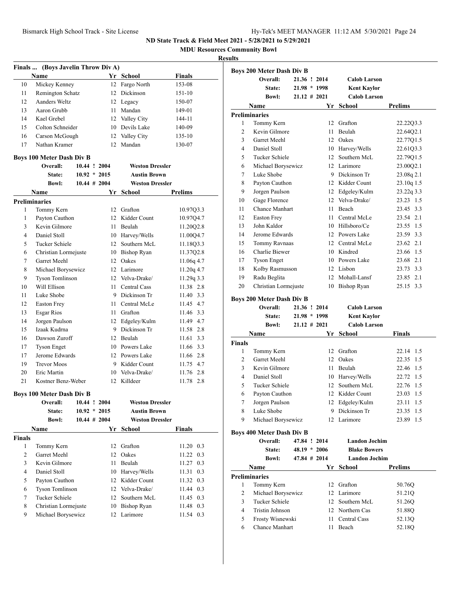**MDU Resources Community Bowl**

| Yr School<br>Finals<br>Name<br>12<br>10<br>Mickey Kenney<br>Fargo North<br>153-08<br>12 Dickinson<br>11<br>Remington Schatz<br>151-10<br>12<br>Aanders Weltz<br>12 Legacy<br>150-07<br>Aaron Grubb<br>11 Mandan<br>13<br>149-01<br>14<br>Kael Grebel<br>12 Valley City<br>144-11<br>Colton Schneider<br>10 Devils Lake<br>15<br>140-09<br>Carson McGough<br>12 Valley City<br>16<br>135-10<br>Nathan Kramer<br>12 Mandan<br>17<br>130-07<br><b>Boys 100 Meter Dash Div B</b><br>10.44 ! 2004<br><b>Weston Dressler</b><br>Overall:<br>$10.92 * 2015$<br><b>Austin Brown</b><br>State:<br>$10.44 \# 2004$<br><b>Weston Dressler</b><br><b>Bowl:</b><br>Yr School<br>Prelims<br>Name<br><b>Preliminaries</b><br>Tommy Kern<br>12 Grafton<br>1<br>10.97Q3.3<br>Payton Cauthon<br>12 Kidder Count<br>10.97Q4.7<br>1<br>Kevin Gilmore<br>3<br>11 Beulah<br>11.20Q2.8<br>$\overline{4}$<br>Daniel Stoll<br>10 Harvey/Wells<br>11.00Q4.7<br>12 Southern McL<br>5<br><b>Tucker Schiele</b><br>11.1803.3<br>6<br>Christian Lormejuste<br>10 Bishop Ryan<br>11.37Q2.8<br>Garret Meehl<br>7<br>12 Oakes<br>11.06q 4.7<br>8<br>Michael Borysewicz<br>12 Larimore<br>$11.20q$ 4.7<br>Tyson Tomlinson<br>12. Velva-Drake/<br>11.29q 3.3<br>9<br>Will Ellison<br>11 Central Cass<br>11.38 2.8<br>10<br>Luke Shobe<br>9 Dickinson Tr<br>11<br>11.40 3.3<br>12<br>11 Central McLe<br>11.45 4.7<br><b>Easton Frey</b><br><b>Esgar Rios</b><br>11 Grafton<br>11.46 3.3<br>13<br>Jorgen Paulson<br>12 Edgeley/Kulm<br>11.49 4.7<br>14<br>9 Dickinson Tr<br>Izaak Kudrna<br>15<br>11.58 2.8<br>Dawson Zuroff<br>12 Beulah<br>$11.61$ 3.3<br>16<br>10 Powers Lake<br>11.66 3.3<br>17<br><b>Tyson Enget</b><br>Jerome Edwards<br>12 Powers Lake<br>11.66 2.8<br>17<br>19<br><b>Trevor Moos</b><br>9 Kidder Count<br>11.75 4.7<br>Eric Martin<br>10 Velva-Drake/<br>11.76 2.8<br>20<br>21<br>Kostner Benz-Weber<br>12 Killdeer<br>11.78 2.8<br><b>Boys 100 Meter Dash Div B</b><br>Overall:<br><b>Weston Dressler</b><br>10.44 ! 2004<br>$10.92 * 2015$<br><b>Austin Brown</b><br>State:<br>$10.44$ # 2004<br><b>Weston Dressler</b><br><b>Bowl:</b><br>Yr<br><b>Finals</b><br>Name<br>School<br><b>Finals</b><br>Tommy Kern<br>12<br>Grafton<br>11.20 0.3<br>1<br>2<br>Garret Meehl<br>12<br>Oakes<br>11.22<br>0.3<br>3<br>Kevin Gilmore<br>Beulah<br>11<br>11.27<br>0.3<br>4<br>Daniel Stoll<br>11.31 0.3<br>10 Harvey/Wells<br>5<br>12 Kidder Count<br>Payton Cauthon<br>11.32 0.3<br><b>Tyson Tomlinson</b><br>12 Velva-Drake/<br>11.44 0.3<br>6<br><b>Tucker Schiele</b><br>7<br>Southern McL<br>12<br>11.45 0.3<br>Christian Lormejuste<br><b>Bishop Ryan</b><br>8<br>10<br>11.48 0.3<br>9<br>Michael Borysewicz<br>Larimore<br>12<br>11.54 0.3 | Finals  (Boys Javelin Throw Div A) |  |  |  |
|-------------------------------------------------------------------------------------------------------------------------------------------------------------------------------------------------------------------------------------------------------------------------------------------------------------------------------------------------------------------------------------------------------------------------------------------------------------------------------------------------------------------------------------------------------------------------------------------------------------------------------------------------------------------------------------------------------------------------------------------------------------------------------------------------------------------------------------------------------------------------------------------------------------------------------------------------------------------------------------------------------------------------------------------------------------------------------------------------------------------------------------------------------------------------------------------------------------------------------------------------------------------------------------------------------------------------------------------------------------------------------------------------------------------------------------------------------------------------------------------------------------------------------------------------------------------------------------------------------------------------------------------------------------------------------------------------------------------------------------------------------------------------------------------------------------------------------------------------------------------------------------------------------------------------------------------------------------------------------------------------------------------------------------------------------------------------------------------------------------------------------------------------------------------------------------------------------------------------------------------------------------------------------------------------------------------------------------------------------------------------------------------------------------------------------------------------------------------------------------------------------------------------------------------------------------------------------------------------------------------------------------------------------------------------------------------------------------------------------|------------------------------------|--|--|--|
|                                                                                                                                                                                                                                                                                                                                                                                                                                                                                                                                                                                                                                                                                                                                                                                                                                                                                                                                                                                                                                                                                                                                                                                                                                                                                                                                                                                                                                                                                                                                                                                                                                                                                                                                                                                                                                                                                                                                                                                                                                                                                                                                                                                                                                                                                                                                                                                                                                                                                                                                                                                                                                                                                                                               |                                    |  |  |  |
|                                                                                                                                                                                                                                                                                                                                                                                                                                                                                                                                                                                                                                                                                                                                                                                                                                                                                                                                                                                                                                                                                                                                                                                                                                                                                                                                                                                                                                                                                                                                                                                                                                                                                                                                                                                                                                                                                                                                                                                                                                                                                                                                                                                                                                                                                                                                                                                                                                                                                                                                                                                                                                                                                                                               |                                    |  |  |  |
|                                                                                                                                                                                                                                                                                                                                                                                                                                                                                                                                                                                                                                                                                                                                                                                                                                                                                                                                                                                                                                                                                                                                                                                                                                                                                                                                                                                                                                                                                                                                                                                                                                                                                                                                                                                                                                                                                                                                                                                                                                                                                                                                                                                                                                                                                                                                                                                                                                                                                                                                                                                                                                                                                                                               |                                    |  |  |  |
|                                                                                                                                                                                                                                                                                                                                                                                                                                                                                                                                                                                                                                                                                                                                                                                                                                                                                                                                                                                                                                                                                                                                                                                                                                                                                                                                                                                                                                                                                                                                                                                                                                                                                                                                                                                                                                                                                                                                                                                                                                                                                                                                                                                                                                                                                                                                                                                                                                                                                                                                                                                                                                                                                                                               |                                    |  |  |  |
|                                                                                                                                                                                                                                                                                                                                                                                                                                                                                                                                                                                                                                                                                                                                                                                                                                                                                                                                                                                                                                                                                                                                                                                                                                                                                                                                                                                                                                                                                                                                                                                                                                                                                                                                                                                                                                                                                                                                                                                                                                                                                                                                                                                                                                                                                                                                                                                                                                                                                                                                                                                                                                                                                                                               |                                    |  |  |  |
|                                                                                                                                                                                                                                                                                                                                                                                                                                                                                                                                                                                                                                                                                                                                                                                                                                                                                                                                                                                                                                                                                                                                                                                                                                                                                                                                                                                                                                                                                                                                                                                                                                                                                                                                                                                                                                                                                                                                                                                                                                                                                                                                                                                                                                                                                                                                                                                                                                                                                                                                                                                                                                                                                                                               |                                    |  |  |  |
|                                                                                                                                                                                                                                                                                                                                                                                                                                                                                                                                                                                                                                                                                                                                                                                                                                                                                                                                                                                                                                                                                                                                                                                                                                                                                                                                                                                                                                                                                                                                                                                                                                                                                                                                                                                                                                                                                                                                                                                                                                                                                                                                                                                                                                                                                                                                                                                                                                                                                                                                                                                                                                                                                                                               |                                    |  |  |  |
|                                                                                                                                                                                                                                                                                                                                                                                                                                                                                                                                                                                                                                                                                                                                                                                                                                                                                                                                                                                                                                                                                                                                                                                                                                                                                                                                                                                                                                                                                                                                                                                                                                                                                                                                                                                                                                                                                                                                                                                                                                                                                                                                                                                                                                                                                                                                                                                                                                                                                                                                                                                                                                                                                                                               |                                    |  |  |  |
|                                                                                                                                                                                                                                                                                                                                                                                                                                                                                                                                                                                                                                                                                                                                                                                                                                                                                                                                                                                                                                                                                                                                                                                                                                                                                                                                                                                                                                                                                                                                                                                                                                                                                                                                                                                                                                                                                                                                                                                                                                                                                                                                                                                                                                                                                                                                                                                                                                                                                                                                                                                                                                                                                                                               |                                    |  |  |  |
|                                                                                                                                                                                                                                                                                                                                                                                                                                                                                                                                                                                                                                                                                                                                                                                                                                                                                                                                                                                                                                                                                                                                                                                                                                                                                                                                                                                                                                                                                                                                                                                                                                                                                                                                                                                                                                                                                                                                                                                                                                                                                                                                                                                                                                                                                                                                                                                                                                                                                                                                                                                                                                                                                                                               |                                    |  |  |  |
|                                                                                                                                                                                                                                                                                                                                                                                                                                                                                                                                                                                                                                                                                                                                                                                                                                                                                                                                                                                                                                                                                                                                                                                                                                                                                                                                                                                                                                                                                                                                                                                                                                                                                                                                                                                                                                                                                                                                                                                                                                                                                                                                                                                                                                                                                                                                                                                                                                                                                                                                                                                                                                                                                                                               |                                    |  |  |  |
|                                                                                                                                                                                                                                                                                                                                                                                                                                                                                                                                                                                                                                                                                                                                                                                                                                                                                                                                                                                                                                                                                                                                                                                                                                                                                                                                                                                                                                                                                                                                                                                                                                                                                                                                                                                                                                                                                                                                                                                                                                                                                                                                                                                                                                                                                                                                                                                                                                                                                                                                                                                                                                                                                                                               |                                    |  |  |  |
|                                                                                                                                                                                                                                                                                                                                                                                                                                                                                                                                                                                                                                                                                                                                                                                                                                                                                                                                                                                                                                                                                                                                                                                                                                                                                                                                                                                                                                                                                                                                                                                                                                                                                                                                                                                                                                                                                                                                                                                                                                                                                                                                                                                                                                                                                                                                                                                                                                                                                                                                                                                                                                                                                                                               |                                    |  |  |  |
|                                                                                                                                                                                                                                                                                                                                                                                                                                                                                                                                                                                                                                                                                                                                                                                                                                                                                                                                                                                                                                                                                                                                                                                                                                                                                                                                                                                                                                                                                                                                                                                                                                                                                                                                                                                                                                                                                                                                                                                                                                                                                                                                                                                                                                                                                                                                                                                                                                                                                                                                                                                                                                                                                                                               |                                    |  |  |  |
|                                                                                                                                                                                                                                                                                                                                                                                                                                                                                                                                                                                                                                                                                                                                                                                                                                                                                                                                                                                                                                                                                                                                                                                                                                                                                                                                                                                                                                                                                                                                                                                                                                                                                                                                                                                                                                                                                                                                                                                                                                                                                                                                                                                                                                                                                                                                                                                                                                                                                                                                                                                                                                                                                                                               |                                    |  |  |  |
|                                                                                                                                                                                                                                                                                                                                                                                                                                                                                                                                                                                                                                                                                                                                                                                                                                                                                                                                                                                                                                                                                                                                                                                                                                                                                                                                                                                                                                                                                                                                                                                                                                                                                                                                                                                                                                                                                                                                                                                                                                                                                                                                                                                                                                                                                                                                                                                                                                                                                                                                                                                                                                                                                                                               |                                    |  |  |  |
|                                                                                                                                                                                                                                                                                                                                                                                                                                                                                                                                                                                                                                                                                                                                                                                                                                                                                                                                                                                                                                                                                                                                                                                                                                                                                                                                                                                                                                                                                                                                                                                                                                                                                                                                                                                                                                                                                                                                                                                                                                                                                                                                                                                                                                                                                                                                                                                                                                                                                                                                                                                                                                                                                                                               |                                    |  |  |  |
|                                                                                                                                                                                                                                                                                                                                                                                                                                                                                                                                                                                                                                                                                                                                                                                                                                                                                                                                                                                                                                                                                                                                                                                                                                                                                                                                                                                                                                                                                                                                                                                                                                                                                                                                                                                                                                                                                                                                                                                                                                                                                                                                                                                                                                                                                                                                                                                                                                                                                                                                                                                                                                                                                                                               |                                    |  |  |  |
|                                                                                                                                                                                                                                                                                                                                                                                                                                                                                                                                                                                                                                                                                                                                                                                                                                                                                                                                                                                                                                                                                                                                                                                                                                                                                                                                                                                                                                                                                                                                                                                                                                                                                                                                                                                                                                                                                                                                                                                                                                                                                                                                                                                                                                                                                                                                                                                                                                                                                                                                                                                                                                                                                                                               |                                    |  |  |  |
|                                                                                                                                                                                                                                                                                                                                                                                                                                                                                                                                                                                                                                                                                                                                                                                                                                                                                                                                                                                                                                                                                                                                                                                                                                                                                                                                                                                                                                                                                                                                                                                                                                                                                                                                                                                                                                                                                                                                                                                                                                                                                                                                                                                                                                                                                                                                                                                                                                                                                                                                                                                                                                                                                                                               |                                    |  |  |  |
|                                                                                                                                                                                                                                                                                                                                                                                                                                                                                                                                                                                                                                                                                                                                                                                                                                                                                                                                                                                                                                                                                                                                                                                                                                                                                                                                                                                                                                                                                                                                                                                                                                                                                                                                                                                                                                                                                                                                                                                                                                                                                                                                                                                                                                                                                                                                                                                                                                                                                                                                                                                                                                                                                                                               |                                    |  |  |  |
|                                                                                                                                                                                                                                                                                                                                                                                                                                                                                                                                                                                                                                                                                                                                                                                                                                                                                                                                                                                                                                                                                                                                                                                                                                                                                                                                                                                                                                                                                                                                                                                                                                                                                                                                                                                                                                                                                                                                                                                                                                                                                                                                                                                                                                                                                                                                                                                                                                                                                                                                                                                                                                                                                                                               |                                    |  |  |  |
|                                                                                                                                                                                                                                                                                                                                                                                                                                                                                                                                                                                                                                                                                                                                                                                                                                                                                                                                                                                                                                                                                                                                                                                                                                                                                                                                                                                                                                                                                                                                                                                                                                                                                                                                                                                                                                                                                                                                                                                                                                                                                                                                                                                                                                                                                                                                                                                                                                                                                                                                                                                                                                                                                                                               |                                    |  |  |  |
|                                                                                                                                                                                                                                                                                                                                                                                                                                                                                                                                                                                                                                                                                                                                                                                                                                                                                                                                                                                                                                                                                                                                                                                                                                                                                                                                                                                                                                                                                                                                                                                                                                                                                                                                                                                                                                                                                                                                                                                                                                                                                                                                                                                                                                                                                                                                                                                                                                                                                                                                                                                                                                                                                                                               |                                    |  |  |  |
|                                                                                                                                                                                                                                                                                                                                                                                                                                                                                                                                                                                                                                                                                                                                                                                                                                                                                                                                                                                                                                                                                                                                                                                                                                                                                                                                                                                                                                                                                                                                                                                                                                                                                                                                                                                                                                                                                                                                                                                                                                                                                                                                                                                                                                                                                                                                                                                                                                                                                                                                                                                                                                                                                                                               |                                    |  |  |  |
|                                                                                                                                                                                                                                                                                                                                                                                                                                                                                                                                                                                                                                                                                                                                                                                                                                                                                                                                                                                                                                                                                                                                                                                                                                                                                                                                                                                                                                                                                                                                                                                                                                                                                                                                                                                                                                                                                                                                                                                                                                                                                                                                                                                                                                                                                                                                                                                                                                                                                                                                                                                                                                                                                                                               |                                    |  |  |  |
|                                                                                                                                                                                                                                                                                                                                                                                                                                                                                                                                                                                                                                                                                                                                                                                                                                                                                                                                                                                                                                                                                                                                                                                                                                                                                                                                                                                                                                                                                                                                                                                                                                                                                                                                                                                                                                                                                                                                                                                                                                                                                                                                                                                                                                                                                                                                                                                                                                                                                                                                                                                                                                                                                                                               |                                    |  |  |  |
|                                                                                                                                                                                                                                                                                                                                                                                                                                                                                                                                                                                                                                                                                                                                                                                                                                                                                                                                                                                                                                                                                                                                                                                                                                                                                                                                                                                                                                                                                                                                                                                                                                                                                                                                                                                                                                                                                                                                                                                                                                                                                                                                                                                                                                                                                                                                                                                                                                                                                                                                                                                                                                                                                                                               |                                    |  |  |  |
|                                                                                                                                                                                                                                                                                                                                                                                                                                                                                                                                                                                                                                                                                                                                                                                                                                                                                                                                                                                                                                                                                                                                                                                                                                                                                                                                                                                                                                                                                                                                                                                                                                                                                                                                                                                                                                                                                                                                                                                                                                                                                                                                                                                                                                                                                                                                                                                                                                                                                                                                                                                                                                                                                                                               |                                    |  |  |  |
|                                                                                                                                                                                                                                                                                                                                                                                                                                                                                                                                                                                                                                                                                                                                                                                                                                                                                                                                                                                                                                                                                                                                                                                                                                                                                                                                                                                                                                                                                                                                                                                                                                                                                                                                                                                                                                                                                                                                                                                                                                                                                                                                                                                                                                                                                                                                                                                                                                                                                                                                                                                                                                                                                                                               |                                    |  |  |  |
|                                                                                                                                                                                                                                                                                                                                                                                                                                                                                                                                                                                                                                                                                                                                                                                                                                                                                                                                                                                                                                                                                                                                                                                                                                                                                                                                                                                                                                                                                                                                                                                                                                                                                                                                                                                                                                                                                                                                                                                                                                                                                                                                                                                                                                                                                                                                                                                                                                                                                                                                                                                                                                                                                                                               |                                    |  |  |  |
|                                                                                                                                                                                                                                                                                                                                                                                                                                                                                                                                                                                                                                                                                                                                                                                                                                                                                                                                                                                                                                                                                                                                                                                                                                                                                                                                                                                                                                                                                                                                                                                                                                                                                                                                                                                                                                                                                                                                                                                                                                                                                                                                                                                                                                                                                                                                                                                                                                                                                                                                                                                                                                                                                                                               |                                    |  |  |  |
|                                                                                                                                                                                                                                                                                                                                                                                                                                                                                                                                                                                                                                                                                                                                                                                                                                                                                                                                                                                                                                                                                                                                                                                                                                                                                                                                                                                                                                                                                                                                                                                                                                                                                                                                                                                                                                                                                                                                                                                                                                                                                                                                                                                                                                                                                                                                                                                                                                                                                                                                                                                                                                                                                                                               |                                    |  |  |  |
|                                                                                                                                                                                                                                                                                                                                                                                                                                                                                                                                                                                                                                                                                                                                                                                                                                                                                                                                                                                                                                                                                                                                                                                                                                                                                                                                                                                                                                                                                                                                                                                                                                                                                                                                                                                                                                                                                                                                                                                                                                                                                                                                                                                                                                                                                                                                                                                                                                                                                                                                                                                                                                                                                                                               |                                    |  |  |  |
|                                                                                                                                                                                                                                                                                                                                                                                                                                                                                                                                                                                                                                                                                                                                                                                                                                                                                                                                                                                                                                                                                                                                                                                                                                                                                                                                                                                                                                                                                                                                                                                                                                                                                                                                                                                                                                                                                                                                                                                                                                                                                                                                                                                                                                                                                                                                                                                                                                                                                                                                                                                                                                                                                                                               |                                    |  |  |  |
|                                                                                                                                                                                                                                                                                                                                                                                                                                                                                                                                                                                                                                                                                                                                                                                                                                                                                                                                                                                                                                                                                                                                                                                                                                                                                                                                                                                                                                                                                                                                                                                                                                                                                                                                                                                                                                                                                                                                                                                                                                                                                                                                                                                                                                                                                                                                                                                                                                                                                                                                                                                                                                                                                                                               |                                    |  |  |  |
|                                                                                                                                                                                                                                                                                                                                                                                                                                                                                                                                                                                                                                                                                                                                                                                                                                                                                                                                                                                                                                                                                                                                                                                                                                                                                                                                                                                                                                                                                                                                                                                                                                                                                                                                                                                                                                                                                                                                                                                                                                                                                                                                                                                                                                                                                                                                                                                                                                                                                                                                                                                                                                                                                                                               |                                    |  |  |  |
|                                                                                                                                                                                                                                                                                                                                                                                                                                                                                                                                                                                                                                                                                                                                                                                                                                                                                                                                                                                                                                                                                                                                                                                                                                                                                                                                                                                                                                                                                                                                                                                                                                                                                                                                                                                                                                                                                                                                                                                                                                                                                                                                                                                                                                                                                                                                                                                                                                                                                                                                                                                                                                                                                                                               |                                    |  |  |  |
|                                                                                                                                                                                                                                                                                                                                                                                                                                                                                                                                                                                                                                                                                                                                                                                                                                                                                                                                                                                                                                                                                                                                                                                                                                                                                                                                                                                                                                                                                                                                                                                                                                                                                                                                                                                                                                                                                                                                                                                                                                                                                                                                                                                                                                                                                                                                                                                                                                                                                                                                                                                                                                                                                                                               |                                    |  |  |  |
|                                                                                                                                                                                                                                                                                                                                                                                                                                                                                                                                                                                                                                                                                                                                                                                                                                                                                                                                                                                                                                                                                                                                                                                                                                                                                                                                                                                                                                                                                                                                                                                                                                                                                                                                                                                                                                                                                                                                                                                                                                                                                                                                                                                                                                                                                                                                                                                                                                                                                                                                                                                                                                                                                                                               |                                    |  |  |  |
|                                                                                                                                                                                                                                                                                                                                                                                                                                                                                                                                                                                                                                                                                                                                                                                                                                                                                                                                                                                                                                                                                                                                                                                                                                                                                                                                                                                                                                                                                                                                                                                                                                                                                                                                                                                                                                                                                                                                                                                                                                                                                                                                                                                                                                                                                                                                                                                                                                                                                                                                                                                                                                                                                                                               |                                    |  |  |  |
|                                                                                                                                                                                                                                                                                                                                                                                                                                                                                                                                                                                                                                                                                                                                                                                                                                                                                                                                                                                                                                                                                                                                                                                                                                                                                                                                                                                                                                                                                                                                                                                                                                                                                                                                                                                                                                                                                                                                                                                                                                                                                                                                                                                                                                                                                                                                                                                                                                                                                                                                                                                                                                                                                                                               |                                    |  |  |  |
|                                                                                                                                                                                                                                                                                                                                                                                                                                                                                                                                                                                                                                                                                                                                                                                                                                                                                                                                                                                                                                                                                                                                                                                                                                                                                                                                                                                                                                                                                                                                                                                                                                                                                                                                                                                                                                                                                                                                                                                                                                                                                                                                                                                                                                                                                                                                                                                                                                                                                                                                                                                                                                                                                                                               |                                    |  |  |  |
|                                                                                                                                                                                                                                                                                                                                                                                                                                                                                                                                                                                                                                                                                                                                                                                                                                                                                                                                                                                                                                                                                                                                                                                                                                                                                                                                                                                                                                                                                                                                                                                                                                                                                                                                                                                                                                                                                                                                                                                                                                                                                                                                                                                                                                                                                                                                                                                                                                                                                                                                                                                                                                                                                                                               |                                    |  |  |  |
|                                                                                                                                                                                                                                                                                                                                                                                                                                                                                                                                                                                                                                                                                                                                                                                                                                                                                                                                                                                                                                                                                                                                                                                                                                                                                                                                                                                                                                                                                                                                                                                                                                                                                                                                                                                                                                                                                                                                                                                                                                                                                                                                                                                                                                                                                                                                                                                                                                                                                                                                                                                                                                                                                                                               |                                    |  |  |  |
|                                                                                                                                                                                                                                                                                                                                                                                                                                                                                                                                                                                                                                                                                                                                                                                                                                                                                                                                                                                                                                                                                                                                                                                                                                                                                                                                                                                                                                                                                                                                                                                                                                                                                                                                                                                                                                                                                                                                                                                                                                                                                                                                                                                                                                                                                                                                                                                                                                                                                                                                                                                                                                                                                                                               |                                    |  |  |  |
|                                                                                                                                                                                                                                                                                                                                                                                                                                                                                                                                                                                                                                                                                                                                                                                                                                                                                                                                                                                                                                                                                                                                                                                                                                                                                                                                                                                                                                                                                                                                                                                                                                                                                                                                                                                                                                                                                                                                                                                                                                                                                                                                                                                                                                                                                                                                                                                                                                                                                                                                                                                                                                                                                                                               |                                    |  |  |  |
|                                                                                                                                                                                                                                                                                                                                                                                                                                                                                                                                                                                                                                                                                                                                                                                                                                                                                                                                                                                                                                                                                                                                                                                                                                                                                                                                                                                                                                                                                                                                                                                                                                                                                                                                                                                                                                                                                                                                                                                                                                                                                                                                                                                                                                                                                                                                                                                                                                                                                                                                                                                                                                                                                                                               |                                    |  |  |  |
|                                                                                                                                                                                                                                                                                                                                                                                                                                                                                                                                                                                                                                                                                                                                                                                                                                                                                                                                                                                                                                                                                                                                                                                                                                                                                                                                                                                                                                                                                                                                                                                                                                                                                                                                                                                                                                                                                                                                                                                                                                                                                                                                                                                                                                                                                                                                                                                                                                                                                                                                                                                                                                                                                                                               |                                    |  |  |  |
|                                                                                                                                                                                                                                                                                                                                                                                                                                                                                                                                                                                                                                                                                                                                                                                                                                                                                                                                                                                                                                                                                                                                                                                                                                                                                                                                                                                                                                                                                                                                                                                                                                                                                                                                                                                                                                                                                                                                                                                                                                                                                                                                                                                                                                                                                                                                                                                                                                                                                                                                                                                                                                                                                                                               |                                    |  |  |  |
|                                                                                                                                                                                                                                                                                                                                                                                                                                                                                                                                                                                                                                                                                                                                                                                                                                                                                                                                                                                                                                                                                                                                                                                                                                                                                                                                                                                                                                                                                                                                                                                                                                                                                                                                                                                                                                                                                                                                                                                                                                                                                                                                                                                                                                                                                                                                                                                                                                                                                                                                                                                                                                                                                                                               |                                    |  |  |  |
|                                                                                                                                                                                                                                                                                                                                                                                                                                                                                                                                                                                                                                                                                                                                                                                                                                                                                                                                                                                                                                                                                                                                                                                                                                                                                                                                                                                                                                                                                                                                                                                                                                                                                                                                                                                                                                                                                                                                                                                                                                                                                                                                                                                                                                                                                                                                                                                                                                                                                                                                                                                                                                                                                                                               |                                    |  |  |  |

| սււթ          |                                  |                 |    |                      |                |
|---------------|----------------------------------|-----------------|----|----------------------|----------------|
|               | <b>Boys 200 Meter Dash Div B</b> |                 |    |                      |                |
|               | Overall:                         | 21.36 ! 2014    |    | <b>Calob Larson</b>  |                |
|               | State:                           | 21.98 * 1998    |    | <b>Kent Kaylor</b>   |                |
|               | <b>Bowl:</b>                     | $21.12 \# 2021$ |    | <b>Calob Larson</b>  |                |
|               | Name                             |                 |    | Yr School            | <b>Prelims</b> |
|               | <b>Preliminaries</b>             |                 |    |                      |                |
| 1             | Tommy Kern                       |                 | 12 | Grafton              | 22.22Q3.3      |
| 2             | Kevin Gilmore                    |                 | 11 | Beulah               | 22.64Q2.1      |
| 3             | Garret Meehl                     |                 |    | 12 Oakes             | 22.77Q1.5      |
| 4             | Daniel Stoll                     |                 |    | 10 Harvey/Wells      | 22.61Q3.3      |
| 5             | <b>Tucker Schiele</b>            |                 |    | 12 Southern McL      | 22.7901.5      |
| 6             | Michael Borysewicz               |                 |    | 12 Larimore          | 23.00Q2.1      |
| 7             | Luke Shobe                       |                 |    | 9 Dickinson Tr       | 23.08q 2.1     |
| 8             | Payton Cauthon                   |                 |    | 12 Kidder Count      | 23.10q 1.5     |
| 9             | Jorgen Paulson                   |                 |    | 12 Edgeley/Kulm      | 23.22q 3.3     |
| 10            | Gage Florence                    |                 |    | 12 Velva-Drake/      | 23.23 1.5      |
| 11            | <b>Chance Manhart</b>            |                 | 11 | Beach                | 23.45 3.3      |
| 12            | <b>Easton Frey</b>               |                 | 11 | Central McLe         | 23.54<br>2.1   |
| 13            | John Kaldor                      |                 |    | 10 Hillsboro/Ce      | 23.55<br>1.5   |
| 14            | Jerome Edwards                   |                 |    | 12 Powers Lake       | 23.59 3.3      |
| 15            | Tommy Ravnaas                    |                 |    | 12 Central McLe      | 23.62 2.1      |
| 16            | Charlie Biewer                   |                 |    | 10 Kindred           | 1.5<br>23.66   |
| 17            | <b>Tyson Enget</b>               |                 |    | 10 Powers Lake       | 2.1<br>23.68   |
| 18            | Kolby Rasmusson                  |                 |    | 12 Lisbon            | 23.73 3.3      |
| 19            | Radu Beglita                     |                 |    | 12 Mohall-Lansf      | 23.85 2.1      |
| 20            | Christian Lormejuste             |                 |    | 10 Bishop Ryan       | 25.15 3.3      |
|               |                                  |                 |    |                      |                |
|               | <b>Boys 200 Meter Dash Div B</b> |                 |    |                      |                |
|               | Overall:                         | 21.36 ! 2014    |    | <b>Calob Larson</b>  |                |
|               | State:                           | 21.98 * 1998    |    | <b>Kent Kaylor</b>   |                |
|               | <b>Bowl:</b>                     | $21.12 \# 2021$ |    | <b>Calob Larson</b>  |                |
|               | Name                             |                 | Yr | School               | Finals         |
| <b>Finals</b> |                                  |                 |    |                      |                |
| 1             | Tommy Kern                       |                 |    | 12 Grafton           | 22.14<br>1.5   |
| 2             | Garret Meehl                     |                 |    | 12 Oakes             | 22.35<br>1.5   |
| 3             | Kevin Gilmore                    |                 | 11 | Beulah               | 22.46<br>1.5   |
| 4             | Daniel Stoll                     |                 |    | 10 Harvey/Wells      | 1.5<br>22.72   |
| 5             | Tucker Schiele                   |                 |    | 12 Southern McL      | 22.76<br>1.5   |
| 6             | Payton Cauthon                   |                 |    | 12 Kidder Count      | 23.03 1.5      |
| 7             | Jorgen Paulson                   |                 |    | 12 Edgeley/Kulm      | 23.11<br>1.5   |
| 8             | Luke Shobe                       |                 | 9. | Dickinson Tr         | 1.5<br>23.35   |
| 9             | Michael Borysewicz               |                 |    | 12 Larimore          | 23.89<br>1.5   |
|               | <b>Boys 400 Meter Dash Div B</b> |                 |    |                      |                |
|               | Overall:                         | 47.84 ! 2014    |    | <b>Landon Jochim</b> |                |
|               | State:                           | $48.19 * 2006$  |    | <b>Blake Bowers</b>  |                |
|               | <b>Bowl:</b>                     | 47.84 # 2014    |    | <b>Landon Jochim</b> |                |
|               |                                  |                 |    |                      |                |
|               | Name                             |                 |    | Yr School            | <b>Prelims</b> |
|               | <b>Preliminaries</b>             |                 |    |                      |                |
| 1             | Tommy Kern                       |                 |    | 12 Grafton           | $50.76Q$       |
| 2             | Michael Borysewicz               |                 |    | 12 Larimore          | 51.21Q         |
| 3             | Tucker Schiele                   |                 |    | 12 Southern McL      | 51.26Q         |
| 4             | Tristin Johnson                  |                 |    | 12 Northern Cas      | 51.88Q         |
| 5             | Frosty Wisnewski                 |                 |    | 11 Central Cass      | 52.13Q         |
| 6             | Chance Manhart                   |                 | 11 | Beach                | 52.18Q         |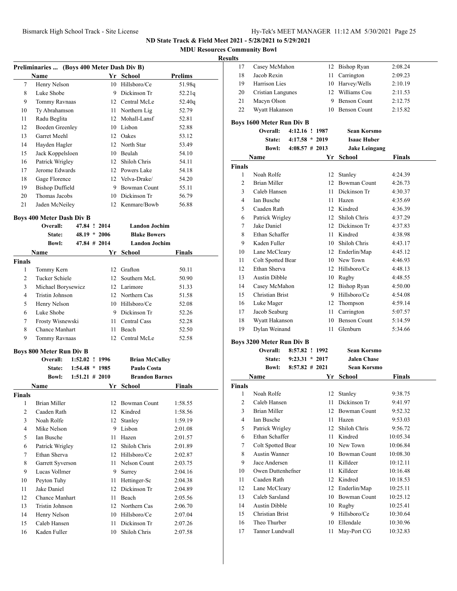# **MDU Resources Community Bowl**

### **Results**

|                | Preliminaries  (Boys 400 Meter Dash Div B) |                   |      |                       |         |
|----------------|--------------------------------------------|-------------------|------|-----------------------|---------|
|                | Name                                       |                   |      | Yr School             | Prelims |
| 7              | Henry Nelson                               |                   |      | 10 Hillsboro/Ce       | 51.98g  |
| 8              | Luke Shobe                                 |                   |      | 9 Dickinson Tr        | 52.21q  |
| 9              | Tommy Ravnaas                              |                   |      | 12 Central McLe       | 52.40q  |
| 10             | Ty Abrahamson                              |                   |      | 11 Northern Lig       | 52.79   |
| 11             | Radu Beglita                               |                   |      | 12 Mohall-Lansf       | 52.81   |
| 12             | <b>Boeden Greenley</b>                     |                   |      | 10 Lisbon             | 52.88   |
| 13             | Garret Meehl                               |                   |      | 12 Oakes              | 53.12   |
| 14             | Hayden Hagler                              |                   |      | 12 North Star         | 53.49   |
| 15             | Jack Koppelsloen                           |                   |      | 10 Beulah             | 54.10   |
| 16             | Patrick Wrigley                            |                   |      | 12 Shiloh Chris       | 54.11   |
| 17             | Jerome Edwards                             |                   |      | 12 Powers Lake        | 54.18   |
| 18             | Gage Florence                              |                   |      | 12 Velva-Drake/       | 54.20   |
| 19             | <b>Bishop Duffield</b>                     |                   |      | 9 Bowman Count        | 55.11   |
| 20             | Thomas Jacobs                              |                   |      | 10 Dickinson Tr       | 56.79   |
| 21             | Jaden McNeiley                             |                   |      | 12 Kenmare/Bowb       | 56.88   |
|                | <b>Boys 400 Meter Dash Div B</b>           |                   |      |                       |         |
|                | Overall:                                   | 47.84 ! 2014      |      | <b>Landon Jochim</b>  |         |
|                | State:                                     | $48.19 * 2006$    |      | <b>Blake Bowers</b>   |         |
|                | <b>Bowl:</b>                               | $47.84$ # 2014    |      | <b>Landon Jochim</b>  |         |
|                | Name                                       |                   | Yr   | School                | Finals  |
| <b>Finals</b>  |                                            |                   |      |                       |         |
| 1              | Tommy Kern                                 |                   |      | 12 Grafton            | 50.11   |
| $\overline{c}$ | <b>Tucker Schiele</b>                      |                   |      | 12 Southern McL       | 50.90   |
| 3              | Michael Borysewicz                         |                   |      | 12 Larimore           | 51.33   |
| 4              | Tristin Johnson                            |                   |      | 12 Northern Cas       | 51.58   |
| 5              | Henry Nelson                               |                   |      | 10 Hillsboro/Ce       | 52.08   |
| 6              | Luke Shobe                                 |                   |      | 9 Dickinson Tr        | 52.26   |
| 7              | Frosty Wisnewski                           |                   | 11 - | Central Cass          | 52.28   |
| 8              | <b>Chance Manhart</b>                      |                   |      | 11 Beach              | 52.50   |
| 9              | Tommy Ravnaas                              |                   |      | 12 Central McLe       | 52.58   |
|                | <b>Boys 800 Meter Run Div B</b>            |                   |      |                       |         |
|                | <b>Overall:</b>                            | $1:52.02$ ! 1996  |      | <b>Brian McCulley</b> |         |
|                | <b>State:</b>                              | $1:54.48 * 1985$  |      | Paulo Costa           |         |
|                | Bowl:                                      | $1:51.21 \# 2010$ |      | <b>Brandon Barnes</b> |         |
|                | Name                                       |                   |      | Yr School             | Finals  |
| <b>Finals</b>  |                                            |                   |      |                       |         |
| 1              | <b>Brian Miller</b>                        |                   |      | 12 Bowman Count       | 1:58.55 |
| 2              | Caaden Rath                                |                   |      | 12 Kindred            | 1:58.56 |
| 3              | Noah Rolfe                                 |                   | 12   | Stanley               | 1:59.19 |
| 4              | Mike Nelson                                |                   |      | 9 Lisbon              | 2:01.08 |
| 5              | Ian Busche                                 |                   | 11 - | Hazen                 | 2:01.57 |
| 6              | Patrick Wrigley                            |                   | 12   | Shiloh Chris          | 2:01.89 |
| 7              | Ethan Sherva                               |                   |      | 12 Hillsboro/Ce       | 2:02.87 |
| 8              | Garrett Syverson                           |                   | 11   | Nelson Count          | 2:03.75 |
| 9              | Lucas Vollmer                              |                   | 9.   | Surrey                | 2:04.16 |
| 10             | Peyton Tuhy                                |                   | 11   | Hettinger-Sc          | 2:04.38 |
| 11             | Jake Daniel                                |                   | 12   | Dickinson Tr          | 2:04.89 |
| 12             | Chance Manhart                             |                   | 11   | Beach                 | 2:05.56 |
| 13             | Tristin Johnson                            |                   |      | 12 Northern Cas       | 2:06.70 |
| 14             | Henry Nelson                               |                   |      | 10 Hillsboro/Ce       | 2:07.04 |
| 15             | Caleb Hansen                               |                   | 11   | Dickinson Tr          | 2:07.26 |
| 16             | Kaden Fuller                               |                   | 10   | Shiloh Chris          | 2:07.58 |

| uns            |                                  |                   |      |                      |               |  |
|----------------|----------------------------------|-------------------|------|----------------------|---------------|--|
| 17             | Casey McMahon                    |                   |      | 12 Bishop Ryan       | 2:08.24       |  |
| 18             | Jacob Rexin                      |                   |      | 11 Carrington        | 2:09.23       |  |
| 19             | Harrison Lies                    |                   |      | 10 Harvey/Wells      | 2:10.19       |  |
| 20             | Cristian Langunes                |                   |      | 12 Williams Cou      | 2:11.53       |  |
| 21             | Macyn Olson                      |                   |      | 9 Benson Count       | 2:12.75       |  |
| 22             | Wyatt Hakanson                   |                   |      | 10 Benson Count      | 2:15.82       |  |
|                |                                  |                   |      |                      |               |  |
|                | <b>Boys 1600 Meter Run Div B</b> |                   |      |                      |               |  |
|                | Overall:                         | 4:12.16 ! 1987    |      | <b>Sean Korsmo</b>   |               |  |
|                | State:                           | $4:17.58 * 2019$  |      | <b>Isaac Huber</b>   |               |  |
|                | <b>Bowl:</b>                     | $4:08.57$ # 2013  |      | <b>Jake Leingang</b> |               |  |
|                | Name                             |                   | Yr   | <b>School</b>        | Finals        |  |
| <b>Finals</b>  |                                  |                   |      |                      |               |  |
| 1              | Noah Rolfe                       |                   |      | 12 Stanley           | 4:24.39       |  |
| 2              | Brian Miller                     |                   |      | 12 Bowman Count      | 4:26.73       |  |
| 3              | Caleb Hansen                     |                   |      | 11 Dickinson Tr      | 4:30.37       |  |
| $\overline{4}$ | Ian Busche                       |                   |      | 11 Hazen             | 4:35.69       |  |
| 5              | Caaden Rath                      |                   |      | 12 Kindred           | 4:36.39       |  |
| 6              | Patrick Wrigley                  |                   |      | 12 Shiloh Chris      | 4:37.29       |  |
| 7              | Jake Daniel                      |                   |      | 12 Dickinson Tr      | 4:37.83       |  |
| 8              | Ethan Schaffer                   |                   |      | 11 Kindred           | 4:38.98       |  |
| 9              | Kaden Fuller                     |                   |      | 10 Shiloh Chris      | 4:43.17       |  |
| 10             | Lane McCleary                    |                   |      | 12 Enderlin/Map      | 4:45.12       |  |
| 11             | Colt Spotted Bear                |                   |      | 10 New Town          | 4:46.93       |  |
| 12             | Ethan Sherva                     |                   |      | 12 Hillsboro/Ce      | 4:48.13       |  |
| 13             | <b>Austin Dibble</b>             |                   |      | 10 Rugby             | 4:48.55       |  |
| 14             | Casey McMahon                    |                   |      | 12 Bishop Ryan       | 4:50.00       |  |
| 15             | Christian Brist                  |                   |      | 9 Hillsboro/Ce       | 4:54.08       |  |
| 16             | Luke Mager                       |                   |      | 12 Thompson          | 4:59.14       |  |
| 17             | Jacob Seaburg                    |                   |      | 11 Carrington        | 5:07.57       |  |
| 18             | Wyatt Hakanson                   |                   |      | 10 Benson Count      | 5:14.59       |  |
| 19             | Dylan Weinand                    |                   | 11.  | Glenburn             | 5:34.66       |  |
|                | <b>Boys 3200 Meter Run Div B</b> |                   |      |                      |               |  |
|                | Overall:                         | 8:57.82 ! 1992    |      | Sean Korsmo          |               |  |
|                | State:                           | $9:23.31 * 2017$  |      | <b>Jalen Chase</b>   |               |  |
|                | <b>Bowl:</b>                     | $8:57.82 \# 2021$ |      | <b>Sean Korsmo</b>   |               |  |
|                | Name                             |                   |      | Yr School            | <b>Finals</b> |  |
| <b>Finals</b>  |                                  |                   |      |                      |               |  |
|                | 1 Noah Rolfe                     |                   |      | 12 Stanley           | 9:38.75       |  |
| 2              | Caleb Hansen                     |                   |      | 11 Dickinson Tr      | 9:41.97       |  |
| 3              | Brian Miller                     |                   |      | 12 Bowman Count      | 9:52.32       |  |
| 4              | Ian Busche                       |                   | 11 - | Hazen                | 9:53.03       |  |
| 5              | Patrick Wrigley                  |                   |      | 12 Shiloh Chris      | 9:56.72       |  |
| 6              | Ethan Schaffer                   |                   | 11 - | Kindred              | 10:05.34      |  |
| 7              | Colt Spotted Bear                |                   |      | 10 New Town          | 10:06.84      |  |
| 8              | <b>Austin Wanner</b>             |                   |      | 10 Bowman Count      | 10:08.30      |  |
| 9              | Jace Andersen                    |                   | 11   | Killdeer             | 10:12.11      |  |
| 10             | Owen Duttenhefner                |                   | 11   | Killdeer             | 10:16.48      |  |
| 11             | Caaden Rath                      |                   |      | 12 Kindred           | 10:18.53      |  |
| 12             | Lane McCleary                    |                   |      | 12 Enderlin/Map      | 10:25.11      |  |
| 13             | Caleb Sarsland                   |                   |      | 10 Bowman Count      | 10:25.12      |  |
| 14             | Austin Dibble                    |                   | 10   | Rugby                | 10:25.41      |  |

 Christian Brist 9 Hillsboro/Ce 10:30.64 Theo Thurber 10 Ellendale 10:30.96 17 Tanner Lundwall 11 May-Port CG 10:32.83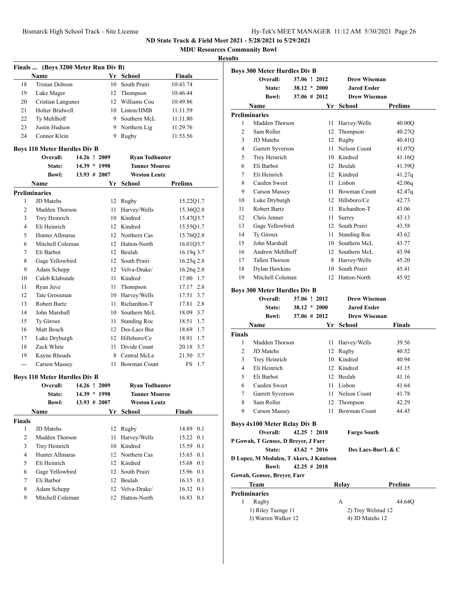**MDU Resources Community Bowl**

### **Results**

|               | Finals  (Boys 3200 Meter Run Div B) |                 |      |                       |               |
|---------------|-------------------------------------|-----------------|------|-----------------------|---------------|
|               | Name                                |                 |      | Yr School             | <b>Finals</b> |
| 18            | <b>Tristan Dobson</b>               |                 | 10   | South Prairi          | 10:43.74      |
| 19            | Luke Mager                          |                 | 12   | Thompson              | 10:46.44      |
| 20            | Cristian Langunes                   |                 |      | 12 Williams Cou       | 10:49.86      |
| 21            | Holter Bridwell                     |                 |      | 10 Linton/HMB         | 11:11.59      |
| 22            | Ty Mehlhoff                         |                 |      | 9 Southern McL        | 11:11.80      |
| 23            | Justin Hudson                       |                 |      | 9 Northern Lig        | 11:29.76      |
| 24            | Connor Klein                        |                 |      | 9 Rugby               | 11:53.56      |
|               | <b>Boys 110 Meter Hurdles Div B</b> |                 |      |                       |               |
|               | Overall:                            | 14.26 ! 2009    |      | <b>Ryan Todhunter</b> |               |
|               | State:                              | $14.39 * 1998$  |      | <b>Tanner Monroe</b>  |               |
|               | <b>Bowl:</b>                        | $13.93 \# 2007$ |      | <b>Weston Leutz</b>   |               |
|               | Name                                |                 | Yr   | School                | Prelims       |
|               | <b>Preliminaries</b>                |                 |      |                       |               |
| 1             | JD Matehs                           |                 | 12   | Rugby                 | 15.22Q1.7     |
| 2             | Madden Thorson                      |                 | 11 - | Harvey/Wells          | 15.36Q2.8     |
| 3             | Trey Heinrich                       |                 |      | 10 Kindred            | 15.47Q3.7     |
| 4             | Eli Heinrich                        |                 |      | 12 Kindred            | 15.55Q1.7     |
| 5             | Hunter Allmaras                     |                 |      | 12 Northern Cas       | 15.76Q2.8     |
| 6             | Mitchell Coleman                    |                 |      | 12 Hatton-North       | 16.01Q3.7     |
| 7             | Eli Barbot                          |                 |      | 12 Beulah             | $16.19q$ 3.7  |
| 8             | Gage Yellowbird                     |                 |      | 12 South Prairi       | $16.25q$ 2.8  |
| 9             | Adam Schepp                         |                 |      | 12 Velva-Drake/       | $16.26q$ 2.8  |
| 10            | Caleb Klabunde                      |                 |      | 11 Kindred            | 17.00 1.7     |
| 11            | Ryan Juve                           |                 | 11 - | Thompson              | 17.17 2.8     |
| 12            | Tate Grossman                       |                 |      | 10 Harvey/Wells       | 17.51 3.7     |
| 13            | Robert Bartz                        |                 | 11.  | Richardton-T          | 17.81 2.8     |
| 14            | John Marshall                       |                 |      | 10 Southern McL       | 18.09 3.7     |
| 15            | Ty Giroux                           |                 | 11 - | Standing Roc          | 18.51 1.7     |
| 16            | Matt Bosch                          |                 |      | 12 Des-Lacs Bur       | 18.69 1.7     |
| 17            | Luke Dryburgh                       |                 |      | 12 Hillsboro/Ce       | 18.91 1.7     |
| 18            | Zack White                          |                 |      | 11 Divide Count       | 20.18 3.7     |
| 19            | Kayne Rhoads                        |                 |      | 8 Central McLe        | 21.50 3.7     |
| ---           | Carson Massey                       |                 | 11   | Bowman Count          | 1.7<br>FS     |
|               | <b>Boys 110 Meter Hurdles Div B</b> |                 |      |                       |               |
|               | Overall:                            | 14.26 ! 2009    |      | <b>Ryan Todhunter</b> |               |
|               | State:                              | $14.39 * 1998$  |      | <b>Tanner Monroe</b>  |               |
|               | <b>Bowl:</b>                        | $13.93 \# 2007$ |      | <b>Weston Leutz</b>   |               |
|               | Name                                |                 |      | Yr School             | <b>Finals</b> |
| <b>Finals</b> |                                     |                 |      |                       |               |
| 1             | JD Matehs                           |                 | 12   | Rugby                 | 14.89 0.1     |
| 2             | Madden Thorson                      |                 | 11   | Harvey/Wells          | 0.1<br>15.22  |
| 3             | Trey Heinrich                       |                 |      | 10 Kindred            | 0.1<br>15.59  |
| 4             | Hunter Allmaras                     |                 |      | 12 Northern Cas       | 0.1<br>15.65  |
| 5             | Eli Heinrich                        |                 |      | 12 Kindred            | 15.68 0.1     |
| 6             | Gage Yellowbird                     |                 |      | 12 South Prairi       | 15.96 0.1     |
| 7             | Eli Barbot                          |                 |      | 12 Beulah             | 16.15 0.1     |
| 8             | Adam Schepp                         |                 |      | 12 Velva-Drake/       | 16.32 0.1     |
| 9             | Mitchell Coleman                    |                 |      | 12 Hatton-North       | 16.83<br>0.1  |

|                | Overall:                            | 37.06 ! 2012    | <b>Drew Wiseman</b> |                |
|----------------|-------------------------------------|-----------------|---------------------|----------------|
|                | State:                              | $38.12 * 2000$  | <b>Jared Essler</b> |                |
|                | <b>Bowl:</b>                        | $37.06 \# 2012$ | <b>Drew Wiseman</b> |                |
|                | Name                                | Yr              | School              | <b>Prelims</b> |
|                | <b>Preliminaries</b>                |                 |                     |                |
| 1              | Madden Thorson                      | 11              | Harvey/Wells        | 40.00Q         |
| $\overline{c}$ | Sam Roller                          | 12              | Thompson            | 40.27Q         |
| 3              | JD Matehs                           | 12              | Rugby               | 40.41Q         |
| 4              | Garrett Syverson                    | 11              | Nelson Count        | 41.07Q         |
| 5              | Trey Heinrich                       | 10              | Kindred             | 41.16Q         |
| 6              | Eli Barbot                          | 12              | Beulah              | 41.59Q         |
| 7              | Eli Heinrich                        | 12              | Kindred             | 41.27q         |
| 8              | Caeden Sweet                        | 11              | Lisbon              | 42.06q         |
| 9              | <b>Carson Massey</b>                |                 | 11 Bowman Count     | 42.47q         |
| 10             | Luke Dryburgh                       |                 | 12 Hillsboro/Ce     | 42.73          |
| 11             | Robert Bartz                        | 11              | Richardton-T        | 43.06          |
| 12             | Chris Jenner                        | 11              | Surrey              | 43.13          |
| 13             | Gage Yellowbird                     |                 | 12 South Prairi     | 43.58          |
| 14             | Ty Giroux                           | 11              | <b>Standing Roc</b> | 43.62          |
| 15             | John Marshall                       |                 | 10 Southern McL     | 43.77          |
| 16             | Andrew Mehlhoff                     | 12              | Southern McL        | 43.94          |
| 17             | <b>Tallen Thorson</b>               |                 | 8 Harvey/Wells      | 45.20          |
| 18             | Dylan Hawkins                       | 10              | South Prairi        | 45.41          |
| 19             | Mitchell Coleman                    | 12              | Hatton-North        | 45.92          |
|                | <b>Boys 300 Meter Hurdles Div B</b> |                 |                     |                |
|                | Overall:                            | 37.06 ! 2012    | <b>Drew Wiseman</b> |                |
|                | State:                              | $38.12 * 2000$  | <b>Jared Essler</b> |                |
|                |                                     |                 |                     |                |

|                | <b>Bowl:</b>                           | $37.06 \# 2012$ | <b>Drew Wiseman</b> |                |
|----------------|----------------------------------------|-----------------|---------------------|----------------|
|                | Name                                   | Yr              | School              | <b>Finals</b>  |
| <b>Finals</b>  |                                        |                 |                     |                |
| 1              | Madden Thorson                         | 11              | Harvey/Wells        | 39.56          |
| $\overline{c}$ | JD Matehs                              |                 | 12 Rugby            | 40.52          |
| 3              | Trey Heinrich                          | 10              | Kindred             | 40.94          |
| 4              | Eli Heinrich                           |                 | 12 Kindred          | 41.15          |
| 5              | Eli Barbot                             |                 | 12 Beulah           | 41.16          |
| 6              | Caeden Sweet                           | 11              | Lisbon              | 41.64          |
| 7              | Garrett Syverson                       | 11              | Nelson Count        | 41.78          |
| 8              | Sam Roller                             | 12              | Thompson            | 42.29          |
| 9              | <b>Carson Massey</b>                   | 11              | <b>Bowman Count</b> | 44.45          |
|                | <b>Boys 4x100 Meter Relay Div B</b>    |                 |                     |                |
|                | Overall:                               | 42.25 ! 2018    | <b>Fargo South</b>  |                |
|                | P Gowah, T Gensee, D Breyer, J Farr    |                 |                     |                |
|                | State:                                 | $43.62 * 2016$  | Des Lacs-Bur/L & C  |                |
|                | D Lopez, M Medalen, T Akers, J Knutson |                 |                     |                |
|                | <b>Bowl:</b>                           | $42.25 \# 2018$ |                     |                |
|                | Gowah, Gensee, Breyer, Farr            |                 |                     |                |
|                | Team                                   |                 | Relay               | <b>Prelims</b> |
|                | <b>Preliminaries</b>                   |                 |                     |                |
| 1              | Rugby                                  |                 | A                   | 44.64Q         |
|                | 1) Riley Tuenge 11                     |                 | 2) Trey Welstad 12  |                |

3) Warren Walker 12 4) JD Matehs 12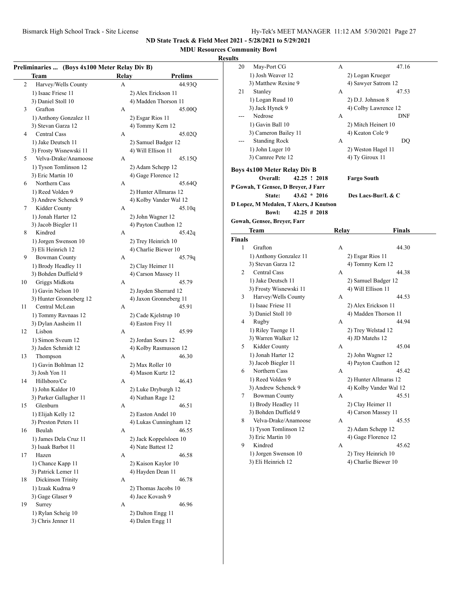### **MDU Resources Community Bowl**

|    | <b>Team</b>             | Relay | <b>Prelims</b>         |
|----|-------------------------|-------|------------------------|
| 2  | Harvey/Wells County     | А     | 44.93O                 |
|    | 1) Isaac Friese 11      |       | 2) Alex Erickson 11    |
|    | 3) Daniel Stoll 10      |       | 4) Madden Thorson 11   |
| 3  | Grafton                 | А     | 45.00Q                 |
|    | 1) Anthony Gonzalez 11  |       | 2) Esgar Rios 11       |
|    | 3) Stevan Garza 12      |       | 4) Tommy Kern 12       |
| 4  | Central Cass            | А     | 45.02Q                 |
|    | 1) Jake Deutsch 11      |       | 2) Samuel Badger 12    |
|    | 3) Frosty Wisnewski 11  |       | 4) Will Ellison 11     |
| 5  | Velva-Drake/Anamoose    | А     | 45.15O                 |
|    |                         |       |                        |
|    | 1) Tyson Tomlinson 12   |       | 2) Adam Schepp 12      |
|    | 3) Eric Martin 10       |       | 4) Gage Florence 12    |
| 6  | Northern Cass           | А     | 45.64Q                 |
|    | 1) Reed Volden 9        |       | 2) Hunter Allmaras 12  |
|    | 3) Andrew Schenck 9     |       | 4) Kolby Vander Wal 12 |
| 7  | Kidder County           | А     | 45.10q                 |
|    | 1) Jonah Harter 12      |       | 2) John Wagner 12      |
|    | 3) Jacob Biegler 11     |       | 4) Payton Cauthon 12   |
| 8  | Kindred                 | A     | 45.42q                 |
|    | 1) Jorgen Swenson 10    |       | 2) Trey Heinrich 10    |
|    | 3) Eli Heinrich 12      |       | 4) Charlie Biewer 10   |
| 9  | <b>Bowman County</b>    | А     | 45.79q                 |
|    | 1) Brody Headley 11     |       | 2) Clay Heimer 11      |
|    | 3) Bohden Duffield 9    |       | 4) Carson Massey 11    |
| 10 | Griggs Midkota          | А     | 45.79                  |
|    | 1) Gavin Nelson 10      |       | 2) Jayden Sherrard 12  |
|    | 3) Hunter Gronneberg 12 |       | 4) Jaxon Gronneberg 11 |
| 11 | Central McLean          | А     | 45.91                  |
|    | 1) Tommy Ravnaas 12     |       | 2) Cade Kjelstrup 10   |
|    | 3) Dylan Aasheim 11     |       | 4) Easton Frey 11      |
| 12 | Lisbon                  | А     | 45.99                  |
|    | 1) Simon Sveum 12       |       | 2) Jordan Sours 12     |
|    | 3) Jaden Schmidt 12     |       | 4) Kolby Rasmusson 12  |
| 13 | Thompson                | А     | 46.30                  |
|    | 1) Gavin Bohlman 12     |       | 2) Max Roller 10       |
|    | 3) Josh Yon 11          |       | 4) Mason Kurtz 12      |
| 14 | Hillsboro/Ce            | А     | 46.43                  |
|    | 1) John Kaldor 10       |       | 2) Luke Dryburgh 12    |
|    | 3) Parker Gallagher 11  |       | 4) Nathan Rage 12      |
|    |                         |       |                        |
| 15 | Glenburn                | А     | 46.51                  |
|    | 1) Elijah Kelly 12      |       | 2) Easton Andel 10     |
|    | 3) Preston Peters 11    |       | 4) Lukas Cunningham 12 |
| 16 | Beulah                  | А     | 46.55                  |
|    | 1) James Dela Cruz 11   |       | 2) Jack Koppelsloen 10 |
|    | 3) Isaak Barbot 11      |       | 4) Nate Battest 12     |
| 17 | Hazen                   | А     | 46.58                  |
|    | 1) Chance Kapp 11       |       | 2) Kaison Kaylor 10    |
|    | 3) Patrick Lemer 11     |       | 4) Hayden Dean 11      |
| 18 | Dickinson Trinity       | А     | 46.78                  |
|    | 1) Izaak Kudrna 9       |       | 2) Thomas Jacobs 10    |
|    | 3) Gage Glaser 9        |       | 4) Jace Kovash 9       |
| 19 | Surrey                  | А     | 46.96                  |
|    | 1) Rylan Scheig 10      |       | 2) Dalton Engg 11      |
|    |                         |       |                        |

| 20<br>21      | May-Port CG                             |                 |       |                        |  |
|---------------|-----------------------------------------|-----------------|-------|------------------------|--|
|               |                                         |                 | А     | 47.16                  |  |
|               | 1) Josh Weaver 12                       |                 |       | 2) Logan Krueger       |  |
|               | 3) Matthew Rexine 9                     |                 |       | 4) Sawyer Satrom 12    |  |
|               | Stanley                                 |                 | А     | 47.53                  |  |
|               | 1) Logan Ruud 10                        |                 |       | 2) D.J. Johnson 8      |  |
|               | 3) Jack Hynek 9                         |                 |       | 4) Colby Lawrence 12   |  |
|               | Nedrose                                 |                 | А     | DNF                    |  |
|               | 1) Gavin Ball 10                        |                 |       | 2) Mitch Heinert 10    |  |
|               |                                         |                 |       |                        |  |
|               | 3) Cameron Bailey 11                    |                 |       | 4) Keaton Cole 9       |  |
|               | <b>Standing Rock</b>                    |                 | А     | DQ                     |  |
|               | 1) John Luger 10                        |                 |       | 2) Weston Hagel 11     |  |
|               | 3) Camree Pete 12                       |                 |       | 4) Ty Giroux 11        |  |
|               | <b>Boys 4x100 Meter Relay Div B</b>     |                 |       |                        |  |
|               | Overall:                                | 42.25 ! 2018    |       | <b>Fargo South</b>     |  |
|               | P Gowah, T Gensee, D Breyer, J Farr     |                 |       |                        |  |
|               | State:                                  | $43.62 * 2016$  |       | Des Lacs-Bur/L & C     |  |
|               | D Lopez, M Medalen, T Akers, J Knutson  |                 |       |                        |  |
|               | <b>Bowl:</b>                            | $42.25 \# 2018$ |       |                        |  |
|               |                                         |                 |       |                        |  |
|               | Gowah, Gensee, Breyer, Farr             |                 |       |                        |  |
|               | Team                                    |                 | Relay | Finals                 |  |
| <b>Finals</b> |                                         |                 |       |                        |  |
| 1             | Grafton                                 |                 | А     | 44.30                  |  |
|               | 1) Anthony Gonzalez 11                  |                 |       | 2) Esgar Rios 11       |  |
|               | 3) Stevan Garza 12                      |                 |       | 4) Tommy Kern 12       |  |
| 2             | Central Cass                            |                 | А     | 44.38                  |  |
|               | 1) Jake Deutsch 11                      |                 |       | 2) Samuel Badger 12    |  |
|               | 3) Frosty Wisnewski 11                  |                 |       | 4) Will Ellison 11     |  |
| 3             | Harvey/Wells County                     |                 | А     | 44.53                  |  |
|               | 1) Isaac Friese 11                      |                 |       | 2) Alex Erickson 11    |  |
|               | 3) Daniel Stoll 10                      |                 |       | 4) Madden Thorson 11   |  |
| 4             | Rugby                                   |                 | А     | 44.94                  |  |
|               | 1) Riley Tuenge 11                      |                 |       | 2) Trey Welstad 12     |  |
|               | 3) Warren Walker 12                     |                 |       | 4) JD Matehs 12        |  |
| 5             | Kidder County                           |                 | A     | 45.04                  |  |
|               | 1) Jonah Harter 12                      |                 |       | 2) John Wagner 12      |  |
|               | 3) Jacob Biegler 11                     |                 |       | 4) Payton Cauthon 12   |  |
|               | Northern Cass                           |                 | А     | 45.42                  |  |
|               |                                         |                 |       |                        |  |
| 6             | 1) Reed Volden 9<br>3) Andrew Schenck 9 |                 |       | 2) Hunter Allmaras 12  |  |
|               |                                         |                 |       | 4) Kolby Vander Wal 12 |  |
|               |                                         |                 | А     | 45.51                  |  |
| 7             | <b>Bowman County</b>                    |                 |       |                        |  |
|               | 1) Brody Headley 11                     |                 |       | 2) Clay Heimer 11      |  |
|               | 3) Bohden Duffield 9                    |                 |       | 4) Carson Massey 11    |  |
| 8             | Velva-Drake/Anamoose                    |                 | А     | 45.55                  |  |
|               | 1) Tyson Tomlinson 12                   |                 |       | 2) Adam Schepp 12      |  |
|               | 3) Eric Martin 10                       |                 |       | 4) Gage Florence 12    |  |
| 9             | Kindred                                 |                 | А     | 45.62                  |  |
|               | 1) Jorgen Swenson 10                    |                 |       | 2) Trey Heinrich 10    |  |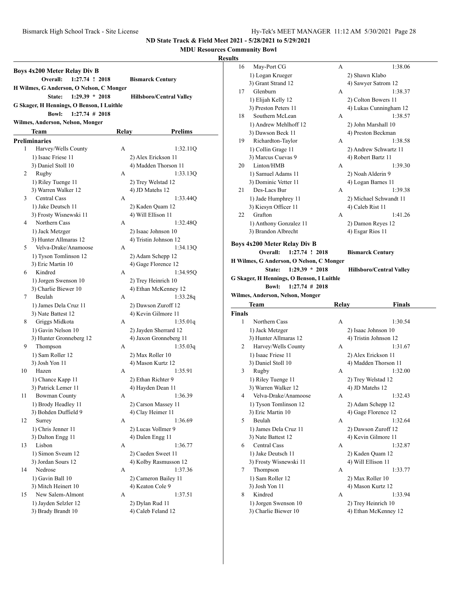### **MDU Resources Community Bowl**

|      | Boys 4x200 Meter Relay Div B<br>Overall:<br>1:27.74 ! 2018 |              | <b>Bismarck Century</b>         |
|------|------------------------------------------------------------|--------------|---------------------------------|
|      | H Wilmes, G Anderson, O Nelson, C Monger                   |              |                                 |
|      | $1:29.39 * 2018$<br>State:                                 |              | <b>Hillsboro/Central Valley</b> |
|      | G Skager, H Hennings, O Benson, I Luithle                  |              |                                 |
|      | $1:27.74$ # 2018<br><b>Bowl:</b>                           |              |                                 |
|      | Wilmes, Anderson, Nelson, Monger                           |              |                                 |
|      | Team                                                       | <b>Relay</b> | Prelims                         |
|      | <b>Preliminaries</b>                                       |              |                                 |
| 1    | Harvey/Wells County                                        | A            | 1:32.11Q                        |
|      | 1) Isaac Friese 11                                         |              | 2) Alex Erickson 11             |
|      | 3) Daniel Stoll 10                                         |              | 4) Madden Thorson 11            |
| 2    | Rugby                                                      | А            | 1:33.13Q                        |
|      | 1) Riley Tuenge 11                                         |              | 2) Trey Welstad 12              |
|      | 3) Warren Walker 12                                        |              | 4) JD Matehs 12                 |
| 3    | <b>Central Cass</b>                                        | А            | 1:33.44Q                        |
|      | 1) Jake Deutsch 11                                         |              | 2) Kaden Quam 12                |
|      |                                                            |              | 4) Will Ellison 11              |
| 4    | 3) Frosty Wisnewski 11<br>Northern Cass                    | A            |                                 |
|      |                                                            |              | 1:32.48Q                        |
|      | 1) Jack Metzger                                            |              | 2) Isaac Johnson 10             |
|      | 3) Hunter Allmaras 12<br>Velva-Drake/Anamoose              |              | 4) Tristin Johnson 12           |
| 5    |                                                            | A            | 1:34.13Q                        |
|      | 1) Tyson Tomlinson 12                                      |              | 2) Adam Schepp 12               |
|      | 3) Eric Martin 10                                          |              | 4) Gage Florence 12             |
| 6    | Kindred                                                    | A            | 1:34.95O                        |
|      | 1) Jorgen Swenson 10                                       |              | 2) Trey Heinrich 10             |
|      | 3) Charlie Biewer 10                                       |              | 4) Ethan McKenney 12            |
| 7    | Beulah                                                     | А            | 1:33.28q                        |
|      | 1) James Dela Cruz 11                                      |              | 2) Dawson Zuroff 12             |
|      | 3) Nate Battest 12                                         |              | 4) Kevin Gilmore 11             |
| 8    | Griggs Midkota                                             | A            | 1:35.01q                        |
|      | 1) Gavin Nelson 10                                         |              | 2) Jayden Sherrard 12           |
|      | 3) Hunter Gronneberg 12                                    |              | 4) Jaxon Gronneberg 11          |
| 9    | Thompson                                                   | А            | 1:35.03q                        |
|      | 1) Sam Roller 12                                           |              | 2) Max Roller 10                |
|      | 3) Josh Yon 11                                             |              | 4) Mason Kurtz 12               |
| 10   | Hazen                                                      | A            | 1:35.91                         |
|      | 1) Chance Kapp 11                                          |              | 2) Ethan Richter 9              |
|      | 3) Patrick Lemer 11                                        |              | 4) Hayden Dean 11               |
| 11 - | <b>Bowman County</b>                                       |              | 1:36.39                         |
|      | 1) Brody Headley 11                                        |              | 2) Carson Massey 11             |
|      | 3) Bohden Duffield 9                                       |              | 4) Clay Heimer 11               |
| 12   | Surrey                                                     | А            | 1:36.69                         |
|      | 1) Chris Jenner 11                                         |              | 2) Lucas Vollmer 9              |
|      | 3) Dalton Engg 11                                          |              | 4) Dalen Engg 11                |
| 13   | Lisbon                                                     | А            | 1:36.77                         |
|      | 1) Simon Sveum 12                                          |              | 2) Caeden Sweet 11              |
|      | 3) Jordan Sours 12                                         |              | 4) Kolby Rasmusson 12           |
| 14   | Nedrose                                                    | А            | 1:37.36                         |
|      | 1) Gavin Ball 10                                           |              | 2) Cameron Bailey 11            |
|      | 3) Mitch Heinert 10                                        |              | 4) Keaton Cole 9                |
| 15   | New Salem-Almont                                           | А            | 1:37.51                         |
|      | 1) Jayden Selzler 12                                       |              | 2) Dylan Rud 11                 |
|      | 3) Brady Brandt 10                                         |              | 4) Caleb Feland 12              |
|      |                                                            |              |                                 |

| ults   |                                             |       |                                            |
|--------|---------------------------------------------|-------|--------------------------------------------|
| 16     | May-Port CG                                 | А     | 1:38.06                                    |
|        | 1) Logan Krueger                            |       | 2) Shawn Klabo                             |
|        | 3) Grant Strand 12                          |       | 4) Sawyer Satrom 12                        |
| 17     | Glenburn                                    | А     | 1:38.37                                    |
|        | 1) Elijah Kelly 12                          |       | 2) Colton Bowers 11                        |
|        | 3) Preston Peters 11                        |       | 4) Lukas Cunningham 12                     |
| 18     | Southern McLean                             | А     | 1:38.57                                    |
|        | 1) Andrew Mehlhoff 12                       |       | 2) John Marshall 10                        |
|        | 3) Dawson Beck 11                           |       | 4) Preston Beckman                         |
| 19     | Richardton-Taylor                           | А     | 1:38.58                                    |
|        | 1) Collin Grage 11                          |       | 2) Andrew Schwartz 11                      |
|        | 3) Marcus Cuevas 9                          |       | 4) Robert Bartz 11                         |
| 20     | Linton/HMB                                  | А     | 1:39.30                                    |
|        | 1) Samuel Adams 11                          |       | 2) Noah Alderin 9                          |
|        | 3) Dominic Vetter 11                        |       | 4) Logan Barnes 11                         |
| 21     | Des-Lacs Bur                                | A     | 1:39.38                                    |
|        | 1) Jade Humphrey 11                         |       | 2) Michael Schwandt 11                     |
|        | 3) Kiesyn Officer 11                        |       | 4) Caleb Rist 11                           |
| 22     | Grafton                                     | А     | 1:41.26                                    |
|        | 1) Anthony Gonzalez 11                      |       | 2) Damon Reyes 12                          |
|        | 3) Brandon Albrecht                         |       | 4) Esgar Rios 11                           |
|        | <b>Boys 4x200 Meter Relay Div B</b>         |       |                                            |
|        | Overall:<br>1:27.74 ! 2018                  |       | <b>Bismarck Century</b>                    |
|        | H Wilmes, G Anderson, O Nelson, C Monger    |       |                                            |
|        | $1:29.39 * 2018$<br>State:                  |       | <b>Hillsboro/Central Valley</b>            |
|        |                                             |       |                                            |
|        |                                             |       |                                            |
|        | G Skager, H Hennings, O Benson, I Luithle   |       |                                            |
|        | <b>Bowl:</b><br>$1:27.74 \# 2018$           |       |                                            |
|        | Wilmes, Anderson, Nelson, Monger            |       |                                            |
|        | Team                                        | Relay | Finals                                     |
| Finals |                                             |       |                                            |
| 1      | Northern Cass                               | А     | 1:30.54                                    |
|        | 1) Jack Metzger                             |       | 2) Isaac Johnson 10                        |
|        | 3) Hunter Allmaras 12                       |       | 4) Tristin Johnson 12                      |
| 2      | Harvey/Wells County                         | А     | 1:31.67                                    |
|        | 1) Isaac Friese 11                          |       | 2) Alex Erickson 11                        |
| 3      | 3) Daniel Stoll 10                          | А     | 4) Madden Thorson 11<br>1:32.00            |
|        | Rugby                                       |       |                                            |
|        | 1) Riley Tuenge 11                          |       | 2) Trey Welstad 12                         |
| 4      | 3) Warren Walker 12<br>Velva-Drake/Anamoose | А     | 4) JD Matehs 12                            |
|        |                                             |       | 1:32.43                                    |
|        | 1) Tyson Tomlinson 12                       |       | 2) Adam Schepp 12<br>4) Gage Florence 12   |
| 5      | 3) Eric Martin 10<br>Beulah                 | А     | 1:32.64                                    |
|        |                                             |       |                                            |
|        | 1) James Dela Cruz 11<br>3) Nate Battest 12 |       | 2) Dawson Zuroff 12<br>4) Kevin Gilmore 11 |
| 6      | Central Cass                                | А     | 1:32.87                                    |
|        |                                             |       |                                            |
|        | 1) Jake Deutsch 11                          |       | 2) Kaden Quam 12<br>4) Will Ellison 11     |
| 7      | 3) Frosty Wisnewski 11<br>Thompson          | А     | 1:33.77                                    |
|        | 1) Sam Roller 12                            |       | 2) Max Roller 10                           |
|        | 3) Josh Yon 11                              |       |                                            |
| 8      | Kindred                                     | А     | 4) Mason Kurtz 12<br>1:33.94               |
|        | 1) Jorgen Swenson 10                        |       | 2) Trey Heinrich 10                        |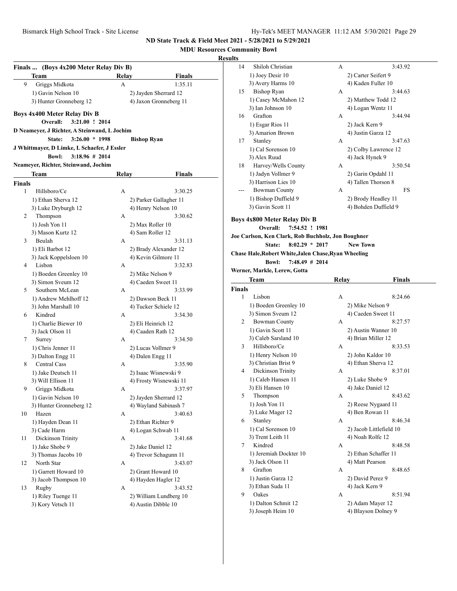**MDU Resources Community Bowl**

|               | Finals  (Boys 4x200 Meter Relay Div B)       |              |                                                |
|---------------|----------------------------------------------|--------------|------------------------------------------------|
|               | Team                                         | Relay        | Finals                                         |
| 9             | Griggs Midkota                               | A            | 1:35.11                                        |
|               | 1) Gavin Nelson 10                           |              | 2) Jayden Sherrard 12                          |
|               | 3) Hunter Gronneberg 12                      |              | 4) Jaxon Gronneberg 11                         |
|               |                                              |              |                                                |
|               | Boys 4x400 Meter Relay Div B                 |              |                                                |
|               | Overall:<br>3:21.00 ! 2014                   |              |                                                |
|               | D Neameyer, J Richter, A Steinwand, L Jochim |              |                                                |
|               | $3:26.00 * 1998$<br>State:                   |              | <b>Bishop Ryan</b>                             |
|               | J Whittmayer, D Limke, L Schaefer, J Essler  |              |                                                |
|               | <b>Bowl:</b><br>$3:18.96 \# 2014$            |              |                                                |
|               | Neameyer, Richter, Steinwand, Jochim         |              |                                                |
|               | Team                                         | <b>Relay</b> | Finals                                         |
| <b>Finals</b> |                                              |              |                                                |
| 1             | Hillsboro/Ce                                 | A            | 3:30.25                                        |
|               | 1) Ethan Sherva 12                           |              | 2) Parker Gallagher 11                         |
|               | 3) Luke Dryburgh 12                          |              | 4) Henry Nelson 10                             |
| 2             | Thompson                                     | А            | 3:30.62                                        |
|               | 1) Josh Yon 11                               |              | 2) Max Roller 10                               |
|               | 3) Mason Kurtz 12                            |              | 4) Sam Roller 12                               |
| 3             | Beulah                                       | A            | 3:31.13                                        |
|               | 1) Eli Barbot 12                             |              | 2) Brady Alexander 12                          |
|               | 3) Jack Koppelsloen 10                       |              | 4) Kevin Gilmore 11                            |
| 4             | Lisbon                                       | А            | 3:32.83                                        |
|               | 1) Boeden Greenley 10                        |              | 2) Mike Nelson 9                               |
|               | 3) Simon Sveum 12                            |              | 4) Caeden Sweet 11                             |
| 5             | Southern McLean                              | А            | 3:33.99                                        |
|               | 1) Andrew Mehlhoff 12                        |              | 2) Dawson Beck 11                              |
|               | 3) John Marshall 10                          |              | 4) Tucker Schiele 12                           |
| 6             | Kindred                                      | А            | 3:34.30                                        |
|               | 1) Charlie Biewer 10                         |              | 2) Eli Heinrich 12                             |
|               | 3) Jack Olson 11                             |              | 4) Caaden Rath 12                              |
| 7             | Surrey                                       | А            | 3:34.50                                        |
|               | 1) Chris Jenner 11                           |              | 2) Lucas Vollmer 9                             |
|               | 3) Dalton Engg 11<br><b>Central Cass</b>     |              | 4) Dalen Engg 11                               |
| 8             |                                              | A            | 3:35.90                                        |
|               | 1) Jake Deutsch 11<br>3) Will Ellison 11     |              | 2) Isaac Wisnewski 9<br>4) Frosty Wisnewski 11 |
| 9             | Griggs Midkota                               | А            | 3:37.97                                        |
|               | 1) Gavin Nelson 10                           |              | 2) Jayden Sherrard 12                          |
|               | 3) Hunter Gronneberg 12                      |              | 4) Wayland Sabinash 7                          |
| 10            | Hazen                                        | A            | 3:40.63                                        |
|               | 1) Hayden Dean 11                            |              | 2) Ethan Richter 9                             |
|               | 3) Cade Harm                                 |              | 4) Logan Schwab 11                             |
| 11            | Dickinson Trinity                            | А            | 3:41.68                                        |
|               | 1) Jake Shobe 9                              |              | 2) Jake Daniel 12                              |
|               | 3) Thomas Jacobs 10                          |              | 4) Trevor Schagunn 11                          |
| 12            | North Star                                   | А            | 3:43.07                                        |
|               | 1) Garrett Howard 10                         |              | 2) Grant Howard 10                             |
|               | 3) Jacob Thompson 10                         |              | 4) Hayden Hagler 12                            |
| 13            | Rugby                                        |              | 3:43.52                                        |
|               |                                              | А            |                                                |
|               | 1) Riley Tuenge 11                           |              | 2) William Lundberg 10                         |
|               | 3) Kory Vetsch 11                            |              | 4) Austin Dibble 10                            |

| ults   |                                                      |              |                                             |  |
|--------|------------------------------------------------------|--------------|---------------------------------------------|--|
| 14     | Shiloh Christian                                     | А            | 3:43.92                                     |  |
|        | 1) Joey Desir 10                                     |              | 2) Carter Seifert 9                         |  |
|        | 3) Avery Harms 10                                    |              | 4) Kaden Fuller 10                          |  |
| 15     | <b>Bishop Ryan</b>                                   | А            | 3:44.63                                     |  |
|        | 1) Casey McMahon 12                                  |              | 2) Matthew Todd 12                          |  |
|        | 3) Ian Johnson 10                                    |              | 4) Logan Wentz 11                           |  |
| 16     | Grafton                                              | А            | 3:44.94                                     |  |
|        | 1) Esgar Rios 11                                     |              | 2) Jack Kern 9                              |  |
|        | 3) Amarion Brown                                     |              | 4) Justin Garza 12                          |  |
| 17     | Stanley                                              | А            | 3:47.63                                     |  |
|        | 1) Cal Sorenson 10                                   |              | 2) Colby Lawrence 12                        |  |
|        | 3) Alex Ruud                                         |              | 4) Jack Hynek 9                             |  |
| 18     | Harvey/Wells County                                  | А            | 3:50.54                                     |  |
|        | 1) Jadyn Vollmer 9                                   |              | 2) Garin Opdahl 11                          |  |
|        | 3) Harrison Lies 10                                  |              | 4) Tallen Thorson 8                         |  |
|        | <b>Bowman County</b>                                 | А            | FS                                          |  |
|        | 1) Bishop Duffield 9                                 |              | 2) Brody Headley 11                         |  |
|        | 3) Gavin Scott 11                                    |              | 4) Bohden Duffield 9                        |  |
|        | <b>Boys 4x800 Meter Relay Div B</b>                  |              |                                             |  |
|        | Overall:<br>7:54.52 ! 1981                           |              |                                             |  |
|        | Joe Carlson, Ken Clark, Rob Buchholz, Jon Boughner   |              |                                             |  |
|        | $8:02.29 * 2017$<br>State:                           |              | <b>New Town</b>                             |  |
|        | Chase Hale, Robert White, Jalen Chase, Ryan Wheeling |              |                                             |  |
|        | $7:48.49$ # 2014<br><b>Bowl:</b>                     |              |                                             |  |
|        | Werner, Markle, Lerew, Gotta                         |              |                                             |  |
|        | <b>Team</b>                                          | <b>Relay</b> | Finals                                      |  |
|        |                                                      |              |                                             |  |
|        |                                                      |              |                                             |  |
| Finals |                                                      |              |                                             |  |
| 1      | Lisbon                                               | А            | 8:24.66                                     |  |
|        | 1) Boeden Greenley 10                                |              | 2) Mike Nelson 9                            |  |
|        | 3) Simon Sveum 12                                    |              | 4) Caeden Sweet 11                          |  |
| 2      | <b>Bowman County</b>                                 | А            | 8:27.57                                     |  |
|        | 1) Gavin Scott 11                                    |              | 2) Austin Wanner 10                         |  |
|        | 3) Caleb Sarsland 10                                 |              | 4) Brian Miller 12                          |  |
| 3      | Hillsboro/Ce                                         | А            | 8:33.53                                     |  |
|        | 1) Henry Nelson 10                                   |              | 2) John Kaldor 10                           |  |
|        | 3) Christian Brist 9                                 |              | 4) Ethan Sherva 12<br>8:37.01               |  |
| 4      | Dickinson Trinity                                    | А            |                                             |  |
|        | 1) Caleb Hansen 11                                   |              | 2) Luke Shobe 9                             |  |
| 5      | 3) Eli Hansen 10                                     | А            | 4) Jake Daniel 12                           |  |
|        | Thompson                                             |              | 8:43.62                                     |  |
|        | 1) Josh Yon 11                                       |              | 2) Reese Nygaard 11                         |  |
| 6      | 3) Luke Mager 12                                     | А            | 4) Ben Rowan 11<br>8:46.34                  |  |
|        | Stanley                                              |              |                                             |  |
|        | 1) Cal Sorenson 10                                   |              | 2) Jacob Littlefield 10<br>4) Noah Rolfe 12 |  |
| 7      | 3) Trent Leith 11<br>Kindred                         | А            | 8:48.58                                     |  |
|        |                                                      |              | 2) Ethan Schaffer 11                        |  |
|        | 1) Jeremiah Dockter 10                               |              |                                             |  |
| 8      | 3) Jack Olson 11<br>Grafton                          | А            | 4) Matt Pearson<br>8:48.65                  |  |
|        | 1) Justin Garza 12                                   |              | 2) David Perez 9                            |  |
|        | 3) Ethan Suda 11                                     |              | 4) Jack Kern 9                              |  |
| 9      | Oakes                                                | А            | 8:51.94                                     |  |
|        |                                                      |              | 2) Adam Mayer 12                            |  |
|        | 1) Dalton Schmit 12<br>3) Joseph Heim 10             |              | 4) Blayson Dolney 9                         |  |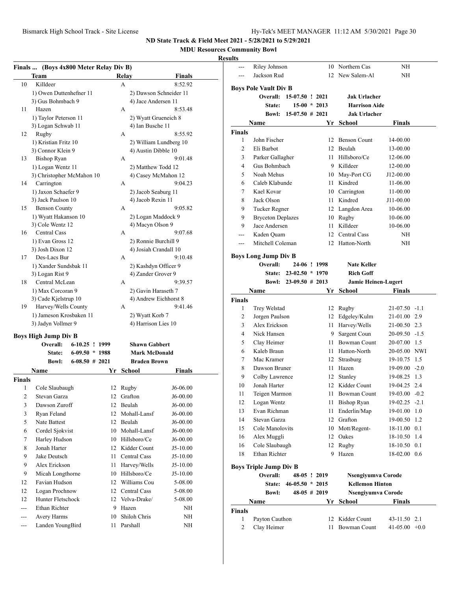#### **MDU Resources Community Bowl**

|               | Finals  (Boys 4x800 Meter Relay Div B)    |    |                        |               | ---            | Riley Johnson                  |                        |                | 10 Northern Cas               | NH               |  |
|---------------|-------------------------------------------|----|------------------------|---------------|----------------|--------------------------------|------------------------|----------------|-------------------------------|------------------|--|
|               | Team                                      |    | Relay                  | <b>Finals</b> | ---            | Jackson Rud                    |                        |                | 12 New Salem-Al               | NH               |  |
| 10            | Killdeer                                  |    | A                      | 8:52.92       |                | <b>Boys Pole Vault Div B</b>   |                        |                |                               |                  |  |
|               | 1) Owen Duttenhefner 11                   |    | 2) Dawson Schneider 11 |               |                | Overall: 15-07.50 ! 2021       |                        |                | Jak Urlacher                  |                  |  |
|               | 3) Gus Bohmbach 9                         |    | 4) Jace Andersen 11    |               |                | State:                         |                        | $15-00 * 2013$ | <b>Harrison Aide</b>          |                  |  |
| 11            | Hazen                                     |    | A                      | 8:53.48       |                |                                | Bowl: 15-07.50 # 2021  |                | <b>Jak Urlacher</b>           |                  |  |
|               | 1) Taylor Peterson 11                     |    | 2) Wyatt Grueneich 8   |               |                | Name                           |                        |                | Yr School                     | <b>Finals</b>    |  |
|               | 3) Logan Schwab 11                        |    | 4) Ian Busche 11       |               | Finals         |                                |                        |                |                               |                  |  |
| 12            | Rugby                                     |    | А                      | 8:55.92       | 1              | John Fischer                   |                        |                | 12 Benson Count               | 14-00.00         |  |
|               | 1) Kristian Fritz 10                      |    | 2) William Lundberg 10 |               | $\overline{2}$ | Eli Barbot                     |                        |                | 12 Beulah                     | 13-00.00         |  |
|               | 3) Connor Klein 9                         |    | 4) Austin Dibble 10    |               | 3              | Parker Gallagher               |                        |                | 11 Hillsboro/Ce               | 12-06.00         |  |
| 13            | <b>Bishop Ryan</b>                        |    | A                      | 9:01.48       | 4              | Gus Bohmbach                   |                        |                | 9 Killdeer                    | 12-00.00         |  |
|               | 1) Logan Wentz 11                         |    | 2) Matthew Todd 12     |               | 5              | Noah Mehus                     |                        |                | 10 May-Port CG                | J12-00.00        |  |
|               | 3) Christopher McMahon 10<br>Carrington   |    | 4) Casey McMahon 12    | 9:04.23       | 6              | Caleb Klabunde                 |                        |                | 11 Kindred                    | 11-06.00         |  |
| 14            |                                           |    | A                      |               | 7              | Kael Kovar                     |                        |                | 10 Carrington                 | 11-00.00         |  |
|               | 1) Jaxon Schaefer 9<br>3) Jack Paulson 10 |    | 2) Jacob Seaburg 11    |               | 8              | Jack Olson                     |                        |                |                               |                  |  |
| 15            | <b>Benson County</b>                      |    | 4) Jacob Rexin 11<br>A | 9:05.82       |                |                                |                        |                | 11 Kindred                    | J11-00.00        |  |
|               | 1) Wyatt Hakanson 10                      |    | 2) Logan Maddock 9     |               | 9              | Tucker Regner                  |                        |                | 12 Langdon Area               | 10-06.00         |  |
|               | 3) Cole Wentz 12                          |    | 4) Macyn Olson 9       |               | 9              | <b>Bryceton Deplazes</b>       |                        |                | 10 Rugby                      | 10-06.00         |  |
| 16            | Central Cass                              |    | А                      | 9:07.68       | 9              | Jace Andersen                  |                        |                | 11 Killdeer                   | 10-06.00         |  |
|               | 1) Evan Gross 12                          |    | 2) Ronnie Burchill 9   |               | ---            | Kaden Quam                     |                        |                | 12 Central Cass               | NH               |  |
|               | 3) Josh Dixon 12                          |    | 4) Josiah Crandall 10  |               | ---            | Mitchell Coleman               |                        |                | 12 Hatton-North               | NH               |  |
| 17            | Des-Lacs Bur                              |    | А                      | 9:10.48       |                | <b>Boys Long Jump Div B</b>    |                        |                |                               |                  |  |
|               | 1) Xander Sundsbak 11                     |    | 2) Kashdyn Officer 9   |               |                | Overall:                       |                        | 24-06 ! 1998   | <b>Nate Keller</b>            |                  |  |
|               | 3) Logan Rist 9                           |    | 4) Zander Grover 9     |               |                |                                | State: 23-02.50 * 1970 |                | <b>Rich Goff</b>              |                  |  |
| 18            | Central McLean                            |    | A                      | 9:39.57       |                |                                | Bowl: 23-09.50 # 2013  |                | <b>Jamie Heinen-Lugert</b>    |                  |  |
|               | 1) Max Corcoran 9                         |    | 2) Gavin Haraseth 7    |               |                | Name                           |                        |                | Yr School                     | <b>Finals</b>    |  |
|               | 3) Cade Kjelstrup 10                      |    | 4) Andrew Eichhorst 8  |               | Finals         |                                |                        |                |                               |                  |  |
| 19            | Harvey/Wells County                       |    | A                      | 9:41.46       | $\mathbf{1}$   | Trey Welstad                   |                        |                | 12 Rugby                      | $21-07.50 -1.1$  |  |
|               | 1) Jameson Krosbaken 11                   |    | 2) Wyatt Korb 7        |               | $\overline{2}$ | Jorgen Paulson                 |                        |                | 12 Edgeley/Kulm               | 21-01.00 2.9     |  |
|               | 3) Jadyn Vollmer 9                        |    | 4) Harrison Lies 10    |               | 3              | Alex Erickson                  |                        |                | 11 Harvey/Wells               | 21-00.50 2.3     |  |
|               |                                           |    |                        |               | $\overline{4}$ | Nick Hansen                    |                        |                | 9 Sargent Coun                | $20-09.50 -1.5$  |  |
|               | <b>Boys High Jump Div B</b>               |    |                        |               | 5              | Clay Heimer                    |                        |                | 11 Bowman Count               | 20-07.00 1.5     |  |
|               | Overall:<br>$6-10.25$ ! 1999              |    | <b>Shawn Gabbert</b>   |               | 6              | Kaleb Braun                    |                        |                | 11 Hatton-North               | 20-05.00 NWI     |  |
|               | $6-09.50 * 1988$<br>State:                |    | <b>Mark McDonald</b>   |               | 7              | Mac Kramer                     |                        |                | 12 Strasburg                  | 19-10.75 1.5     |  |
|               | $6-08.50$ # 2021<br><b>Bowl:</b>          |    | <b>Braden Brown</b>    |               | 8              | Dawson Bruner                  |                        |                | 11 Hazen                      | $19-09.00 - 2.0$ |  |
|               | Name                                      |    | Yr School              | <b>Finals</b> | 9              |                                |                        |                |                               | 19-08.25 1.3     |  |
| <b>Finals</b> |                                           |    |                        |               | 10             | Colby Lawrence<br>Jonah Harter |                        |                | 12 Stanley<br>12 Kidder Count | 19-04.25 2.4     |  |
| 1             | Cole Slaubaugh                            |    | 12 Rugby               | J6-06.00      |                |                                |                        |                |                               |                  |  |
| 2             | Stevan Garza                              |    | 12 Grafton             | $J6-00.00$    | 11             | Teigen Marmon                  |                        |                | 11 Bowman Count               | 19-03.00 -0.2    |  |
| 3             | Dawson Zuroff                             |    | 12 Beulah              | J6-00.00      | 12             | Logan Wentz                    |                        |                | 11 Bishop Ryan                | $19-02.25 -2.1$  |  |
| 3             | Ryan Feland                               |    | 12 Mohall-Lansf        | $J6-00.00$    | 13             | Evan Richman                   |                        |                | 11 Enderlin/Map               | 19-01.00 1.0     |  |
| 5             | Nate Battest                              |    | 12 Beulah              | J6-00.00      | 14             | Stevan Garza                   |                        |                | 12 Grafton                    | 19-00.50 1.2     |  |
| 6             | Cordel Sjokvist                           |    | 10 Mohall-Lansf        | J6-00.00      | 15             | Cole Manolovits                |                        |                | 10 Mott/Regent-               | 18-11.00 0.1     |  |
| 7             | Harley Hudson                             |    | 10 Hillsboro/Ce        | $J6-00.00$    | 16             | Alex Muggli                    |                        |                | 12 Oakes                      | 18-10.50 1.4     |  |
| 8             | Jonah Harter                              |    | 12 Kidder Count        | $J5-10.00$    | 16             | Cole Slaubaugh                 |                        |                | 12 Rugby                      | 18-10.50 0.1     |  |
| 9             | Jake Deutsch                              |    | 11 Central Cass        | $J5-10.00$    | 18             | Ethan Richter                  |                        |                | 9 Hazen                       | 18-02.00 0.6     |  |
| 9             | Alex Erickson                             |    | 11 Harvey/Wells        | J5-10.00      |                | <b>Boys Triple Jump Div B</b>  |                        |                |                               |                  |  |
| 9             | Micah Longthorne                          |    | 10 Hillsboro/Ce        | J5-10.00      |                | Overall:                       |                        | 48-05 ! 2019   | Nsengiyumva Corode            |                  |  |
| 12            | Favian Hudson                             | 12 | Williams Cou           | 5-08.00       |                |                                | State: 46-05.50 * 2015 |                | <b>Kellemon Hinton</b>        |                  |  |
| 12            | Logan Prochnow                            |    | 12 Central Cass        | 5-08.00       |                | <b>Bowl:</b>                   |                        | $48-05$ # 2019 | Nsengiyumva Corode            |                  |  |
| 12            | Hunter Fletschock                         |    | 12 Velva-Drake/        | 5-08.00       |                |                                |                        |                |                               |                  |  |
| $---$         | Ethan Richter                             | 9  | Hazen                  | NH            |                | Name                           |                        |                | Yr School                     | <b>Finals</b>    |  |
| ---           | Avery Harms                               | 10 | Shiloh Chris           | NH            | <b>Finals</b>  |                                |                        |                |                               |                  |  |
| $---$         | Landen YoungBird                          |    | 11 Parshall            | NH            | $\mathbf{1}$   | Payton Cauthon                 |                        |                | 12 Kidder Count               | 43-11.50 2.1     |  |
|               |                                           |    |                        |               | 2              | Clay Heimer                    |                        |                | 11 Bowman Count               | $41-05.00 +0.0$  |  |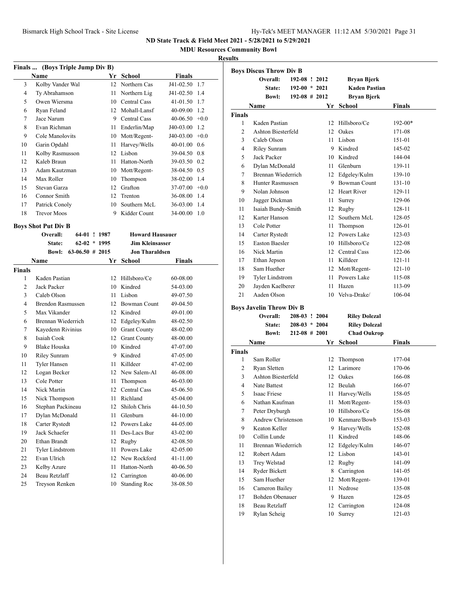**MDU Resources Community Bowl**

#### **Results**

|        | Finals  (Boys Triple Jump Div B)  |                |                        |                  |        |
|--------|-----------------------------------|----------------|------------------------|------------------|--------|
|        | <b>Name</b>                       | Yr             | School                 | <b>Finals</b>    |        |
| 3      | Kolby Vander Wal                  | 12             | Northern Cas           | J41-02.50 1.7    |        |
| 4      | Ty Abrahamson                     | 11             | Northern Lig           | J41-02.50        | 1.4    |
| 5      | Owen Wiersma                      | 10             | Central Cass           | $41 - 01.50$     | 1.7    |
| 6      | Ryan Feland                       | 12             | Mohall-Lansf           | 40-09.00         | 1.2    |
| 7      | Jace Narum                        | 9              | Central Cass           | $40-06.50 + 0.0$ |        |
| 8      | Evan Richman                      | 11             | Enderlin/Map           | J40-03.00        | 1.2    |
| 9      | Cole Manolovits                   | 10             | Mott/Regent-           | $J40-03.00 +0.0$ |        |
| 10     | Garin Opdahl                      | 11             | Harvey/Wells           | $40-01.00$ 0.6   |        |
| 11     | Kolby Rasmusson                   | 12             | Lisbon                 | 39-04.50 0.8     |        |
| 12     | Kaleb Braun                       | 11             | Hatton-North           | 39-03.50 0.2     |        |
| 13     | Adam Kautzman                     | 10             | Mott/Regent-           | 38-04.50 0.5     |        |
| 14     | Max Roller                        | 10             | Thompson               | 38-02.00         | 1.4    |
| 15     | Stevan Garza                      | 12             | Grafton                | 37-07.00         | $+0.0$ |
| 16     | Connor Smith                      | 12             | Trenton                | 36-08.00         | 1.4    |
| 17     | Patrick Conoly                    | 10             | Southern McL           | 36-03.00         | 1.4    |
| 18     | <b>Trevor Moos</b>                | 9              | Kidder Count           | 34-00.00         | 1.0    |
|        | <b>Boys Shot Put Div B</b>        |                |                        |                  |        |
|        | Overall:                          | 64-01 ! 1987   | <b>Howard Hausauer</b> |                  |        |
|        | State:                            | $62-02 * 1995$ | <b>Jim Kleinsasser</b> |                  |        |
|        | $63-06.50$ # 2015<br><b>Bowl:</b> |                | <b>Jon Tharaldsen</b>  |                  |        |
|        | <b>Name</b>                       | Yr             | School                 | <b>Finals</b>    |        |
| Finals |                                   |                |                        |                  |        |
| 1      | Kaden Pastian                     | 12             | Hillsboro/Ce           | 60-08.00         |        |

 Jack Packer 10 Kindred 54-03.00 Caleb Olson 11 Lisbon 49-07.50 Brendon Rasmussen 12 Bowman Count 49-04.50 Max Vikander 12 Kindred 49-01.00 Brennan Wiederrich 12 Edgeley/Kulm 48-02.50 Kayedenn Rivinius 10 Grant County 48-02.00 Isaiah Cook 12 Grant County 48-00.00 Blake Houska 10 Kindred 47-07.00 10 Riley Sunram 9 Kindred 47-05.00 11 Tyler Hansen 11 Killdeer 47-02.00 Logan Becker 12 New Salem-Al 46-08.00 Cole Potter 11 Thompson 46-03.00 Nick Martin 12 Central Cass 45-06.50 Nick Thompson 11 Richland 45-04.00 Stephan Packineau 12 Shiloh Chris 44-10.50 Dylan McDonald 11 Glenburn 44-10.00 Carter Rystedt 12 Powers Lake 44-05.00 Jack Schaefer 11 Des-Lacs Bur 43-02.00 Ethan Brandt 12 Rugby 42-08.50 21 Tyler Lindstrom 11 Powers Lake 42-05.00 Evan Ulrich 12 New Rockford 41-11.00 23 Kelby Azure 11 Hatton-North 40-06.50 Beau Retzlaff 12 Carrington 40-06.00 Treyson Renken 10 Standing Roc 38-08.50

|                | <b>Boys Discus Throw Div B</b>  |                    |      |                      |               |
|----------------|---------------------------------|--------------------|------|----------------------|---------------|
|                | Overall:                        | 192-08 ! 2012      |      | Bryan Bjerk          |               |
|                | State:                          | $192-00 * 2021$    |      | <b>Kaden Pastian</b> |               |
|                | <b>Bowl:</b>                    | $192-08$ # 2012    |      | <b>Bryan Bjerk</b>   |               |
|                | Name                            |                    |      | Yr School            | <b>Finals</b> |
| <b>Finals</b>  |                                 |                    |      |                      |               |
| 1              | Kaden Pastian                   |                    | 12   | Hillsboro/Ce         | 192-00*       |
| $\overline{c}$ | Ashton Biesterfeld              |                    |      | 12 Oakes             | 171-08        |
| 3              | Caleb Olson                     |                    |      | 11 Lisbon            | 151-01        |
| 4              | <b>Riley Sunram</b>             |                    |      | 9 Kindred            | 145-02        |
| 5              | Jack Packer                     |                    |      | 10 Kindred           | 144-04        |
| 6              | Dylan McDonald                  |                    |      | 11 Glenburn          | 139-11        |
| 7              | Brennan Wiederrich              |                    |      | 12 Edgeley/Kulm      | 139-10        |
| 8              | <b>Hunter Rasmussen</b>         |                    |      | 9 Bowman Count       | 131-10        |
| 9              | Nolan Johnson                   |                    |      | 12 Heart River       | 129-11        |
| 10             | Jagger Dickman                  |                    | 11   | Surrey               | 129-06        |
| 11             | Isaiah Bundy-Smith              |                    |      | 12 Rugby             | 128-11        |
| 12             | Karter Hanson                   |                    | 12   | Southern McL         | 128-05        |
| 13             | Cole Potter                     |                    | 11 - | Thompson             | 126-01        |
| 14             | Carter Rystedt                  |                    |      | 12 Powers Lake       | 123-03        |
| 15             | <b>Easton Baesler</b>           |                    |      | $10$ Hillsboro/Ce    | 122-08        |
| 16             | Nick Martin                     |                    |      | 12 Central Cass      | 122-06        |
| 17             | Ethan Jepson                    |                    |      | 11 Killdeer          | 121-11        |
| 18             | Sam Huether                     |                    |      | 12 Mott/Regent-      | 121-10        |
| 19             | <b>Tyler Lindstrom</b>          |                    |      | 11 Powers Lake       | 115-08        |
| 20             | Jayden Kaelberer                |                    | 11   | Hazen                | 113-09        |
| 21             | Aaden Olson                     |                    |      | 10 Velva-Drake/      | 106-04        |
|                | <b>Boys Javelin Throw Div B</b> |                    |      |                      |               |
|                | <b>Overall:</b>                 | 208-03 ! 2004      |      | <b>Riley Dolezal</b> |               |
|                | <b>State:</b>                   | $208-03 * 2004$    |      | <b>Riley Dolezal</b> |               |
|                | <b>Bowl:</b>                    | $212 - 08 \# 2001$ |      | <b>Chad Oukrop</b>   |               |
|                | Name                            |                    | Yr   | School               | Finals        |
| <b>Finals</b>  |                                 |                    |      |                      |               |
| 1              | Sam Roller                      |                    |      | 12 Thompson          | 177-04        |
| 2              | Ryan Sletten                    |                    |      | 12 Larimore          | 170-06        |
| 3              | Ashton Biesterfeld              |                    |      | 12 Oakes             | 166-08        |
| 4              | Nate Battest                    |                    |      | 12 Beulah            | 166-07        |
| 5              | Isaac Friese                    |                    |      | 11 Harvey/Wells      | 158-05        |
| 6              | Nathan Kaufman                  |                    |      | 11 Mott/Regent-      | 158-03        |
| 7              | Peter Dryburgh                  |                    |      | 10 Hillsboro/Ce      | 156-08        |
| 8              | Andrew Christenson              |                    | 10   | Kenmare/Bowb         | 153-03        |
| 9              | Keaton Keller                   |                    | 9    | Harvey/Wells         | 152-08        |
| 10             | Collin Lunde                    |                    | 11   | Kindred              | 148-06        |
| 11             | Brennan Wiederrich              |                    | 12   | Edgeley/Kulm         | 146-07        |
| 12             | Robert Adam                     |                    | 12   | Lisbon               | 143-01        |
| 13             | Trey Welstad                    |                    | 12   | Rugby                | 141-09        |
| 14             | Ryder Bickett                   |                    | 8    | Carrington           | 141-05        |
| 15             | Sam Huether                     |                    | 12   | Mott/Regent-         | 139-01        |
| 16             | Cameron Bailey                  |                    | 11   | Nedrose              | 135-08        |
| 17             | Bohden Obenauer                 |                    | 9.   | Hazen                | 128-05        |
| 18             | Beau Retzlaff                   |                    | 12   | Carrington           | 124-08        |
| 19             | Rylan Scheig                    |                    | 10   | Surrey               | 121-03        |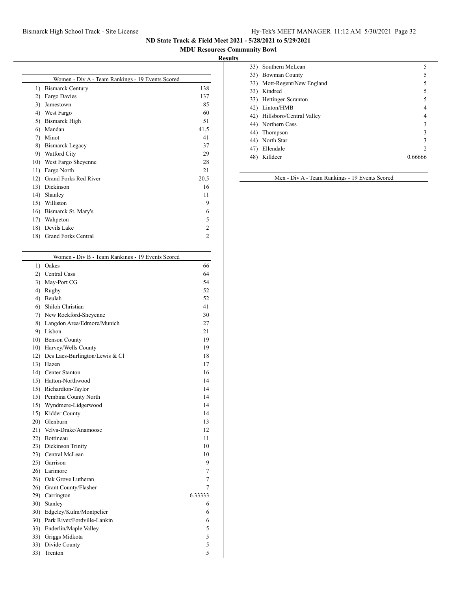### Bismarck High School Track - Site License Hy-Tek's MEET MANAGER 11:12 AM 5/30/2021 Page 32

**ND State Track & Field Meet 2021 - 5/28/2021 to 5/29/2021**

### **MDU Resources Community Bowl**

### **Results**

|                  | Women - Div A - Team Rankings - 19 Events Scored |                |
|------------------|--------------------------------------------------|----------------|
| $\left( \right)$ | <b>Bismarck Century</b>                          | 138            |
| 2)               | Fargo Davies                                     | 137            |
| 3)               | Jamestown                                        | 85             |
| 4)               | West Fargo                                       | 60             |
| 5)               | <b>Bismarck High</b>                             | 51             |
| 6)               | Mandan                                           | 41.5           |
| 7)               | Minot                                            | 41             |
| 8)               | <b>Bismarck Legacy</b>                           | 37             |
| 9)               | Watford City                                     | 29             |
| 10)              | West Fargo Sheyenne                              | 28             |
| 11)              | Fargo North                                      | 21             |
| 12)              | <b>Grand Forks Red River</b>                     | 20.5           |
| 13)              | Dickinson                                        | 16             |
| 14)              | Shanley                                          | 11             |
| 15)              | Williston                                        | 9              |
| 16)              | Bismarck St. Mary's                              | 6              |
| 17)              | Wahpeton                                         | 5              |
| 18)              | Devils Lake                                      | 2              |
| 18)              | <b>Grand Forks Central</b>                       | $\mathfrak{D}$ |

|     | Women - Div B - Team Rankings - 19 Events Scored |         |
|-----|--------------------------------------------------|---------|
| 1)  | Oakes                                            | 66      |
| 2)  | Central Cass                                     | 64      |
| 3)  | May-Port CG                                      | 54      |
| 4)  | Rugby                                            | 52      |
| 4)  | Beulah                                           | 52      |
| 6)  | Shiloh Christian                                 | 41      |
| 7)  | New Rockford-Sheyenne                            | 30      |
| 8)  | Langdon Area/Edmore/Munich                       | 27      |
| 9)  | Lisbon                                           | 21      |
| 10) | <b>Benson County</b>                             | 19      |
| 10) | Harvey/Wells County                              | 19      |
| 12) | Des Lacs-Burlington/Lewis & Cl                   | 18      |
| 13) | Hazen                                            | 17      |
|     | 14) Center Stanton                               | 16      |
|     | 15) Hatton-Northwood                             | 14      |
|     | 15) Richardton-Taylor                            | 14      |
|     | 15) Pembina County North                         | 14      |
| 15) | Wyndmere-Lidgerwood                              | 14      |
|     | 15) Kidder County                                | 14      |
|     | 20) Glenburn                                     | 13      |
|     | 21) Velva-Drake/Anamoose                         | 12      |
|     | 22) Bottineau                                    | 11      |
|     | 23) Dickinson Trinity                            | 10      |
|     | 23) Central McLean                               | 10      |
|     | 25) Garrison                                     | 9       |
|     | 26) Larimore                                     | 7       |
|     | 26) Oak Grove Lutheran                           | 7       |
|     | 26) Grant County/Flasher                         | 7       |
|     | 29) Carrington                                   | 6.33333 |
| 30) | Stanley                                          | 6       |
| 30) | Edgeley/Kulm/Montpelier                          | 6       |
| 30) | Park River/Fordville-Lankin                      | 6       |
|     | 33) Enderlin/Maple Valley                        | 5       |
|     | 33) Griggs Midkota                               | 5       |
| 33) | Divide County                                    | 5       |
| 33) | Trenton                                          | 5       |
|     |                                                  |         |

|     | 33) Southern McLean          | 5       |
|-----|------------------------------|---------|
|     | 33) Bowman County            |         |
|     | 33) Mott-Regent/New England  |         |
|     | 33) Kindred                  | 5       |
|     | 33) Hettinger-Scranton       | 5       |
|     | 42) Linton/HMB               |         |
|     | 42) Hillsboro/Central Valley |         |
|     | 44) Northern Cass            | ٩       |
|     | 44) Thompson                 | ٩       |
|     | 44) North Star               | 3       |
| 47) | Ellendale                    | ာ       |
| 48) | Killdeer                     | 0.66666 |
|     |                              |         |

Men - Div A - Team Rankings - 19 Events Scored